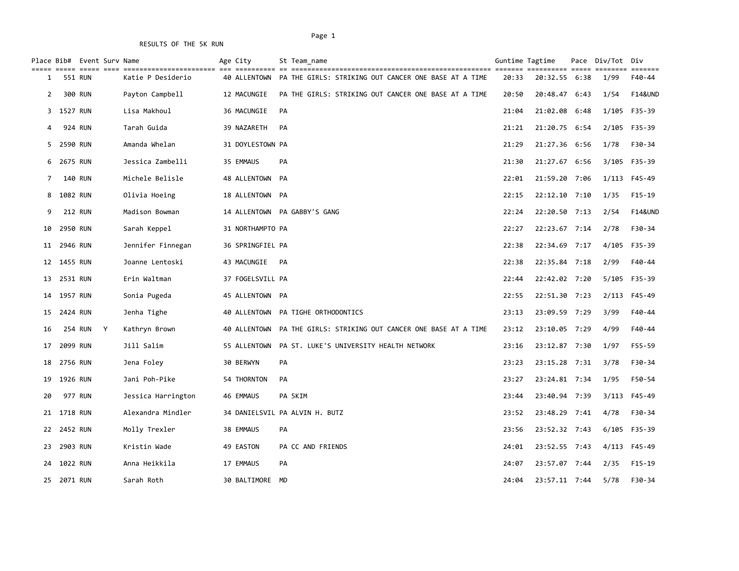| $=$ $=$ $=$ $=$ $=$ |             | Place Bib# Event Surv Name |                    | Age City         | St Team name                                                      |       | Guntime Tagtime<br>========== | $=$ $=$ $=$ $=$ $=$ | Pace Div/Tot | Div<br>eessess     |
|---------------------|-------------|----------------------------|--------------------|------------------|-------------------------------------------------------------------|-------|-------------------------------|---------------------|--------------|--------------------|
| 1                   |             | 551 RUN                    | Katie P Desiderio  | 40 ALLENTOWN     | PA THE GIRLS: STRIKING OUT CANCER ONE BASE AT A TIME              | 20:33 | 20:32.55 6:38                 |                     | 1/99         | F40-44             |
| 2                   |             | 300 RUN                    | Payton Campbell    | 12 MACUNGIE      | PA THE GIRLS: STRIKING OUT CANCER ONE BASE AT A TIME              | 20:50 | 20:48.47                      | 6:43                | 1/54         | <b>F14&amp;UND</b> |
|                     | 3 1527 RUN  |                            | Lisa Makhoul       | 36 MACUNGIE      | PA                                                                | 21:04 | 21:02.08 6:48                 |                     |              | 1/105 F35-39       |
| 4                   |             | 924 RUN                    | Tarah Guida        | 39 NAZARETH      | PA                                                                | 21:21 | 21:20.75 6:54                 |                     | 2/105        | F35-39             |
|                     | 5 2590 RUN  |                            | Amanda Whelan      | 31 DOYLESTOWN PA |                                                                   | 21:29 | 21:27.36 6:56                 |                     | 1/78         | F30-34             |
|                     | 6 2675 RUN  |                            | Jessica Zambelli   | 35 EMMAUS        | <b>PA</b>                                                         | 21:30 | 21:27.67 6:56                 |                     | 3/105        | F35-39             |
| 7                   |             | 140 RUN                    | Michele Belisle    | 48 ALLENTOWN PA  |                                                                   | 22:01 | 21:59.20 7:06                 |                     |              | 1/113 F45-49       |
| 8                   | 1082 RUN    |                            | Olivia Hoeing      | 18 ALLENTOWN PA  |                                                                   | 22:15 | 22:12.10 7:10                 |                     | 1/35         | $F15-19$           |
| 9                   |             | <b>212 RUN</b>             | Madison Bowman     |                  | 14 ALLENTOWN PA GABBY'S GANG                                      | 22:24 | 22:20.50 7:13                 |                     | 2/54         | <b>F14&amp;UND</b> |
| 10                  | 2950 RUN    |                            | Sarah Keppel       | 31 NORTHAMPTO PA |                                                                   | 22:27 | 22:23.67 7:14                 |                     | 2/78         | F30-34             |
|                     | 11 2946 RUN |                            | Jennifer Finnegan  | 36 SPRINGFIEL PA |                                                                   | 22:38 | 22:34.69 7:17                 |                     | 4/105        | F35-39             |
|                     | 12 1455 RUN |                            | Joanne Lentoski    | 43 MACUNGIE      | PA                                                                | 22:38 | 22:35.84 7:18                 |                     | 2/99         | $F40 - 44$         |
| 13                  | 2531 RUN    |                            | Erin Waltman       | 37 FOGELSVILL PA |                                                                   | 22:44 | 22:42.02 7:20                 |                     | 5/105        | F35-39             |
| 14                  | 1957 RUN    |                            | Sonia Pugeda       | 45 ALLENTOWN PA  |                                                                   | 22:55 | 22:51.30 7:23                 |                     | 2/113        | F45-49             |
| 15                  | 2424 RUN    |                            | Jenha Tighe        |                  | 40 ALLENTOWN PA TIGHE ORTHODONTICS                                | 23:13 | 23:09.59 7:29                 |                     | 3/99         | F40-44             |
| 16                  |             | 254 RUN<br>Y               | Kathryn Brown      |                  | 40 ALLENTOWN PA THE GIRLS: STRIKING OUT CANCER ONE BASE AT A TIME | 23:12 | 23:10.05 7:29                 |                     | 4/99         | $F40 - 44$         |
| 17                  | 2099 RUN    |                            | Jill Salim         | 55 ALLENTOWN     | PA ST. LUKE'S UNIVERSITY HEALTH NETWORK                           | 23:16 | 23:12.87 7:30                 |                     | 1/97         | F55-59             |
|                     | 18 2756 RUN |                            | Jena Foley         | 30 BERWYN        | PA                                                                | 23:23 | 23:15.28 7:31                 |                     | 3/78         | F30-34             |
|                     | 19 1926 RUN |                            | Jani Poh-Pike      | 54 THORNTON      | <b>PA</b>                                                         | 23:27 | 23:24.81 7:34                 |                     | 1/95         | F50-54             |
| 20                  |             | 977 RUN                    | Jessica Harrington | 46 EMMAUS        | PA 5KIM                                                           | 23:44 | 23:40.94 7:39                 |                     |              | 3/113 F45-49       |
|                     | 21 1718 RUN |                            | Alexandra Mindler  |                  | 34 DANIELSVIL PA ALVIN H. BUTZ                                    | 23:52 | 23:48.29 7:41                 |                     | 4/78         | F30-34             |
|                     | 22 2452 RUN |                            | Molly Trexler      | 38 EMMAUS        | PA                                                                | 23:56 | 23:52.32 7:43                 |                     | 6/105        | F35-39             |
| 23                  | 2903 RUN    |                            | Kristin Wade       | 49 EASTON        | PA CC AND FRIENDS                                                 | 24:01 | 23:52.55 7:43                 |                     | 4/113        | F45-49             |
| 24                  | 1022 RUN    |                            | Anna Heikkila      | 17 EMMAUS        | PA                                                                | 24:07 | 23:57.07 7:44                 |                     | 2/35         | $F15-19$           |
|                     | 25 2071 RUN |                            | Sarah Roth         | 30 BALTIMORE     | MD                                                                | 24:04 | 23:57.11 7:44                 |                     | 5/78         | F30-34             |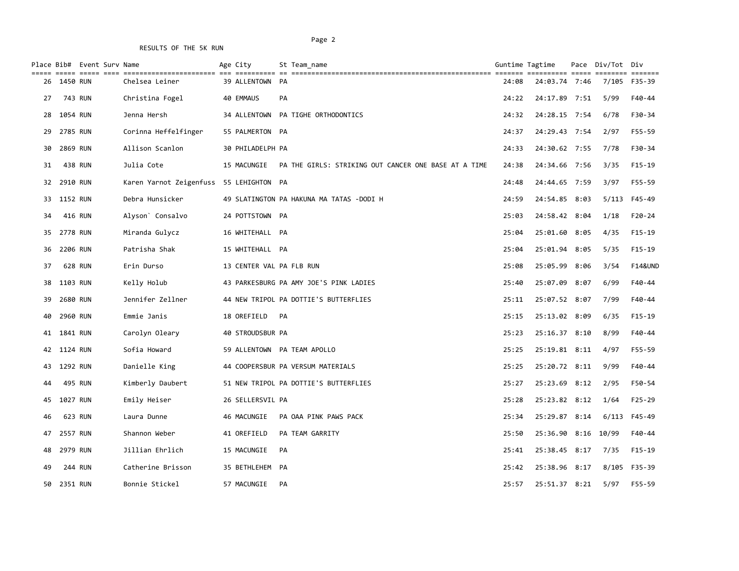|    |             | Place Bib# Event Surv Name |                                         | Age City                 |           | St Team name                                         |       | Guntime Tagtime     |      | Pace Div/Tot Div |                    |
|----|-------------|----------------------------|-----------------------------------------|--------------------------|-----------|------------------------------------------------------|-------|---------------------|------|------------------|--------------------|
|    | 26 1450 RUN |                            | Chelsea Leiner                          | 39 ALLENTOWN             | PA        |                                                      | 24:08 | 24:03.74 7:46       |      |                  | 7/105 F35-39       |
| 27 |             | 743 RUN                    | Christina Fogel                         | 40 EMMAUS                | PA        |                                                      | 24:22 | 24:17.89 7:51       |      | 5/99             | F40-44             |
| 28 | 1054 RUN    |                            | Jenna Hersh                             |                          |           | 34 ALLENTOWN PA TIGHE ORTHODONTICS                   | 24:32 | 24:28.15 7:54       |      | 6/78             | F30-34             |
| 29 | 2785 RUN    |                            | Corinna Heffelfinger                    | 55 PALMERTON PA          |           |                                                      | 24:37 | 24:29.43 7:54       |      | 2/97             | F55-59             |
| 30 | 2869 RUN    |                            | Allison Scanlon                         | 30 PHILADELPH PA         |           |                                                      | 24:33 | 24:30.62 7:55       |      | 7/78             | F30-34             |
| 31 |             | 438 RUN                    | Julia Cote                              | 15 MACUNGIE              |           | PA THE GIRLS: STRIKING OUT CANCER ONE BASE AT A TIME | 24:38 | 24:34.66 7:56       |      | 3/35             | $F15-19$           |
| 32 | 2910 RUN    |                            | Karen Yarnot Zeigenfuss 55 LEHIGHTON PA |                          |           |                                                      | 24:48 | 24:44.65 7:59       |      | 3/97             | F55-59             |
| 33 | 1152 RUN    |                            | Debra Hunsicker                         |                          |           | 49 SLATINGTON PA HAKUNA MA TATAS -DODI H             | 24:59 | 24:54.85 8:03       |      | 5/113            | F45-49             |
| 34 |             | 416 RUN                    | Alyson <sup>o</sup> Consalvo            | 24 POTTSTOWN PA          |           |                                                      | 25:03 | 24:58.42 8:04       |      | 1/18             | $F20-24$           |
| 35 | 2778 RUN    |                            | Miranda Gulycz                          | 16 WHITEHALL PA          |           |                                                      | 25:04 | 25:01.60 8:05       |      | 4/35             | $F15-19$           |
| 36 | 2206 RUN    |                            | Patrisha Shak                           | 15 WHITEHALL PA          |           |                                                      | 25:04 | 25:01.94            | 8:05 | 5/35             | $F15-19$           |
| 37 |             | 628 RUN                    | Erin Durso                              | 13 CENTER VAL PA FLB RUN |           |                                                      | 25:08 | 25:05.99            | 8:06 | 3/54             | <b>F14&amp;UND</b> |
| 38 | 1103 RUN    |                            | Kelly Holub                             |                          |           | 43 PARKESBURG PA AMY JOE'S PINK LADIES               | 25:40 | 25:07.09 8:07       |      | 6/99             | F40-44             |
| 39 | 2680 RUN    |                            | Jennifer Zellner                        |                          |           | 44 NEW TRIPOL PA DOTTIE'S BUTTERFLIES                | 25:11 | 25:07.52 8:07       |      | 7/99             | F40-44             |
| 40 | 2960 RUN    |                            | Emmie Janis                             | 18 OREFIELD              | PA        |                                                      | 25:15 | 25:13.02 8:09       |      | 6/35             | $F15-19$           |
|    | 41 1841 RUN |                            | Carolyn Oleary                          | 40 STROUDSBUR PA         |           |                                                      | 25:23 | 25:16.37 8:10       |      | 8/99             | F40-44             |
|    | 42 1124 RUN |                            | Sofia Howard                            |                          |           | 59 ALLENTOWN PA TEAM APOLLO                          | 25:25 | 25:19.81 8:11       |      | 4/97             | F55-59             |
| 43 | 1292 RUN    |                            | Danielle King                           |                          |           | 44 COOPERSBUR PA VERSUM MATERIALS                    | 25:25 | 25:20.72 8:11       |      | 9/99             | F40-44             |
| 44 |             | 495 RUN                    | Kimberly Daubert                        |                          |           | 51 NEW TRIPOL PA DOTTIE'S BUTTERFLIES                | 25:27 | 25:23.69 8:12       |      | 2/95             | F50-54             |
| 45 | 1027 RUN    |                            | Emily Heiser                            | 26 SELLERSVIL PA         |           |                                                      | 25:28 | 25:23.82 8:12       |      | 1/64             | $F25-29$           |
| 46 |             | 623 RUN                    | Laura Dunne                             | 46 MACUNGIE              |           | PA OAA PINK PAWS PACK                                | 25:34 | 25:29.87 8:14       |      | 6/113            | F45-49             |
| 47 | 2557 RUN    |                            | Shannon Weber                           | 41 OREFIELD              |           | PA TEAM GARRITY                                      | 25:50 | 25:36.90 8:16 10/99 |      |                  | F40-44             |
| 48 | 2979 RUN    |                            | Jillian Ehrlich                         | 15 MACUNGIE              | <b>PA</b> |                                                      | 25:41 | 25:38.45 8:17       |      | 7/35             | $F15-19$           |
| 49 |             | 244 RUN                    | Catherine Brisson                       | 35 BETHLEHEM PA          |           |                                                      | 25:42 | 25:38.96 8:17       |      | 8/105            | F35-39             |
| 50 | 2351 RUN    |                            | Bonnie Stickel                          | 57 MACUNGIE              | PA        |                                                      | 25:57 | 25:51.37 8:21       |      | 5/97             | F55-59             |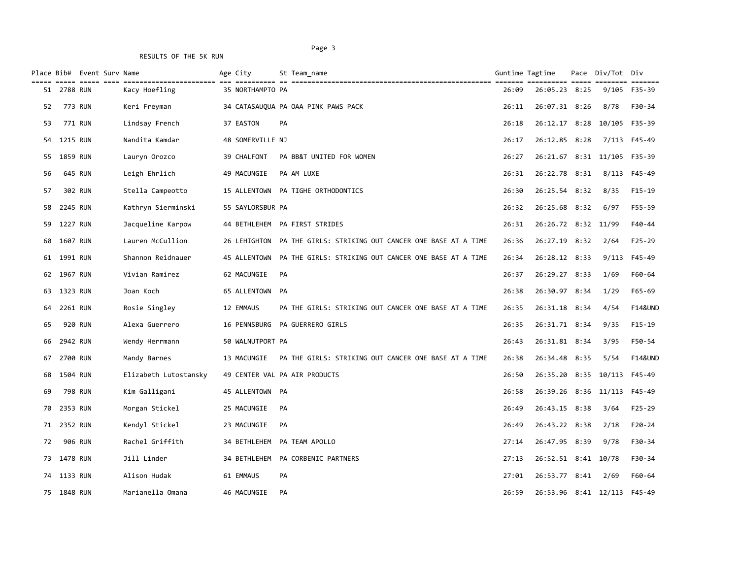#### Page 3 and 2012 and 2012 and 2012 and 2012 and 2012 and 2012 and 2012 and 2012 and 2012 and 2012 and 2012 and 2012 and 2012 and 2012 and 2012 and 2012 and 2012 and 2012 and 2012 and 2012 and 2012 and 2012 and 2012 and 2012

|    |             | Place Bib# Event Surv Name |                       | Age City         | St Team name                                                      |       | Guntime Tagtime             |      | Pace Div/Tot Div |                                                                            |
|----|-------------|----------------------------|-----------------------|------------------|-------------------------------------------------------------------|-------|-----------------------------|------|------------------|----------------------------------------------------------------------------|
| 51 | 2788 RUN    |                            | Kacy Hoefling         | 35 NORTHAMPTO PA |                                                                   | 26:09 | 26:05.23 8:25               |      | 9/105            | $\qquad \qquad \equiv \equiv \equiv \equiv \equiv \equiv \equiv$<br>F35-39 |
| 52 |             | 773 RUN                    | Keri Freyman          |                  | 34 CATASAUQUA PA OAA PINK PAWS PACK                               | 26:11 | 26:07.31 8:26               |      | 8/78             | F30-34                                                                     |
| 53 |             | 771 RUN                    | Lindsay French        | 37 EASTON        | PA                                                                | 26:18 | 26:12.17 8:28 10/105        |      |                  | F35-39                                                                     |
| 54 | 1215 RUN    |                            | Nandita Kamdar        | 48 SOMERVILLE NJ |                                                                   | 26:17 | 26:12.85 8:28               |      | 7/113            | F45-49                                                                     |
| 55 | 1859 RUN    |                            | Lauryn Orozco         | 39 CHALFONT      | PA BB&T UNITED FOR WOMEN                                          | 26:27 | 26:21.67 8:31 11/105 F35-39 |      |                  |                                                                            |
| 56 |             | 645 RUN                    | Leigh Ehrlich         | 49 MACUNGIE      | PA AM LUXE                                                        | 26:31 | 26:22.78 8:31               |      |                  | 8/113 F45-49                                                               |
| 57 |             | 302 RUN                    | Stella Campeotto      |                  | 15 ALLENTOWN PA TIGHE ORTHODONTICS                                | 26:30 | 26:25.54 8:32               |      | 8/35             | $F15-19$                                                                   |
| 58 | 2245 RUN    |                            | Kathryn Sierminski    | 55 SAYLORSBUR PA |                                                                   | 26:32 | 26:25.68 8:32               |      | 6/97             | F55-59                                                                     |
| 59 | 1227 RUN    |                            | Jacqueline Karpow     |                  | 44 BETHLEHEM PA FIRST STRIDES                                     | 26:31 | 26:26.72 8:32 11/99         |      |                  | F40-44                                                                     |
| 60 | 1607 RUN    |                            | Lauren McCullion      | 26 LEHIGHTON     | PA THE GIRLS: STRIKING OUT CANCER ONE BASE AT A TIME              | 26:36 | 26:27.19 8:32               |      | 2/64             | $F25 - 29$                                                                 |
| 61 | 1991 RUN    |                            | Shannon Reidnauer     |                  | 45 ALLENTOWN PA THE GIRLS: STRIKING OUT CANCER ONE BASE AT A TIME | 26:34 | 26:28.12 8:33               |      | 9/113            | F45-49                                                                     |
| 62 | 1967 RUN    |                            | Vivian Ramirez        | 62 MACUNGIE      | PA                                                                | 26:37 | 26:29.27                    | 8:33 | 1/69             | F60-64                                                                     |
| 63 | 1323 RUN    |                            | Joan Koch             | 65 ALLENTOWN PA  |                                                                   | 26:38 | 26:30.97                    | 8:34 | 1/29             | $F65 - 69$                                                                 |
| 64 | 2261 RUN    |                            | Rosie Singley         | 12 EMMAUS        | PA THE GIRLS: STRIKING OUT CANCER ONE BASE AT A TIME              | 26:35 | 26:31.18 8:34               |      | 4/54             | <b>F14&amp;UND</b>                                                         |
| 65 |             | <b>920 RUN</b>             | Alexa Guerrero        |                  | 16 PENNSBURG PA GUERRERO GIRLS                                    | 26:35 | 26:31.71 8:34               |      | 9/35             | $F15-19$                                                                   |
| 66 | 2942 RUN    |                            | Wendy Herrmann        | 50 WALNUTPORT PA |                                                                   | 26:43 | 26:31.81 8:34               |      | 3/95             | F50-54                                                                     |
| 67 | 2700 RUN    |                            | Mandy Barnes          | 13 MACUNGIE      | PA THE GIRLS: STRIKING OUT CANCER ONE BASE AT A TIME              | 26:38 | 26:34.48 8:35               |      | 5/54             | <b>F14&amp;UND</b>                                                         |
| 68 | 1504 RUN    |                            | Elizabeth Lutostansky |                  | 49 CENTER VAL PA AIR PRODUCTS                                     | 26:50 | 26:35.20 8:35 10/113        |      |                  | F45-49                                                                     |
| 69 |             | 798 RUN                    | Kim Galligani         | 45 ALLENTOWN PA  |                                                                   | 26:58 | 26:39.26 8:36 11/113        |      |                  | F45-49                                                                     |
| 70 | 2353 RUN    |                            | Morgan Stickel        | 25 MACUNGIE      | PA                                                                | 26:49 | 26:43.15 8:38               |      | 3/64             | $F25-29$                                                                   |
| 71 | 2352 RUN    |                            | Kendyl Stickel        | 23 MACUNGIE      | PA                                                                | 26:49 | 26:43.22 8:38               |      | 2/18             | $F20-24$                                                                   |
| 72 |             | <b>906 RUN</b>             | Rachel Griffith       |                  | 34 BETHLEHEM PA TEAM APOLLO                                       | 27:14 | 26:47.95 8:39               |      | 9/78             | F30-34                                                                     |
| 73 | 1478 RUN    |                            | Jill Linder           | 34 BETHLEHEM     | PA CORBENIC PARTNERS                                              | 27:13 | 26:52.51 8:41 10/78         |      |                  | F30-34                                                                     |
| 74 | 1133 RUN    |                            | Alison Hudak          | 61 EMMAUS        | PA                                                                | 27:01 | 26:53.77 8:41               |      | 2/69             | F60-64                                                                     |
|    | 75 1848 RUN |                            | Marianella Omana      | 46 MACUNGIE      | PA                                                                | 26:59 | 26:53.96 8:41 12/113        |      |                  | F45-49                                                                     |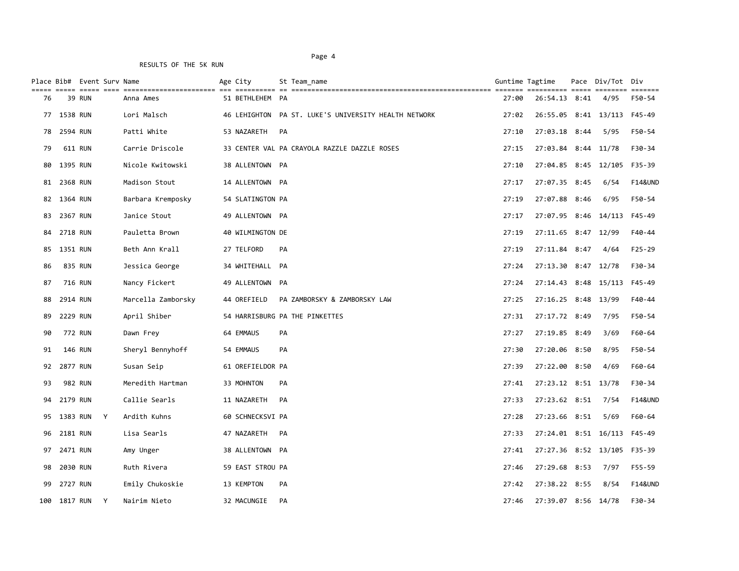| $=$ $=$ $=$ $=$ $=$ |             | Place Bib# Event Surv Name<br>ecces cose cose |                                       | Age City<br>========== | St Team name                                         |       | Guntime Tagtime<br>========== | Pace | Div/Tot                     | Div<br>eessess     |
|---------------------|-------------|-----------------------------------------------|---------------------------------------|------------------------|------------------------------------------------------|-------|-------------------------------|------|-----------------------------|--------------------|
| 76                  |             | 39 RUN                                        | ========================<br>Anna Ames | 51 BETHLEHEM PA        |                                                      | 27:00 | 26:54.13 8:41                 |      | 4/95                        | F50-54             |
|                     | 77 1538 RUN |                                               | Lori Malsch                           |                        | 46 LEHIGHTON PA ST. LUKE'S UNIVERSITY HEALTH NETWORK | 27:02 |                               |      | 26:55.05 8:41 13/113        | F45-49             |
| 78                  | 2594 RUN    |                                               | Patti White                           | 53 NAZARETH            | PA                                                   | 27:10 | 27:03.18 8:44                 |      | 5/95                        | F50-54             |
| 79                  |             | 611 RUN                                       | Carrie Driscole                       |                        | 33 CENTER VAL PA CRAYOLA RAZZLE DAZZLE ROSES         | 27:15 | 27:03.84 8:44 11/78           |      |                             | F30-34             |
|                     | 80 1395 RUN |                                               | Nicole Kwitowski                      | 38 ALLENTOWN PA        |                                                      | 27:10 |                               |      | 27:04.85 8:45 12/105 F35-39 |                    |
|                     | 81 2368 RUN |                                               | Madison Stout                         | 14 ALLENTOWN PA        |                                                      | 27:17 | 27:07.35 8:45                 |      | 6/54                        | <b>F14&amp;UND</b> |
|                     | 82 1364 RUN |                                               | Barbara Kremposky                     | 54 SLATINGTON PA       |                                                      | 27:19 | 27:07.88 8:46                 |      | 6/95                        | F50-54             |
| 83                  | 2367 RUN    |                                               | Janice Stout                          | 49 ALLENTOWN PA        |                                                      | 27:17 | 27:07.95 8:46 14/113          |      |                             | F45-49             |
| 84                  | 2718 RUN    |                                               | Pauletta Brown                        | 40 WILMINGTON DE       |                                                      | 27:19 | 27:11.65 8:47 12/99           |      |                             | F40-44             |
| 85                  | 1351 RUN    |                                               | Beth Ann Krall                        | 27 TELFORD             | PA                                                   | 27:19 | 27:11.84 8:47                 |      | 4/64                        | $F25-29$           |
| 86                  |             | 835 RUN                                       | Jessica George                        | 34 WHITEHALL PA        |                                                      | 27:24 | 27:13.30 8:47 12/78           |      |                             | F30-34             |
| 87                  |             | 716 RUN                                       | Nancy Fickert                         | 49 ALLENTOWN PA        |                                                      | 27:24 | 27:14.43 8:48 15/113          |      |                             | F45-49             |
| 88                  | 2914 RUN    |                                               | Marcella Zamborsky                    | 44 OREFIELD            | PA ZAMBORSKY & ZAMBORSKY LAW                         | 27:25 | 27:16.25 8:48 13/99           |      |                             | F40-44             |
| 89                  | 2229 RUN    |                                               | April Shiber                          |                        | 54 HARRISBURG PA THE PINKETTES                       | 27:31 | 27:17.72 8:49                 |      | 7/95                        | F50-54             |
| 90                  |             | 772 RUN                                       | Dawn Frey                             | 64 EMMAUS              | PA                                                   | 27:27 | 27:19.85 8:49                 |      | 3/69                        | F60-64             |
| 91                  |             | <b>146 RUN</b>                                | Sheryl Bennyhoff                      | 54 EMMAUS              | PA                                                   | 27:30 | 27:20.06 8:50                 |      | 8/95                        | F50-54             |
|                     | 92 2877 RUN |                                               | Susan Seip                            | 61 OREFIELDOR PA       |                                                      | 27:39 | 27:22.00 8:50                 |      | 4/69                        | F60-64             |
| 93                  |             | 982 RUN                                       | Meredith Hartman                      | 33 MOHNTON             | PA                                                   | 27:41 | 27:23.12 8:51 13/78           |      |                             | F30-34             |
| 94                  | 2179 RUN    |                                               | Callie Searls                         | 11 NAZARETH            | PA                                                   | 27:33 | 27:23.62 8:51 7/54            |      |                             | <b>F14&amp;UND</b> |
|                     | 95 1383 RUN | Y                                             | Ardith Kuhns                          | 60 SCHNECKSVI PA       |                                                      | 27:28 | 27:23.66 8:51                 |      | 5/69                        | F60-64             |
| 96                  | 2181 RUN    |                                               | Lisa Searls                           | 47 NAZARETH            | PA                                                   | 27:33 | 27:24.01 8:51 16/113          |      |                             | F45-49             |
|                     | 97 2471 RUN |                                               | Amy Unger                             | 38 ALLENTOWN PA        |                                                      | 27:41 |                               |      | 27:27.36 8:52 13/105 F35-39 |                    |
| 98                  | 2030 RUN    |                                               | Ruth Rivera                           | 59 EAST STROU PA       |                                                      | 27:46 | 27:29.68 8:53                 |      | 7/97                        | F55-59             |
| 99                  | 2727 RUN    |                                               | Emily Chukoskie                       | 13 KEMPTON             | PA                                                   | 27:42 | 27:38.22 8:55                 |      | 8/54                        | <b>F14&amp;UND</b> |
| 100                 | 1817 RUN    | Y                                             | Nairim Nieto                          | 32 MACUNGIE            | PA                                                   | 27:46 | 27:39.07 8:56 14/78           |      |                             | F30-34             |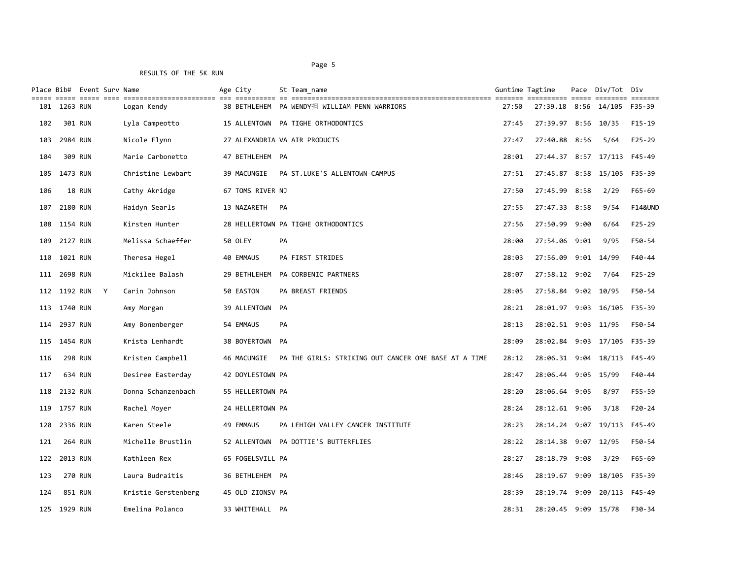|       |              | Place Bib# Event Surv Name |   |                     | Age City  |                  |    | St Team name                                         | Guntime Tagtime |                             |      | Pace Div/Tot Div |                    |
|-------|--------------|----------------------------|---|---------------------|-----------|------------------|----|------------------------------------------------------|-----------------|-----------------------------|------|------------------|--------------------|
| ===== | 101 1263 RUN |                            |   | Logan Kendy         |           |                  |    | 38 BETHLEHEM PA WENDY担 WILLIAM PENN WARRIORS         | 27:50           | 27:39.18 8:56 14/105 F35-39 |      |                  |                    |
| 102   |              | 301 RUN                    |   | Lyla Campeotto      |           |                  |    | 15 ALLENTOWN PA TIGHE ORTHODONTICS                   | 27:45           | 27:39.97 8:56 10/35         |      |                  | F15-19             |
| 103   | 2984 RUN     |                            |   | Nicole Flynn        |           |                  |    | 27 ALEXANDRIA VA AIR PRODUCTS                        | 27:47           | 27:40.88 8:56               |      | 5/64             | $F25-29$           |
| 104   |              | 309 RUN                    |   | Marie Carbonetto    |           | 47 BETHLEHEM PA  |    |                                                      | 28:01           | 27:44.37 8:57 17/113 F45-49 |      |                  |                    |
| 105   | 1473 RUN     |                            |   | Christine Lewbart   |           | 39 MACUNGIE      |    | PA ST. LUKE'S ALLENTOWN CAMPUS                       | 27:51           | 27:45.87 8:58 15/105        |      |                  | F35-39             |
| 106   |              | 18 RUN                     |   | Cathy Akridge       |           | 67 TOMS RIVER NJ |    |                                                      | 27:50           | 27:45.99 8:58               |      | 2/29             | F65-69             |
| 107   | 2180 RUN     |                            |   | Haidyn Searls       |           | 13 NAZARETH      | PA |                                                      | 27:55           | 27:47.33 8:58               |      | 9/54             | <b>F14&amp;UND</b> |
| 108   | 1154 RUN     |                            |   | Kirsten Hunter      |           |                  |    | 28 HELLERTOWN PA TIGHE ORTHODONTICS                  | 27:56           | 27:50.99                    | 9:00 | 6/64             | $F25-29$           |
| 109   | 2127 RUN     |                            |   | Melissa Schaeffer   | 50 OLEY   |                  | PA |                                                      | 28:00           | 27:54.06 9:01               |      | 9/95             | F50-54             |
| 110   | 1021 RUN     |                            |   | Theresa Hegel       | 40 EMMAUS |                  |    | PA FIRST STRIDES                                     | 28:03           | 27:56.09 9:01 14/99         |      |                  | $F40 - 44$         |
|       | 111 2698 RUN |                            |   | Mickilee Balash     |           |                  |    | 29 BETHLEHEM PA CORBENIC PARTNERS                    | 28:07           | 27:58.12 9:02               |      | 7/64             | $F25-29$           |
|       | 112 1192 RUN |                            | Y | Carin Johnson       | 50 EASTON |                  |    | PA BREAST FRIENDS                                    | 28:05           | 27:58.84 9:02 10/95         |      |                  | F50-54             |
|       | 113 1740 RUN |                            |   | Amy Morgan          |           | 39 ALLENTOWN PA  |    |                                                      | 28:21           | 28:01.97 9:03 16/105 F35-39 |      |                  |                    |
| 114   | 2937 RUN     |                            |   | Amy Bonenberger     | 54 EMMAUS |                  | PA |                                                      | 28:13           | 28:02.51 9:03 11/95         |      |                  | F50-54             |
| 115   | 1454 RUN     |                            |   | Krista Lenhardt     |           | 38 BOYERTOWN PA  |    |                                                      | 28:09           | 28:02.84 9:03 17/105 F35-39 |      |                  |                    |
| 116   |              | <b>298 RUN</b>             |   | Kristen Campbell    |           | 46 MACUNGIE      |    | PA THE GIRLS: STRIKING OUT CANCER ONE BASE AT A TIME | 28:12           | 28:06.31 9:04 18/113 F45-49 |      |                  |                    |
| 117   |              | 634 RUN                    |   | Desiree Easterday   |           | 42 DOYLESTOWN PA |    |                                                      | 28:47           | 28:06.44 9:05 15/99         |      |                  | F40-44             |
| 118   | 2132 RUN     |                            |   | Donna Schanzenbach  |           | 55 HELLERTOWN PA |    |                                                      | 28:20           | 28:06.64 9:05               |      | 8/97             | F55-59             |
| 119   | 1757 RUN     |                            |   | Rachel Moyer        |           | 24 HELLERTOWN PA |    |                                                      | 28:24           | 28:12.61 9:06               |      | 3/18             | $F20-24$           |
| 120   | 2336 RUN     |                            |   | Karen Steele        | 49 EMMAUS |                  |    | PA LEHIGH VALLEY CANCER INSTITUTE                    | 28:23           | 28:14.24 9:07 19/113        |      |                  | F45-49             |
| 121   |              | <b>264 RUN</b>             |   | Michelle Brustlin   |           |                  |    | 52 ALLENTOWN PA DOTTIE'S BUTTERFLIES                 | 28:22           | 28:14.38 9:07 12/95         |      |                  | F50-54             |
| 122   | 2013 RUN     |                            |   | Kathleen Rex        |           | 65 FOGELSVILL PA |    |                                                      | 28:27           | 28:18.79 9:08               |      | 3/29             | F65-69             |
| 123   |              | <b>270 RUN</b>             |   | Laura Budraitis     |           | 36 BETHLEHEM PA  |    |                                                      | 28:46           | 28:19.67 9:09 18/105 F35-39 |      |                  |                    |
| 124   |              | 851 RUN                    |   | Kristie Gerstenberg |           | 45 OLD ZIONSV PA |    |                                                      | 28:39           | 28:19.74 9:09 20/113 F45-49 |      |                  |                    |
| 125   | 1929 RUN     |                            |   | Emelina Polanco     |           | 33 WHITEHALL PA  |    |                                                      | 28:31           | 28:20.45 9:09 15/78         |      |                  | F30-34             |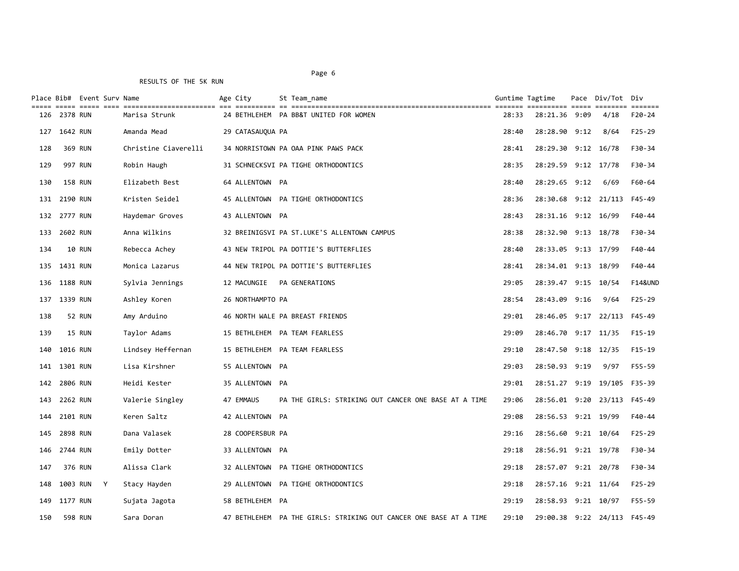|     |                 | Place Bib# Event Surv Name |                      | Age City         | St Team name                                                      |       | Guntime Tagtime<br>---------- ----- |      | Pace Div/Tot Div | $= = = = = = =$    |
|-----|-----------------|----------------------------|----------------------|------------------|-------------------------------------------------------------------|-------|-------------------------------------|------|------------------|--------------------|
| 126 | <b>2378 RUN</b> |                            | Marisa Strunk        |                  | 24 BETHLEHEM PA BB&T UNITED FOR WOMEN                             | 28:33 | 28:21.36                            | 9:09 | 4/18             | $F20-24$           |
| 127 | 1642 RUN        |                            | Amanda Mead          | 29 CATASAUQUA PA |                                                                   | 28:40 | 28:28.90 9:12                       |      | 8/64             | $F25-29$           |
| 128 |                 | 369 RUN                    | Christine Ciaverelli |                  | 34 NORRISTOWN PA OAA PINK PAWS PACK                               | 28:41 | 28:29.30 9:12 16/78                 |      |                  | F30-34             |
| 129 |                 | 997 RUN                    | Robin Haugh          |                  | 31 SCHNECKSVI PA TIGHE ORTHODONTICS                               | 28:35 | 28:29.59 9:12 17/78                 |      |                  | F30-34             |
| 130 |                 | <b>158 RUN</b>             | Elizabeth Best       | 64 ALLENTOWN PA  |                                                                   | 28:40 | 28:29.65 9:12                       |      | 6/69             | F60-64             |
| 131 | 2190 RUN        |                            | Kristen Seidel       |                  | 45 ALLENTOWN PA TIGHE ORTHODONTICS                                | 28:36 | 28:30.68 9:12 21/113                |      |                  | F45-49             |
|     | 132 2777 RUN    |                            | Haydemar Groves      | 43 ALLENTOWN PA  |                                                                   | 28:43 | 28:31.16 9:12 16/99                 |      |                  | $F40 - 44$         |
| 133 | 2602 RUN        |                            | Anna Wilkins         |                  | 32 BREINIGSVI PA ST.LUKE'S ALLENTOWN CAMPUS                       | 28:38 | 28:32.90 9:13 18/78                 |      |                  | F30-34             |
| 134 |                 | <b>10 RUN</b>              | Rebecca Achey        |                  | 43 NEW TRIPOL PA DOTTIE'S BUTTERFLIES                             | 28:40 | 28:33.05 9:13 17/99                 |      |                  | F40-44             |
| 135 | 1431 RUN        |                            | Monica Lazarus       |                  | 44 NEW TRIPOL PA DOTTIE'S BUTTERFLIES                             | 28:41 | 28:34.01 9:13 18/99                 |      |                  | F40-44             |
| 136 | 1188 RUN        |                            | Sylvia Jennings      | 12 MACUNGIE      | PA GENERATIONS                                                    | 29:05 | 28:39.47 9:15 10/54                 |      |                  | <b>F14&amp;UND</b> |
| 137 | 1339 RUN        |                            | Ashley Koren         | 26 NORTHAMPTO PA |                                                                   | 28:54 | 28:43.09 9:16                       |      | 9/64             | $F25-29$           |
| 138 |                 | <b>52 RUN</b>              | Amy Arduino          |                  | 46 NORTH WALE PA BREAST FRIENDS                                   | 29:01 | 28:46.05 9:17 22/113                |      |                  | F45-49             |
| 139 |                 | 15 RUN                     | Taylor Adams         |                  | 15 BETHLEHEM PA TEAM FEARLESS                                     | 29:09 | 28:46.70 9:17 11/35                 |      |                  | $F15-19$           |
| 140 | 1016 RUN        |                            | Lindsey Heffernan    |                  | 15 BETHLEHEM PA TEAM FEARLESS                                     | 29:10 | 28:47.50 9:18 12/35                 |      |                  | $F15-19$           |
| 141 | 1301 RUN        |                            | Lisa Kirshner        | 55 ALLENTOWN PA  |                                                                   | 29:03 | 28:50.93 9:19                       |      | 9/97             | F55-59             |
| 142 | 2806 RUN        |                            | Heidi Kester         | 35 ALLENTOWN PA  |                                                                   | 29:01 | 28:51.27 9:19 19/105                |      |                  | F35-39             |
| 143 | 2262 RUN        |                            | Valerie Singley      | 47 EMMAUS        | PA THE GIRLS: STRIKING OUT CANCER ONE BASE AT A TIME              | 29:06 | 28:56.01 9:20 23/113                |      |                  | F45-49             |
| 144 | 2101 RUN        |                            | Keren Saltz          | 42 ALLENTOWN PA  |                                                                   | 29:08 | 28:56.53 9:21 19/99                 |      |                  | F40-44             |
| 145 | 2898 RUN        |                            | Dana Valasek         | 28 COOPERSBUR PA |                                                                   | 29:16 | 28:56.60 9:21 10/64                 |      |                  | $F25-29$           |
| 146 | 2744 RUN        |                            | Emily Dotter         | 33 ALLENTOWN PA  |                                                                   | 29:18 | 28:56.91 9:21 19/78                 |      |                  | F30-34             |
| 147 |                 | 376 RUN                    | Alissa Clark         |                  | 32 ALLENTOWN PA TIGHE ORTHODONTICS                                | 29:18 | 28:57.07 9:21 20/78                 |      |                  | F30-34             |
| 148 | 1003 RUN        | Y                          | Stacy Hayden         |                  | 29 ALLENTOWN PA TIGHE ORTHODONTICS                                | 29:18 | 28:57.16 9:21 11/64                 |      |                  | $F25-29$           |
| 149 | 1177 RUN        |                            | Sujata Jagota        | 58 BETHLEHEM PA  |                                                                   | 29:19 | 28:58.93 9:21 10/97                 |      |                  | F55-59             |
| 150 |                 | <b>598 RUN</b>             | Sara Doran           |                  | 47 BETHLEHEM PA THE GIRLS: STRIKING OUT CANCER ONE BASE AT A TIME | 29:10 | 29:00.38 9:22 24/113                |      |                  | F45-49             |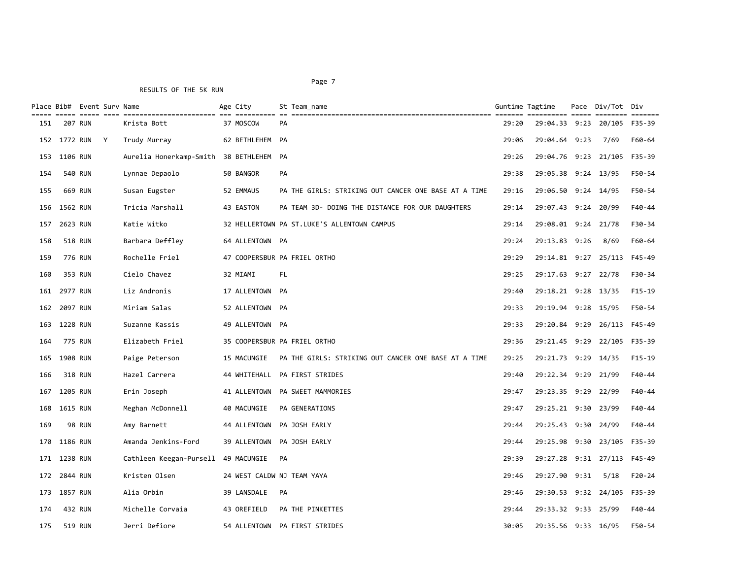Page 7 and 2012 and 2012 and 2012 and 2012 and 2012 and 2012 and 2012 and 2012 and 2012 and 2012 and 2012 and

|     |              | Place Bib# Event Surv Name<br><u>===== ===== ====</u> |   |                         | Age City        | St Team name                                         | Guntime Tagtime |                             | Pace Div/Tot Div | $\qquad \qquad \equiv \equiv \equiv \equiv \equiv \equiv \equiv$ |
|-----|--------------|-------------------------------------------------------|---|-------------------------|-----------------|------------------------------------------------------|-----------------|-----------------------------|------------------|------------------------------------------------------------------|
| 151 |              | 207 RUN                                               |   | Krista Bott             | 37 MOSCOW       | PA                                                   | 29:20           | 29:04.33 9:23               | 20/105           | F35-39                                                           |
|     | 152 1772 RUN |                                                       | Y | Trudy Murray            | 62 BETHLEHEM PA |                                                      | 29:06           | 29:04.64 9:23               | 7/69             | F60-64                                                           |
| 153 | 1106 RUN     |                                                       |   | Aurelia Honerkamp-Smith | 38 BETHLEHEM PA |                                                      | 29:26           | 29:04.76 9:23 21/105        |                  | F35-39                                                           |
| 154 |              | 540 RUN                                               |   | Lynnae Depaolo          | 50 BANGOR       | <b>PA</b>                                            | 29:38           | 29:05.38 9:24 13/95         |                  | F50-54                                                           |
| 155 |              | 669 RUN                                               |   | Susan Eugster           | 52 EMMAUS       | PA THE GIRLS: STRIKING OUT CANCER ONE BASE AT A TIME | 29:16           | 29:06.50 9:24 14/95         |                  | F50-54                                                           |
| 156 | 1562 RUN     |                                                       |   | Tricia Marshall         | 43 EASTON       | PA TEAM 3D- DOING THE DISTANCE FOR OUR DAUGHTERS     | 29:14           | 29:07.43 9:24 20/99         |                  | $F40 - 44$                                                       |
| 157 | 2623 RUN     |                                                       |   | Katie Witko             |                 | 32 HELLERTOWN PA ST.LUKE'S ALLENTOWN CAMPUS          | 29:14           | 29:08.01 9:24 21/78         |                  | F30-34                                                           |
| 158 |              | <b>518 RUN</b>                                        |   | Barbara Deffley         | 64 ALLENTOWN PA |                                                      | 29:24           | 29:13.83 9:26               | 8/69             | F60-64                                                           |
| 159 |              | 776 RUN                                               |   | Rochelle Friel          |                 | 47 COOPERSBUR PA FRIEL ORTHO                         | 29:29           | 29:14.81 9:27 25/113        |                  | F45-49                                                           |
| 160 |              | 353 RUN                                               |   | Cielo Chavez            | 32 MIAMI        | FL.                                                  | 29:25           | 29:17.63 9:27 22/78         |                  | F30-34                                                           |
| 161 | 2977 RUN     |                                                       |   | Liz Andronis            | 17 ALLENTOWN PA |                                                      | 29:40           | 29:18.21 9:28 13/35         |                  | $F15-19$                                                         |
| 162 | 2097 RUN     |                                                       |   | Miriam Salas            | 52 ALLENTOWN PA |                                                      | 29:33           | 29:19.94 9:28 15/95         |                  | F50-54                                                           |
| 163 | 1228 RUN     |                                                       |   | Suzanne Kassis          | 49 ALLENTOWN PA |                                                      | 29:33           | 29:20.84 9:29 26/113        |                  | F45-49                                                           |
| 164 |              | 775 RUN                                               |   | Elizabeth Friel         |                 | 35 COOPERSBUR PA FRIEL ORTHO                         | 29:36           | 29:21.45 9:29 22/105 F35-39 |                  |                                                                  |
| 165 | 1908 RUN     |                                                       |   | Paige Peterson          | 15 MACUNGIE     | PA THE GIRLS: STRIKING OUT CANCER ONE BASE AT A TIME | 29:25           | 29:21.73 9:29 14/35         |                  | $F15-19$                                                         |
| 166 |              | 318 RUN                                               |   | Hazel Carrera           |                 | 44 WHITEHALL PA FIRST STRIDES                        | 29:40           | 29:22.34 9:29 21/99         |                  | F40-44                                                           |
| 167 | 1205 RUN     |                                                       |   | Erin Joseph             |                 | 41 ALLENTOWN PA SWEET MAMMORIES                      | 29:47           | 29:23.35 9:29 22/99         |                  | F40-44                                                           |
| 168 | 1615 RUN     |                                                       |   | Meghan McDonnell        | 40 MACUNGIE     | PA GENERATIONS                                       | 29:47           | 29:25.21 9:30 23/99         |                  | $F40 - 44$                                                       |
| 169 |              | <b>98 RUN</b>                                         |   | Amy Barnett             | 44 ALLENTOWN    | PA JOSH EARLY                                        | 29:44           | 29:25.43 9:30 24/99         |                  | $F40 - 44$                                                       |
| 170 | 1186 RUN     |                                                       |   | Amanda Jenkins-Ford     | 39 ALLENTOWN    | PA JOSH EARLY                                        | 29:44           | 29:25.98 9:30 23/105        |                  | F35-39                                                           |
| 171 | 1238 RUN     |                                                       |   | Cathleen Keegan-Pursell | 49 MACUNGIE     | PA                                                   | 29:39           | 29:27.28 9:31 27/113        |                  | F45-49                                                           |
| 172 | 2844 RUN     |                                                       |   | Kristen Olsen           |                 | 24 WEST CALDW NJ TEAM YAYA                           | 29:46           | 29:27.90 9:31               | 5/18             | $F20-24$                                                         |
| 173 | 1857 RUN     |                                                       |   | Alia Orbin              | 39 LANSDALE     | PA                                                   | 29:46           | 29:30.53 9:32 24/105        |                  | F35-39                                                           |
| 174 |              | 432 RUN                                               |   | Michelle Corvaia        | 43 OREFIELD     | PA THE PINKETTES                                     | 29:44           | 29:33.32 9:33 25/99         |                  | $F40 - 44$                                                       |
| 175 |              | 519 RUN                                               |   | Jerri Defiore           |                 | 54 ALLENTOWN PA FIRST STRIDES                        | 30:05           | 29:35.56 9:33 16/95         |                  | F50-54                                                           |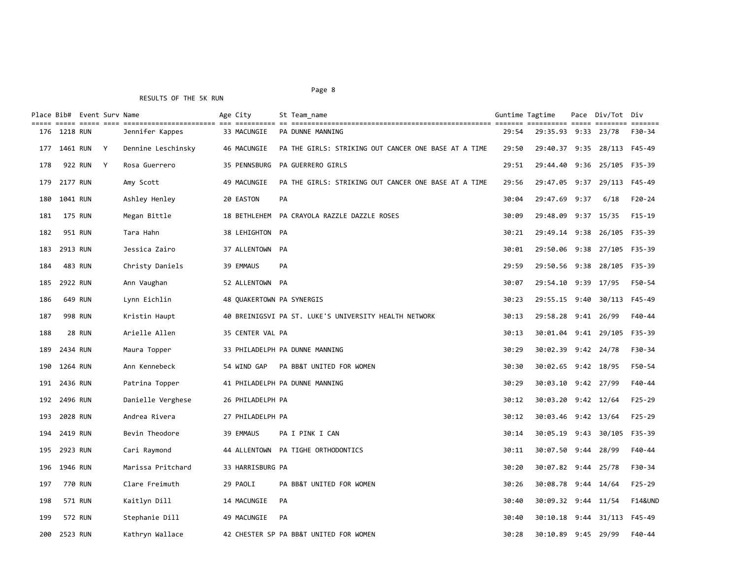# Page 8 and the state of the state of the state of the state of the state of the state of the state of the state of the state of the state of the state of the state of the state of the state of the state of the state of the

| Place Bib# Event Surv Name |                | ----- ----- ---- |   |                    | Age City                  |           | St Team_name                                          | Guntime Tagtime |                             | Pace Div/Tot Div   |                    |
|----------------------------|----------------|------------------|---|--------------------|---------------------------|-----------|-------------------------------------------------------|-----------------|-----------------------------|--------------------|--------------------|
| 176                        | 1218 RUN       |                  |   | Jennifer Kappes    | 33 MACUNGIE               |           | PA DUNNE MANNING                                      | 29:54           | 29:35.93                    | 9:33 23/78         | F30-34             |
| 177                        | 1461 RUN       |                  | Y | Dennine Leschinsky | 46 MACUNGIE               |           | PA THE GIRLS: STRIKING OUT CANCER ONE BASE AT A TIME  | 29:50           | 29:40.37 9:35 28/113 F45-49 |                    |                    |
| 178                        |                | 922 RUN          | Y | Rosa Guerrero      | 35 PENNSBURG              |           | PA GUERRERO GIRLS                                     | 29:51           | 29:44.40                    | 9:36 25/105 F35-39 |                    |
| 179                        | 2177 RUN       |                  |   | Amy Scott          | 49 MACUNGIE               |           | PA THE GIRLS: STRIKING OUT CANCER ONE BASE AT A TIME  | 29:56           | 29:47.05 9:37 29/113 F45-49 |                    |                    |
| 180                        | 1041 RUN       |                  |   | Ashley Henley      | 20 EASTON                 | PA        |                                                       | 30:04           | 29:47.69 9:37               | 6/18               | $F20-24$           |
| 181                        | <b>175 RUN</b> |                  |   | Megan Bittle       |                           |           | 18 BETHLEHEM PA CRAYOLA RAZZLE DAZZLE ROSES           | 30:09           | 29:48.09 9:37 15/35         |                    | $F15-19$           |
| 182                        |                | 951 RUN          |   | Tara Hahn          | 38 LEHIGHTON PA           |           |                                                       | 30:21           | 29:49.14 9:38 26/105 F35-39 |                    |                    |
| 183                        | 2913 RUN       |                  |   | Jessica Zairo      | 37 ALLENTOWN PA           |           |                                                       | 30:01           | 29:50.06 9:38 27/105 F35-39 |                    |                    |
| 184                        |                | 483 RUN          |   | Christy Daniels    | 39 EMMAUS                 | PA        |                                                       | 29:59           | 29:50.56 9:38 28/105 F35-39 |                    |                    |
| 185                        | 2922 RUN       |                  |   | Ann Vaughan        | 52 ALLENTOWN PA           |           |                                                       | 30:07           | 29:54.10 9:39 17/95         |                    | F50-54             |
| 186                        |                | 649 RUN          |   | Lynn Eichlin       | 48 QUAKERTOWN PA SYNERGIS |           |                                                       | 30:23           | 29:55.15 9:40 30/113 F45-49 |                    |                    |
| 187                        |                | <b>998 RUN</b>   |   | Kristin Haupt      |                           |           | 40 BREINIGSVI PA ST. LUKE'S UNIVERSITY HEALTH NETWORK | 30:13           | 29:58.28 9:41 26/99         |                    | F40-44             |
| 188                        |                | 28 RUN           |   | Arielle Allen      | 35 CENTER VAL PA          |           |                                                       | 30:13           | 30:01.04 9:41 29/105        |                    | F35-39             |
| 189                        | 2434 RUN       |                  |   | Maura Topper       |                           |           | 33 PHILADELPH PA DUNNE MANNING                        | 30:29           | 30:02.39 9:42 24/78         |                    | F30-34             |
| 190                        | 1264 RUN       |                  |   | Ann Kennebeck      | 54 WIND GAP               |           | PA BB&T UNITED FOR WOMEN                              | 30:30           | 30:02.65 9:42 18/95         |                    | F50-54             |
| 191                        | 2436 RUN       |                  |   | Patrina Topper     |                           |           | 41 PHILADELPH PA DUNNE MANNING                        | 30:29           | 30:03.10 9:42 27/99         |                    | F40-44             |
| 192                        | 2496 RUN       |                  |   | Danielle Verghese  | 26 PHILADELPH PA          |           |                                                       | 30:12           | 30:03.20 9:42 12/64         |                    | $F25 - 29$         |
| 193                        | 2028 RUN       |                  |   | Andrea Rivera      | 27 PHILADELPH PA          |           |                                                       | 30:12           | 30:03.46 9:42 13/64         |                    | $F25 - 29$         |
| 194                        | 2419 RUN       |                  |   | Bevin Theodore     | 39 EMMAUS                 |           | PA I PINK I CAN                                       | 30:14           | 30:05.19 9:43 30/105        |                    | F35-39             |
| 195                        | 2923 RUN       |                  |   | Cari Raymond       |                           |           | 44 ALLENTOWN PA TIGHE ORTHODONTICS                    | 30:11           | 30:07.50 9:44 28/99         |                    | F40-44             |
| 196                        | 1946 RUN       |                  |   | Marissa Pritchard  | 33 HARRISBURG PA          |           |                                                       | 30:20           | 30:07.82 9:44 25/78         |                    | F30-34             |
| 197                        | <b>770 RUN</b> |                  |   | Clare Freimuth     | 29 PAOLI                  |           | PA BB&T UNITED FOR WOMEN                              | 30:26           | 30:08.78 9:44 14/64         |                    | $F25-29$           |
| 198                        |                | 571 RUN          |   | Kaitlyn Dill       | 14 MACUNGIE               | PA        |                                                       | 30:40           | 30:09.32 9:44 11/54         |                    | <b>F14&amp;UND</b> |
| 199                        |                | <b>572 RUN</b>   |   | Stephanie Dill     | 49 MACUNGIE               | <b>PA</b> |                                                       | 30:40           | 30:10.18 9:44 31/113 F45-49 |                    |                    |
| 200                        | 2523 RUN       |                  |   | Kathryn Wallace    |                           |           | 42 CHESTER SP PA BB&T UNITED FOR WOMEN                | 30:28           | 30:10.89 9:45 29/99         |                    | $F40 - 44$         |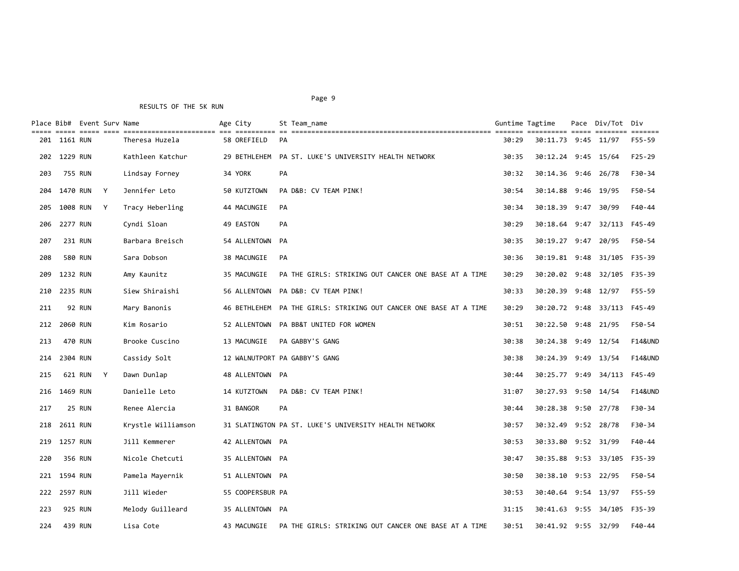|     |          | Place Bib# Event Surv Name |   |                    | Age City         | St Team name                                          | Guntime Tagtime |                      | Pace Div/Tot Div<br>essesses essesse |                    |
|-----|----------|----------------------------|---|--------------------|------------------|-------------------------------------------------------|-----------------|----------------------|--------------------------------------|--------------------|
| 201 | 1161 RUN |                            |   | Theresa Huzela     | 58 OREFIELD      | PA                                                    | 30:29           | 30:11.73 9:45        | 11/97                                | F55-59             |
| 202 | 1229 RUN |                            |   | Kathleen Katchur   | 29 BETHLEHEM     | PA ST. LUKE'S UNIVERSITY HEALTH NETWORK               | 30:35           | 30:12.24 9:45 15/64  |                                      | $F25 - 29$         |
| 203 |          | <b>755 RUN</b>             |   | Lindsay Forney     | 34 YORK          | PA                                                    | 30:32           | 30:14.36 9:46        | 26/78                                | F30-34             |
| 204 | 1470 RUN |                            | Y | Jennifer Leto      | 50 KUTZTOWN      | PA D&B: CV TEAM PINK!                                 | 30:54           | 30:14.88 9:46        | 19/95                                | F50-54             |
| 205 | 1008 RUN |                            | Y | Tracy Heberling    | 44 MACUNGIE      | PA.                                                   | 30:34           | 30:18.39 9:47        | 30/99                                | F40-44             |
| 206 | 2277 RUN |                            |   | Cyndi Sloan        | 49 EASTON        | PA                                                    | 30:29           | 30:18.64 9:47        | 32/113                               | F45-49             |
| 207 |          | 231 RUN                    |   | Barbara Breisch    | 54 ALLENTOWN PA  |                                                       | 30:35           | 30:19.27 9:47        | 20/95                                | F50-54             |
| 208 |          | <b>580 RUN</b>             |   | Sara Dobson        | 38 MACUNGIE      | PA                                                    | 30:36           | 30:19.81 9:48        | 31/105                               | F35-39             |
| 209 | 1232 RUN |                            |   | Amy Kaunitz        | 35 MACUNGIE      | PA THE GIRLS: STRIKING OUT CANCER ONE BASE AT A TIME  | 30:29           | 30:20.02 9:48        | 32/105                               | F35-39             |
| 210 | 2235 RUN |                            |   | Siew Shiraishi     | 56 ALLENTOWN     | PA D&B: CV TEAM PINK!                                 | 30:33           | 30:20.39 9:48        | 12/97                                | F55-59             |
| 211 |          | <b>92 RUN</b>              |   | Mary Banonis       | 46 BETHLEHEM     | PA THE GIRLS: STRIKING OUT CANCER ONE BASE AT A TIME  | 30:29           | 30:20.72 9:48        | 33/113                               | F45-49             |
| 212 | 2060 RUN |                            |   | Kim Rosario        | 52 ALLENTOWN     | PA BB&T UNITED FOR WOMEN                              | 30:51           | 30:22.50 9:48        | 21/95                                | F50-54             |
| 213 |          | 470 RUN                    |   | Brooke Cuscino     | 13 MACUNGIE      | PA GABBY'S GANG                                       | 30:38           | 30:24.38 9:49 12/54  |                                      | <b>F14&amp;UND</b> |
| 214 | 2304 RUN |                            |   | Cassidy Solt       |                  | 12 WALNUTPORT PA GABBY'S GANG                         | 30:38           | 30:24.39 9:49 13/54  |                                      | <b>F14&amp;UND</b> |
| 215 |          | 621 RUN                    | Y | Dawn Dunlap        | 48 ALLENTOWN PA  |                                                       | 30:44           | 30:25.77 9:49        | 34/113                               | F45-49             |
| 216 | 1469 RUN |                            |   | Danielle Leto      | 14 KUTZTOWN      | PA D&B: CV TEAM PINK!                                 | 31:07           | 30:27.93 9:50 14/54  |                                      | <b>F14&amp;UND</b> |
| 217 |          | <b>25 RUN</b>              |   | Renee Alercia      | 31 BANGOR        | PA                                                    | 30:44           | 30:28.38 9:50 27/78  |                                      | F30-34             |
| 218 | 2611 RUN |                            |   | Krystle Williamson |                  | 31 SLATINGTON PA ST. LUKE'S UNIVERSITY HEALTH NETWORK | 30:57           | 30:32.49 9:52 28/78  |                                      | F30-34             |
| 219 | 1257 RUN |                            |   | Jill Kemmerer      | 42 ALLENTOWN PA  |                                                       | 30:53           | 30:33.80 9:52 31/99  |                                      | F40-44             |
| 220 |          | 356 RUN                    |   | Nicole Chetcuti    | 35 ALLENTOWN PA  |                                                       | 30:47           | 30:35.88 9:53 33/105 |                                      | F35-39             |
| 221 | 1594 RUN |                            |   | Pamela Mayernik    | 51 ALLENTOWN PA  |                                                       | 30:50           | 30:38.10 9:53 22/95  |                                      | F50-54             |
| 222 | 2597 RUN |                            |   | Jill Wieder        | 55 COOPERSBUR PA |                                                       | 30:53           | 30:40.64 9:54 13/97  |                                      | F55-59             |
| 223 |          | 925 RUN                    |   | Melody Guilleard   | 35 ALLENTOWN PA  |                                                       | 31:15           | 30:41.63 9:55 34/105 |                                      | F35-39             |
| 224 |          | 439 RUN                    |   | Lisa Cote          | 43 MACUNGIE      | PA THE GIRLS: STRIKING OUT CANCER ONE BASE AT A TIME  | 30:51           | 30:41.92 9:55 32/99  |                                      | F40-44             |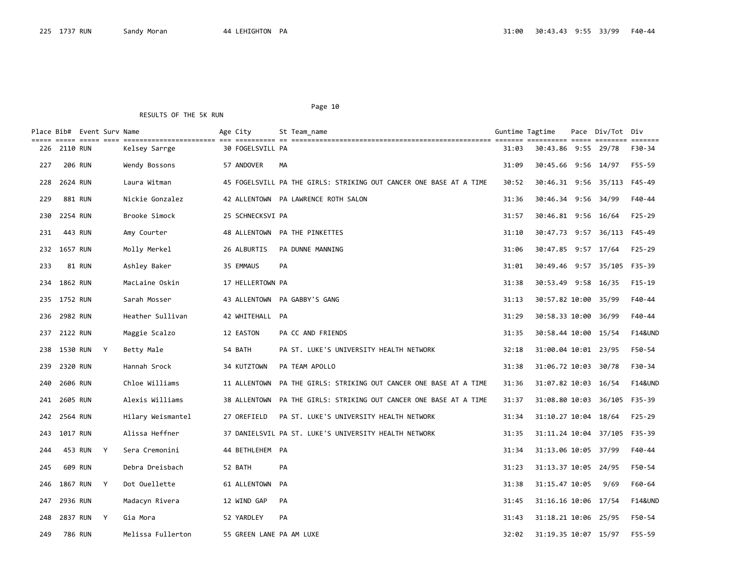|     |              | Place Bib#  Event Surv Name |                   | Age City                 |           | St Team name                                                       | Guntime Tagtime |                              | Pace Div/Tot Div |                    |
|-----|--------------|-----------------------------|-------------------|--------------------------|-----------|--------------------------------------------------------------------|-----------------|------------------------------|------------------|--------------------|
| 226 | 2110 RUN     |                             | Kelsey Sarrge     | 30 FOGELSVILL PA         |           |                                                                    | 31:03           | 30:43.86 9:55 29/78          |                  | F30-34             |
| 227 |              | <b>206 RUN</b>              | Wendy Bossons     | 57 ANDOVER               | МA        |                                                                    | 31:09           | 30:45.66 9:56 14/97          |                  | F55-59             |
| 228 | 2624 RUN     |                             | Laura Witman      |                          |           | 45 FOGELSVILL PA THE GIRLS: STRIKING OUT CANCER ONE BASE AT A TIME | 30:52           | 30:46.31 9:56 35/113 F45-49  |                  |                    |
| 229 |              | 881 RUN                     | Nickie Gonzalez   |                          |           | 42 ALLENTOWN PA LAWRENCE ROTH SALON                                | 31:36           | 30:46.34 9:56 34/99          |                  | F40-44             |
| 230 | 2254 RUN     |                             | Brooke Simock     | 25 SCHNECKSVI PA         |           |                                                                    | 31:57           | 30:46.81 9:56 16/64          |                  | F25-29             |
| 231 |              | 443 RUN                     | Amy Courter       |                          |           | 48 ALLENTOWN PA THE PINKETTES                                      | 31:10           | 30:47.73 9:57 36/113 F45-49  |                  |                    |
| 232 | 1657 RUN     |                             | Molly Merkel      | 26 ALBURTIS              |           | PA DUNNE MANNING                                                   | 31:06           | 30:47.85 9:57 17/64          |                  | $F25-29$           |
| 233 |              | 81 RUN                      | Ashley Baker      | 35 EMMAUS                | <b>PA</b> |                                                                    | 31:01           | 30:49.46 9:57 35/105 F35-39  |                  |                    |
| 234 | 1862 RUN     |                             | MacLaine Oskin    | 17 HELLERTOWN PA         |           |                                                                    | 31:38           | 30:53.49 9:58 16/35          |                  | $F15-19$           |
|     | 235 1752 RUN |                             | Sarah Mosser      |                          |           | 43 ALLENTOWN PA GABBY'S GANG                                       | 31:13           | 30:57.82 10:00 35/99         |                  | $F40 - 44$         |
| 236 | 2982 RUN     |                             | Heather Sullivan  | 42 WHITEHALL PA          |           |                                                                    | 31:29           | 30:58.33 10:00 36/99         |                  | F40-44             |
|     | 237 2122 RUN |                             | Maggie Scalzo     | 12 EASTON                |           | PA CC AND FRIENDS                                                  | 31:35           | 30:58.44 10:00 15/54         |                  | <b>F14&amp;UND</b> |
|     | 238 1530 RUN | $\mathsf{Y}$                | Betty Male        | 54 BATH                  |           | PA ST. LUKE'S UNIVERSITY HEALTH NETWORK                            | 32:18           | 31:00.04 10:01 23/95         |                  | F50-54             |
| 239 | 2320 RUN     |                             | Hannah Srock      | 34 KUTZTOWN              |           | PA TEAM APOLLO                                                     | 31:38           | 31:06.72 10:03 30/78         |                  | F30-34             |
| 240 | 2606 RUN     |                             | Chloe Williams    |                          |           | 11 ALLENTOWN PA THE GIRLS: STRIKING OUT CANCER ONE BASE AT A TIME  | 31:36           | 31:07.82 10:03 16/54         |                  | <b>F14&amp;UND</b> |
| 241 | 2605 RUN     |                             | Alexis Williams   |                          |           | 38 ALLENTOWN PA THE GIRLS: STRIKING OUT CANCER ONE BASE AT A TIME  | 31:37           | 31:08.80 10:03 36/105        |                  | F35-39             |
| 242 | 2564 RUN     |                             | Hilary Weismantel | 27 OREFIELD              |           | PA ST. LUKE'S UNIVERSITY HEALTH NETWORK                            | 31:34           | 31:10.27 10:04 18/64         |                  | $F25-29$           |
|     | 243 1017 RUN |                             | Alissa Heffner    |                          |           | 37 DANIELSVIL PA ST. LUKE'S UNIVERSITY HEALTH NETWORK              | 31:35           | 31:11.24 10:04 37/105 F35-39 |                  |                    |
| 244 |              | 453 RUN<br>Y                | Sera Cremonini    | 44 BETHLEHEM PA          |           |                                                                    | 31:34           | 31:13.06 10:05 37/99         |                  | F40-44             |
| 245 |              | 609 RUN                     | Debra Dreisbach   | 52 BATH                  | PA        |                                                                    | 31:23           | 31:13.37 10:05 24/95         |                  | F50-54             |
| 246 | 1867 RUN     | Y                           | Dot Ouellette     | 61 ALLENTOWN PA          |           |                                                                    | 31:38           | 31:15.47 10:05               | 9/69             | F60-64             |
| 247 | 2936 RUN     |                             | Madacyn Rivera    | 12 WIND GAP              | PA        |                                                                    | 31:45           | 31:16.16 10:06 17/54         |                  | <b>F14&amp;UND</b> |
| 248 | 2837 RUN     | Y                           | Gia Mora          | 52 YARDLEY               | <b>PA</b> |                                                                    | 31:43           | 31:18.21 10:06 25/95         |                  | F50-54             |
| 249 |              | 786 RUN                     | Melissa Fullerton | 55 GREEN LANE PA AM LUXE |           |                                                                    | 32:02           | 31:19.35 10:07 15/97         |                  | F55-59             |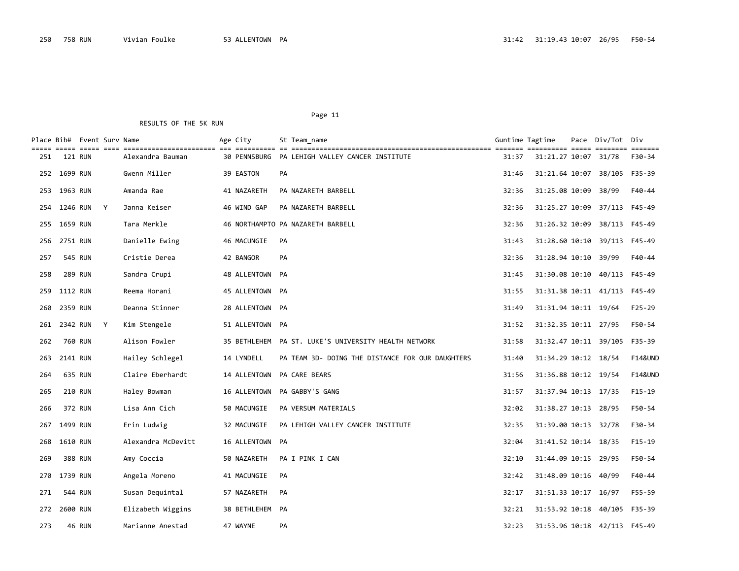| Page |
|------|
|------|

|     |              | Place Bib# Event Surv Name |   |                    | Age City                   |           | St Team name                                         | Guntime Tagtime |                              | Pace Div/Tot Div | $=$ $=$ $=$ $=$ $=$ $=$ |
|-----|--------------|----------------------------|---|--------------------|----------------------------|-----------|------------------------------------------------------|-----------------|------------------------------|------------------|-------------------------|
| 251 |              | 121 RUN                    |   | Alexandra Bauman   |                            |           | 30 PENNSBURG PA LEHIGH VALLEY CANCER INSTITUTE       | 31:37           | 31:21.27 10:07 31/78         |                  | F30-34                  |
|     | 252 1699 RUN |                            |   | Gwenn Miller       | 39 EASTON                  | PA        |                                                      | 31:46           | 31:21.64 10:07 38/105 F35-39 |                  |                         |
| 253 | 1963 RUN     |                            |   | Amanda Rae         | 41 NAZARETH                |           | PA NAZARETH BARBELL                                  | 32:36           | 31:25.08 10:09               | 38/99            | F40-44                  |
| 254 | 1246 RUN     |                            | Y | Janna Keiser       | 46 WIND GAP                |           | PA NAZARETH BARBELL                                  | 32:36           | 31:25.27 10:09               | 37/113 F45-49    |                         |
| 255 | 1659 RUN     |                            |   | Tara Merkle        |                            |           | 46 NORTHAMPTO PA NAZARETH BARBELL                    | 32:36           | 31:26.32 10:09               | 38/113 F45-49    |                         |
| 256 | 2751 RUN     |                            |   | Danielle Ewing     | 46 MACUNGIE                | PA        |                                                      | 31:43           | 31:28.60 10:10 39/113 F45-49 |                  |                         |
| 257 |              | 545 RUN                    |   | Cristie Derea      | 42 BANGOR                  | PA        |                                                      | 32:36           | 31:28.94 10:10 39/99         |                  | F40-44                  |
| 258 |              | <b>289 RUN</b>             |   | Sandra Crupi       | 48 ALLENTOWN PA            |           |                                                      | 31:45           | 31:30.08 10:10 40/113 F45-49 |                  |                         |
| 259 | 1112 RUN     |                            |   | Reema Horani       | 45 ALLENTOWN PA            |           |                                                      | 31:55           | 31:31.38 10:11 41/113 F45-49 |                  |                         |
| 260 | 2359 RUN     |                            |   | Deanna Stinner     | 28 ALLENTOWN PA            |           |                                                      | 31:49           | 31:31.94 10:11 19/64         |                  | $F25-29$                |
| 261 | 2342 RUN     |                            | Y | Kim Stengele       | 51 ALLENTOWN PA            |           |                                                      | 31:52           | 31:32.35 10:11 27/95         |                  | F50-54                  |
| 262 |              | 760 RUN                    |   | Alison Fowler      |                            |           | 35 BETHLEHEM PA ST. LUKE'S UNIVERSITY HEALTH NETWORK | 31:58           | 31:32.47 10:11 39/105        |                  | F35-39                  |
| 263 | 2141 RUN     |                            |   | Hailey Schlegel    | 14 LYNDELL                 |           | PA TEAM 3D- DOING THE DISTANCE FOR OUR DAUGHTERS     | 31:40           | 31:34.29 10:12 18/54         |                  | <b>F14&amp;UND</b>      |
| 264 |              | 635 RUN                    |   | Claire Eberhardt   | 14 ALLENTOWN PA CARE BEARS |           |                                                      | 31:56           | 31:36.88 10:12 19/54         |                  | <b>F14&amp;UND</b>      |
| 265 |              | 210 RUN                    |   | Haley Bowman       | 16 ALLENTOWN               |           | PA GABBY'S GANG                                      | 31:57           | 31:37.94 10:13 17/35         |                  | $F15-19$                |
| 266 |              | 372 RUN                    |   | Lisa Ann Cich      | 50 MACUNGIE                |           | PA VERSUM MATERIALS                                  | 32:02           | 31:38.27 10:13 28/95         |                  | F50-54                  |
| 267 | 1499 RUN     |                            |   | Erin Ludwig        | 32 MACUNGIE                |           | PA LEHIGH VALLEY CANCER INSTITUTE                    | 32:35           | 31:39.00 10:13 32/78         |                  | F30-34                  |
| 268 | 1610 RUN     |                            |   | Alexandra McDevitt | 16 ALLENTOWN PA            |           |                                                      | 32:04           | 31:41.52 10:14 18/35         |                  | $F15-19$                |
| 269 |              | 388 RUN                    |   | Amy Coccia         | 50 NAZARETH                |           | PA I PINK I CAN                                      | 32:10           | 31:44.09 10:15 29/95         |                  | F50-54                  |
| 270 | 1739 RUN     |                            |   | Angela Moreno      | 41 MACUNGIE                | PA        |                                                      | 32:42           | 31:48.09 10:16               | 40/99            | F40-44                  |
| 271 |              | 544 RUN                    |   | Susan Dequintal    | 57 NAZARETH                | PA        |                                                      | 32:17           | 31:51.33 10:17 16/97         |                  | F55-59                  |
| 272 | 2600 RUN     |                            |   | Elizabeth Wiggins  | 38 BETHLEHEM PA            |           |                                                      | 32:21           | 31:53.92 10:18               | 40/105           | F35-39                  |
| 273 |              | <b>46 RUN</b>              |   | Marianne Anestad   | 47 WAYNE                   | <b>PA</b> |                                                      | 32:23           | 31:53.96 10:18 42/113 F45-49 |                  |                         |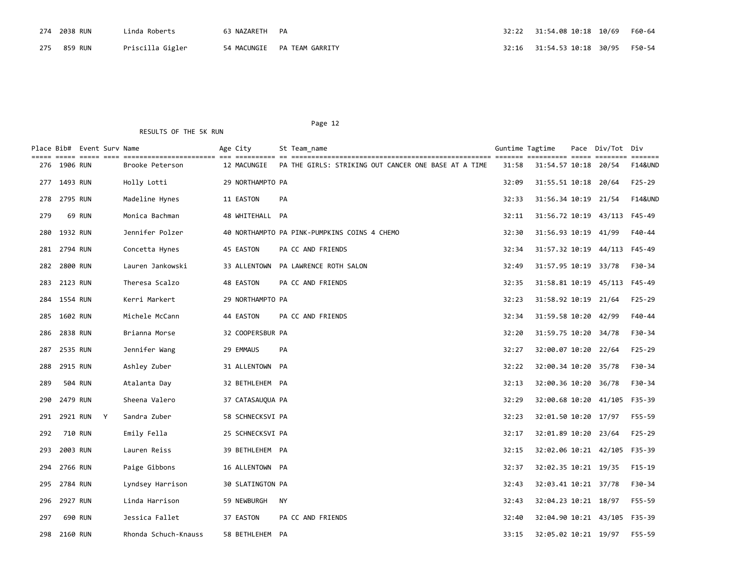| 274 2038 RUN | '.inda Roberts   | 63 NAZARETH PA |                               |  |  |
|--------------|------------------|----------------|-------------------------------|--|--|
| 275 859 RUN  | Priscilla Gigler |                | 54 MACUNGIE – PA TEAM GARRITY |  |  |

|     |              | Place Bib#  Event Surv Name<br>$=$ $=$ $=$ $=$ |                      | Age City         | St Team name                                         |               | Guntime Tagtime              | Pace     | Div/Tot Div |                                                                                               |
|-----|--------------|------------------------------------------------|----------------------|------------------|------------------------------------------------------|---------------|------------------------------|----------|-------------|-----------------------------------------------------------------------------------------------|
| 276 | 1906 RUN     |                                                | Brooke Peterson      | 12 MACUNGIE      | PA THE GIRLS: STRIKING OUT CANCER ONE BASE AT A TIME | ----<br>31:58 | ==========<br>31:54.57 10:18 | $= 2222$ | 20/54       | $\begin{array}{cccccccccc} = & = & = & = & = & = & = & = & \end{array}$<br><b>F14&amp;UND</b> |
|     | 277 1493 RUN |                                                | Holly Lotti          | 29 NORTHAMPTO PA |                                                      | 32:09         | 31:55.51 10:18 20/64         |          |             | F25-29                                                                                        |
| 278 | 2795 RUN     |                                                | Madeline Hynes       | 11 EASTON        | <b>PA</b>                                            | 32:33         | 31:56.34 10:19 21/54         |          |             | <b>F14&amp;UND</b>                                                                            |
| 279 |              | <b>69 RUN</b>                                  | Monica Bachman       | 48 WHITEHALL PA  |                                                      | 32:11         | 31:56.72 10:19 43/113 F45-49 |          |             |                                                                                               |
| 280 | 1932 RUN     |                                                | Jennifer Polzer      |                  | 40 NORTHAMPTO PA PINK-PUMPKINS COINS 4 CHEMO         | 32:30         | 31:56.93 10:19 41/99         |          |             | F40-44                                                                                        |
| 281 | 2794 RUN     |                                                | Concetta Hynes       | 45 EASTON        | PA CC AND FRIENDS                                    | 32:34         | 31:57.32 10:19 44/113        |          |             | F45-49                                                                                        |
| 282 | 2800 RUN     |                                                | Lauren Jankowski     | 33 ALLENTOWN     | PA LAWRENCE ROTH SALON                               | 32:49         | 31:57.95 10:19 33/78         |          |             | F30-34                                                                                        |
| 283 | 2123 RUN     |                                                | Theresa Scalzo       | 48 EASTON        | PA CC AND FRIENDS                                    | 32:35         | 31:58.81 10:19 45/113 F45-49 |          |             |                                                                                               |
| 284 | 1554 RUN     |                                                | Kerri Markert        | 29 NORTHAMPTO PA |                                                      | 32:23         | 31:58.92 10:19 21/64         |          |             | $F25-29$                                                                                      |
| 285 | 1602 RUN     |                                                | Michele McCann       | 44 EASTON        | PA CC AND FRIENDS                                    | 32:34         | 31:59.58 10:20               |          | 42/99       | F40-44                                                                                        |
| 286 | 2838 RUN     |                                                | Brianna Morse        | 32 COOPERSBUR PA |                                                      | 32:20         | 31:59.75 10:20               |          | 34/78       | F30-34                                                                                        |
| 287 | 2535 RUN     |                                                | Jennifer Wang        | 29 EMMAUS        | <b>PA</b>                                            | 32:27         | 32:00.07 10:20 22/64         |          |             | $F25-29$                                                                                      |
| 288 | 2915 RUN     |                                                | Ashley Zuber         | 31 ALLENTOWN PA  |                                                      | 32:22         | 32:00.34 10:20               |          | 35/78       | F30-34                                                                                        |
| 289 |              | 504 RUN                                        | Atalanta Day         | 32 BETHLEHEM PA  |                                                      | 32:13         | 32:00.36 10:20 36/78         |          |             | F30-34                                                                                        |
| 290 | 2479 RUN     |                                                | Sheena Valero        | 37 CATASAUQUA PA |                                                      | 32:29         | 32:00.68 10:20 41/105        |          |             | F35-39                                                                                        |
| 291 |              | 2921 RUN Y                                     | Sandra Zuber         | 58 SCHNECKSVI PA |                                                      | 32:23         | 32:01.50 10:20 17/97         |          |             | F55-59                                                                                        |
| 292 |              | 710 RUN                                        | Emily Fella          | 25 SCHNECKSVI PA |                                                      | 32:17         | 32:01.89 10:20               |          | 23/64       | $F25-29$                                                                                      |
| 293 | 2003 RUN     |                                                | Lauren Reiss         | 39 BETHLEHEM PA  |                                                      | 32:15         | 32:02.06 10:21 42/105        |          |             | F35-39                                                                                        |
| 294 | 2766 RUN     |                                                | Paige Gibbons        | 16 ALLENTOWN PA  |                                                      | 32:37         | 32:02.35 10:21 19/35         |          |             | F15-19                                                                                        |
| 295 | 2784 RUN     |                                                | Lyndsey Harrison     | 30 SLATINGTON PA |                                                      | 32:43         | 32:03.41 10:21 37/78         |          |             | F30-34                                                                                        |
| 296 | 2927 RUN     |                                                | Linda Harrison       | 59 NEWBURGH      | NY                                                   | 32:43         | 32:04.23 10:21 18/97         |          |             | F55-59                                                                                        |
| 297 |              | 690 RUN                                        | Jessica Fallet       | 37 EASTON        | PA CC AND FRIENDS                                    | 32:40         | 32:04.90 10:21 43/105 F35-39 |          |             |                                                                                               |
| 298 | 2160 RUN     |                                                | Rhonda Schuch-Knauss | 58 BETHLEHEM PA  |                                                      | 33:15         | 32:05.02 10:21 19/97         |          |             | F55-59                                                                                        |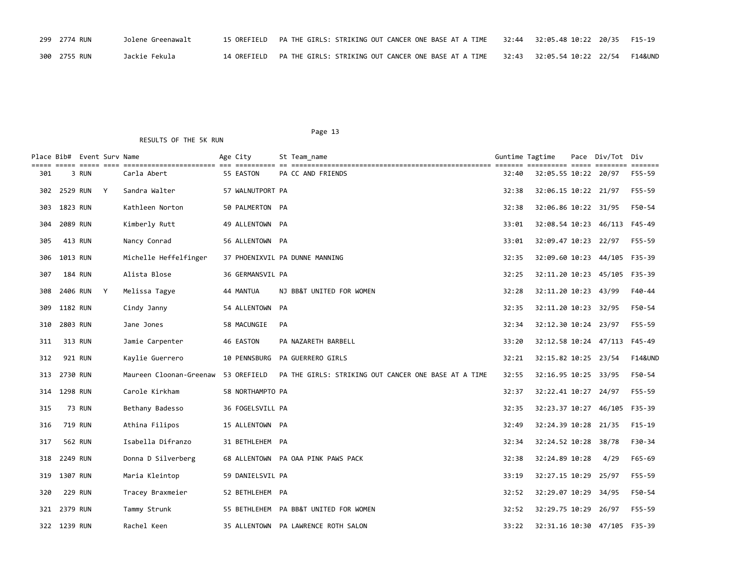| 299 2774 RUN | Jolene Greenawalt | 15 OREFIELD | PA THE GIRLS: STRIKING OUT CANCER ONE BASE AT A TIME |  |         |
|--------------|-------------------|-------------|------------------------------------------------------|--|---------|
| 300 2755 RUN | Jackie Fekula     | 14 ORFFTFID | PA THE GIRLS: STRIKING OUT CANCER ONE BASE AT A TIME |  | F14&UND |

Place Bib# Event Surv Name  $\overline{A}$  Age City St Team\_name Guntime Tagtime Tagtime Pace Div/Tot Div

#### Page 13 RESULTS OF THE 5K RUN

| 301 | 3 RUN          | Carla Abert                         | 55 EASTON        | PA CC AND FRIENDS                                    | 32:40 | 32:05.55 10:22 20/97         |      | F55-59             |
|-----|----------------|-------------------------------------|------------------|------------------------------------------------------|-------|------------------------------|------|--------------------|
|     | 302 2529 RUN Y | Sandra Walter                       | 57 WALNUTPORT PA |                                                      | 32:38 | 32:06.15 10:22 21/97         |      | F55-59             |
|     | 303 1823 RUN   | Kathleen Norton                     | 50 PALMERTON PA  |                                                      | 32:38 | 32:06.86 10:22 31/95         |      | F50-54             |
| 304 | 2089 RUN       | Kimberly Rutt                       | 49 ALLENTOWN PA  |                                                      | 33:01 | 32:08.54 10:23 46/113 F45-49 |      |                    |
| 305 | 413 RUN        | Nancy Conrad                        | 56 ALLENTOWN PA  |                                                      | 33:01 | 32:09.47 10:23 22/97         |      | F55-59             |
|     | 306 1013 RUN   | Michelle Heffelfinger               |                  | 37 PHOENIXVIL PA DUNNE MANNING                       | 32:35 | 32:09.60 10:23 44/105 F35-39 |      |                    |
| 307 | <b>184 RUN</b> | Alista Blose                        | 36 GERMANSVIL PA |                                                      | 32:25 | 32:11.20 10:23 45/105 F35-39 |      |                    |
| 308 | 2406 RUN Y     | Melissa Tagye                       | 44 MANTUA        | NJ BB&T UNITED FOR WOMEN                             | 32:28 | 32:11.20 10:23 43/99         |      | F40-44             |
|     | 309 1182 RUN   | Cindy Janny                         | 54 ALLENTOWN PA  |                                                      | 32:35 | 32:11.20 10:23 32/95         |      | F50-54             |
|     | 310 2803 RUN   | Jane Jones                          | 58 MACUNGIE      | PA                                                   | 32:34 | 32:12.30 10:24 23/97         |      | F55-59             |
| 311 | 313 RUN        | Jamie Carpenter                     | 46 EASTON        | PA NAZARETH BARBELL                                  | 33:20 | 32:12.58 10:24 47/113 F45-49 |      |                    |
| 312 | 921 RUN        | Kaylie Guerrero                     | 10 PENNSBURG     | PA GUERRERO GIRLS                                    | 32:21 | 32:15.82 10:25 23/54         |      | <b>F14&amp;UND</b> |
|     | 313 2730 RUN   | Maureen Cloonan-Greenaw 53 OREFIELD |                  | PA THE GIRLS: STRIKING OUT CANCER ONE BASE AT A TIME | 32:55 | 32:16.95 10:25 33/95         |      | F50-54             |
|     | 314 1298 RUN   | Carole Kirkham                      | 58 NORTHAMPTO PA |                                                      | 32:37 | 32:22.41 10:27 24/97         |      | F55-59             |
| 315 | 73 RUN         | Bethany Badesso                     | 36 FOGELSVILL PA |                                                      | 32:35 | 32:23.37 10:27 46/105 F35-39 |      |                    |
| 316 | 719 RUN        | Athina Filipos                      | 15 ALLENTOWN PA  |                                                      | 32:49 | 32:24.39 10:28 21/35         |      | $F15-19$           |
| 317 | 562 RUN        | Isabella Difranzo                   | 31 BETHLEHEM PA  |                                                      | 32:34 | 32:24.52 10:28 38/78         |      | F30-34             |
|     | 318 2249 RUN   | Donna D Silverberg                  |                  | 68 ALLENTOWN PA OAA PINK PAWS PACK                   | 32:38 | 32:24.89 10:28               | 4/29 | F65-69             |
|     | 319 1307 RUN   | Maria Kleintop                      | 59 DANIELSVIL PA |                                                      | 33:19 | 32:27.15 10:29 25/97         |      | F55-59             |
| 320 | <b>229 RUN</b> | Tracey Braxmeier                    | 52 BETHLEHEM PA  |                                                      | 32:52 | 32:29.07 10:29 34/95         |      | F50-54             |

 321 2379 RUN Tammy Strunk 55 BETHLEHEM PA BB&T UNITED FOR WOMEN 32:52 32:29.75 10:29 26/97 F55-59 322 1239 RUN Rachel Keen 35 ALLENTOWN PA LAWRENCE ROTH SALON 33:22 32:31.16 10:30 47/105 F35-39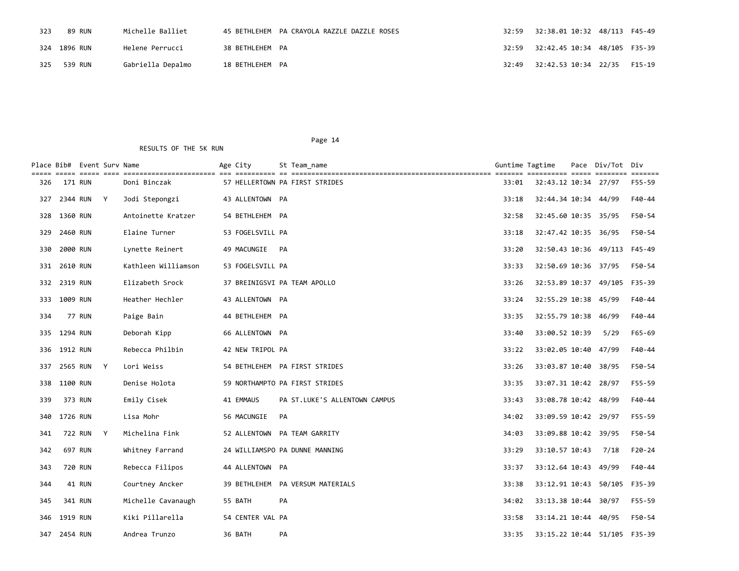| 323 | 89 RUN       | Michelle Balliet  |                 | 45 BETHLEHEM PA CRAYOLA RAZZLE DAZZLE ROSES | 32:59 | 32:38.01 10:32 48/113 F45-49                  |  |
|-----|--------------|-------------------|-----------------|---------------------------------------------|-------|-----------------------------------------------|--|
|     | 324 1896 RUN | Helene Perrucci   | 38 BETHLEHEM PA |                                             |       |                                               |  |
| 325 | 539 RUN      | Gabriella Depalmo | 18 BETHLEHEM PA |                                             |       | 32:49    32:42.53    10:34    22/35    F15-19 |  |

|     |              | Place Bib# Event Surv Name<br>----- ----- ---- |              |                     | Age City         |    | St Team name                     | Guntime Tagtime |                              | Pace | Div/Tot Div   | $\qquad \qquad \equiv \equiv \equiv \equiv \equiv \equiv \equiv$ |
|-----|--------------|------------------------------------------------|--------------|---------------------|------------------|----|----------------------------------|-----------------|------------------------------|------|---------------|------------------------------------------------------------------|
| 326 |              | 171 RUN                                        |              | Doni Binczak        |                  |    | 57 HELLERTOWN PA FIRST STRIDES   | 33:01           | 32:43.12 10:34 27/97         |      |               | F55-59                                                           |
| 327 |              | 2344 RUN Y                                     |              | Jodi Stepongzi      | 43 ALLENTOWN PA  |    |                                  | 33:18           | 32:44.34 10:34 44/99         |      |               | F40-44                                                           |
| 328 | 1360 RUN     |                                                |              | Antoinette Kratzer  | 54 BETHLEHEM PA  |    |                                  | 32:58           | 32:45.60 10:35 35/95         |      |               | F50-54                                                           |
| 329 | 2460 RUN     |                                                |              | Elaine Turner       | 53 FOGELSVILL PA |    |                                  | 33:18           | 32:47.42 10:35 36/95         |      |               | F50-54                                                           |
| 330 | 2000 RUN     |                                                |              | Lynette Reinert     | 49 MACUNGIE PA   |    |                                  | 33:20           | 32:50.43 10:36 49/113 F45-49 |      |               |                                                                  |
| 331 | 2610 RUN     |                                                |              | Kathleen Williamson | 53 FOGELSVILL PA |    |                                  | 33:33           | 32:50.69 10:36 37/95         |      |               | F50-54                                                           |
| 332 | 2319 RUN     |                                                |              | Elizabeth Srock     |                  |    | 37 BREINIGSVI PA TEAM APOLLO     | 33:26           | 32:53.89 10:37               |      | 49/105        | F35-39                                                           |
|     | 333 1009 RUN |                                                |              | Heather Hechler     | 43 ALLENTOWN PA  |    |                                  | 33:24           | 32:55.29 10:38 45/99         |      |               | F40-44                                                           |
| 334 |              | <b>77 RUN</b>                                  |              | Paige Bain          | 44 BETHLEHEM PA  |    |                                  | 33:35           | 32:55.79 10:38               |      | 46/99         | F40-44                                                           |
| 335 | 1294 RUN     |                                                |              | Deborah Kipp        | 66 ALLENTOWN PA  |    |                                  | 33:40           | 33:00.52 10:39               |      | 5/29          | $F65 - 69$                                                       |
|     | 336 1912 RUN |                                                |              | Rebecca Philbin     | 42 NEW TRIPOL PA |    |                                  | 33:22           | 33:02.05 10:40 47/99         |      |               | F40-44                                                           |
| 337 | 2565 RUN     |                                                | Y            | Lori Weiss          |                  |    | 54 BETHLEHEM PA FIRST STRIDES    | 33:26           | 33:03.87 10:40               |      | 38/95         | F50-54                                                           |
| 338 | 1100 RUN     |                                                |              | Denise Holota       |                  |    | 59 NORTHAMPTO PA FIRST STRIDES   | 33:35           | 33:07.31 10:42 28/97         |      |               | F55-59                                                           |
| 339 |              | 373 RUN                                        |              | Emily Cisek         | 41 EMMAUS        |    | PA ST.LUKE'S ALLENTOWN CAMPUS    | 33:43           | 33:08.78 10:42 48/99         |      |               | F40-44                                                           |
| 340 | 1726 RUN     |                                                |              | Lisa Mohr           | 56 MACUNGIE      | PA |                                  | 34:02           | 33:09.59 10:42 29/97         |      |               | F55-59                                                           |
| 341 |              | 722 RUN                                        | $\mathsf{Y}$ | Michelina Fink      |                  |    | 52 ALLENTOWN PA TEAM GARRITY     | 34:03           | 33:09.88 10:42 39/95         |      |               | F50-54                                                           |
| 342 |              | 697 RUN                                        |              | Whitney Farrand     |                  |    | 24 WILLIAMSPO PA DUNNE MANNING   | 33:29           | 33:10.57 10:43               |      | 7/18          | F20-24                                                           |
| 343 |              | 720 RUN                                        |              | Rebecca Filipos     | 44 ALLENTOWN PA  |    |                                  | 33:37           | 33:12.64 10:43 49/99         |      |               | F40-44                                                           |
| 344 |              | 41 RUN                                         |              | Courtney Ancker     |                  |    | 39 BETHLEHEM PA VERSUM MATERIALS | 33:38           | 33:12.91 10:43               |      | 50/105        | F35-39                                                           |
| 345 |              | 341 RUN                                        |              | Michelle Cavanaugh  | 55 BATH          |    | <b>PA</b>                        | 34:02           | 33:13.38 10:44 30/97         |      |               | F55-59                                                           |
| 346 | 1919 RUN     |                                                |              | Kiki Pillarella     | 54 CENTER VAL PA |    |                                  | 33:58           | 33:14.21 10:44 40/95         |      |               | F50-54                                                           |
| 347 | 2454 RUN     |                                                |              | Andrea Trunzo       | 36 BATH          |    | PA                               | 33:35           | 33:15.22 10:44               |      | 51/105 F35-39 |                                                                  |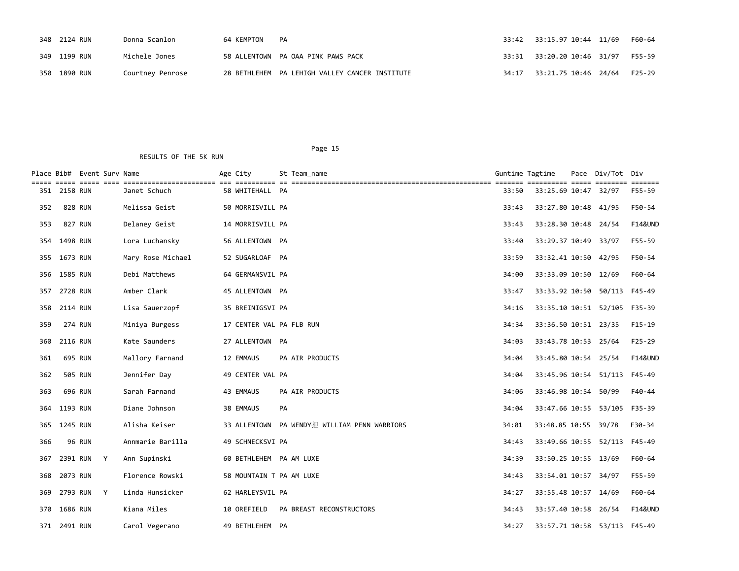| 348 2124 RUN | Donna Scanlon    | 64 KEMPTON | PA                                             | 33:42 33:15.97 10:44 11/69 | F60-64 |
|--------------|------------------|------------|------------------------------------------------|----------------------------|--------|
| 349 1199 RUN | Michele Jones    |            | 58 ALLENTOWN PA OAA PINK PAWS PACK             |                            |        |
| 350 1890 RUN | Courtney Penrose |            | 28 BETHLEHEM PA LEHIGH VALLEY CANCER INSTITUTE |                            | F25-29 |

Page 15

# Place Bib# Event Surv Name The Age City St Team name The Controller Surface Bib# Event Surv Tot Div ===== ===== ===== ==== ======================= === ========== == ================================================== ======= ========== ===== ======== ======= 351 2158 RUN Janet Schuch 58 WHITEHALL PA 33:50 33:25.69 10:47 32/97 F55-59 352 828 RUN Melissa Geist 50 MORRISVILL PA 33:43 33:27.80 10:48 41/95 F50-54 353 827 RUN Delaney Geist 14 MORRISVILL PA 33:43 33:28.30 10:48 24/54 F14&UND 354 1498 RUN Lora Luchansky 56 ALLENTOWN PA 33:40 33:29.37 10:49 33/97 F55-59 355 1673 RUN Mary Rose Michael 52 SUGARLOAF PA 33:59 33:32.41 10:50 42/95 F50-54 356 1585 RUN Debi Matthews 64 GERMANSVIL PA 34:00 33:33.09 10:50 12/69 F60-64 357 2728 RUN Amber Clark 45 ALLENTOWN PA 33:47 33:33.92 10:50 50/113 F45-49 358 2114 RUN Lisa Sauerzopf 35 BREINIGSVI PA 34:16 33:35.10 10:51 52/105 F35-39 359 274 RUN Miniya Burgess 17 CENTER VAL PA FLB RUN 34:34 33:36.50 10:51 23/35 F15-19 360 2116 RUN Kate Saunders 27 ALLENTOWN PA 34:03 33:43.78 10:53 25/64 F25-29 361 695 RUN Mallory Farnand 12 EMMAUS PA AIR PRODUCTS 34:04 33:45.80 10:54 25/54 F14&UND 362 505 RUN Jennifer Day 49 CENTER VAL PA 33:45.96 10:54 51/113 F45-49 363 696 RUN Sarah Farnand 43 EMMAUS PA AIR PRODUCTS 34:06 33:46.98 10:54 50/99 F40-44 364 1193 RUN Diane Johnson 38 EMMAUS PA 34:04 33:47.66 10:55 53/105 F35-39 365 1245 RUN Alisha Keiser 33 ALLENTOWN PA WENDY担 WILLIAM PENN WARRIORS 34:01 33:48.85 10:55 39/78 F30-34 366 96 RUN Annmarie Barilla 49 SCHNECKSVI PA 34:43 33:49.66 10:55 52/113 F45-49 367 2391 RUN Y Ann Supinski 60 BETHLEHEM PA AM LUXE 34:39 33:50.25 10:55 13/69 F60-64 368 2073 RUN Florence Rowski 58 MOUNTAIN T PA AM LUXE 34:43 33:54.01 10:57 34/97 F55-59 369 2793 RUN Y Linda Hunsicker 62 HARLEYSVIL PA 34:27 33:55.48 10:57 14/69 F60-64 370 1686 RUN Kiana Miles 10 OREFIELD PA BREAST RECONSTRUCTORS 34:43 33:57.40 10:58 26/54 F14&UND 371 2491 RUN Carol Vegerano 49 BETHLEHEM PA 34:27 33:57.71 10:58 53/113 F45-49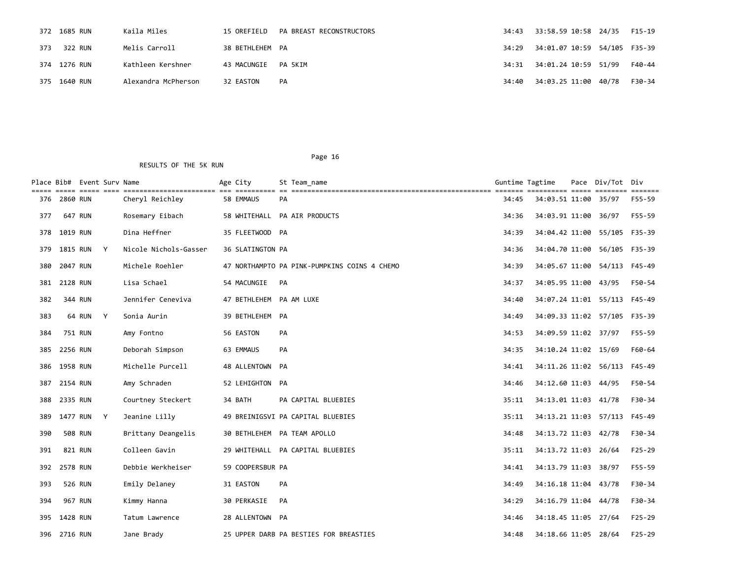|     | 372 1685 RUN | Kaila Miles         | 15 OREFIELD     | PA BREAST RECONSTRUCTORS | 34:43 | 33:58.59 10:58 24/35                       | F15-19 |
|-----|--------------|---------------------|-----------------|--------------------------|-------|--------------------------------------------|--------|
| 373 | 322 RUN      | Melis Carroll       | 38 BETHLEHEM PA |                          |       | 34:29   34:01.07   10:59   54/105   F35-39 |        |
|     | 374 1276 RUN | Kathleen Kershner   | 43 MACUNGIE     | PA 5KIM                  |       |                                            | F40-44 |
|     | 375 1640 RUN | Alexandra McPherson | 32 EASTON       | PA                       | 34:40 | 34:03.25 11:00 40/78                       | F30-34 |

|     |                | Place Bib# Event Surv Name |   |                       | Age City                | St Team name                                 | Guntime Tagtime |                              | Pace Div/Tot Div | $=$ $=$ $=$ $=$ $=$ $=$ |
|-----|----------------|----------------------------|---|-----------------------|-------------------------|----------------------------------------------|-----------------|------------------------------|------------------|-------------------------|
| 376 | 2860 RUN       |                            |   | Cheryl Reichley       | 58 EMMAUS               | <b>PA</b>                                    | 34:45           | 34:03.51 11:00               | 35/97            | F55-59                  |
| 377 | 647 RUN        |                            |   | Rosemary Eibach       |                         | 58 WHITEHALL PA AIR PRODUCTS                 | 34:36           | 34:03.91 11:00               | 36/97            | F55-59                  |
| 378 | 1019 RUN       |                            |   | Dina Heffner          | 35 FLEETWOOD PA         |                                              | 34:39           | 34:04.42 11:00 55/105 F35-39 |                  |                         |
| 379 | 1815 RUN       |                            | Y | Nicole Nichols-Gasser | 36 SLATINGTON PA        |                                              | 34:36           | 34:04.70 11:00 56/105 F35-39 |                  |                         |
| 380 | 2047 RUN       |                            |   | Michele Roehler       |                         | 47 NORTHAMPTO PA PINK-PUMPKINS COINS 4 CHEMO | 34:39           | 34:05.67 11:00 54/113 F45-49 |                  |                         |
| 381 | 2128 RUN       |                            |   | Lisa Schael           | 54 MACUNGIE             | PA                                           | 34:37           | 34:05.95 11:00 43/95         |                  | F50-54                  |
| 382 | 344 RUN        |                            |   | Jennifer Ceneviva     | 47 BETHLEHEM PA AM LUXE |                                              | 34:40           | 34:07.24 11:01 55/113 F45-49 |                  |                         |
| 383 |                | 64 RUN Y                   |   | Sonia Aurin           | 39 BETHLEHEM PA         |                                              | 34:49           | 34:09.33 11:02 57/105 F35-39 |                  |                         |
| 384 | 751 RUN        |                            |   | Amy Fontno            | 56 EASTON               | <b>PA</b>                                    | 34:53           | 34:09.59 11:02 37/97         |                  | F55-59                  |
| 385 | 2256 RUN       |                            |   | Deborah Simpson       | 63 EMMAUS               | <b>PA</b>                                    | 34:35           | 34:10.24 11:02 15/69         |                  | F60-64                  |
| 386 | 1958 RUN       |                            |   | Michelle Purcell      | 48 ALLENTOWN PA         |                                              | 34:41           | 34:11.26 11:02 56/113 F45-49 |                  |                         |
| 387 | 2154 RUN       |                            |   | Amy Schraden          | 52 LEHIGHTON PA         |                                              | 34:46           | 34:12.60 11:03 44/95         |                  | F50-54                  |
| 388 | 2335 RUN       |                            |   | Courtney Steckert     | 34 BATH                 | PA CAPITAL BLUEBIES                          | 35:11           | 34:13.01 11:03 41/78         |                  | F30-34                  |
| 389 |                | 1477 RUN Y                 |   | Jeanine Lilly         |                         | 49 BREINIGSVI PA CAPITAL BLUEBIES            | 35:11           | 34:13.21 11:03 57/113 F45-49 |                  |                         |
| 390 | <b>508 RUN</b> |                            |   | Brittany Deangelis    |                         | 30 BETHLEHEM PA TEAM APOLLO                  | 34:48           | 34:13.72 11:03 42/78         |                  | F30-34                  |
| 391 | 821 RUN        |                            |   | Colleen Gavin         |                         | 29 WHITEHALL PA CAPITAL BLUEBIES             | 35:11           | 34:13.72 11:03 26/64         |                  | $F25 - 29$              |
| 392 | 2578 RUN       |                            |   | Debbie Werkheiser     | 59 COOPERSBUR PA        |                                              | 34:41           | 34:13.79 11:03               | 38/97            | F55-59                  |
| 393 | 526 RUN        |                            |   | Emily Delaney         | 31 EASTON               | <b>PA</b>                                    | 34:49           | 34:16.18 11:04 43/78         |                  | F30-34                  |
| 394 |                | <b>967 RUN</b>             |   | Kimmy Hanna           | 30 PERKASIE             | <b>PA</b>                                    | 34:29           | 34:16.79 11:04 44/78         |                  | F30-34                  |
| 395 | 1428 RUN       |                            |   | Tatum Lawrence        | 28 ALLENTOWN PA         |                                              | 34:46           | 34:18.45 11:05 27/64         |                  | $F25 - 29$              |
| 396 | 2716 RUN       |                            |   | Jane Brady            |                         | 25 UPPER DARB PA BESTIES FOR BREASTIES       | 34:48           | 34:18.66 11:05 28/64         |                  | $F25 - 29$              |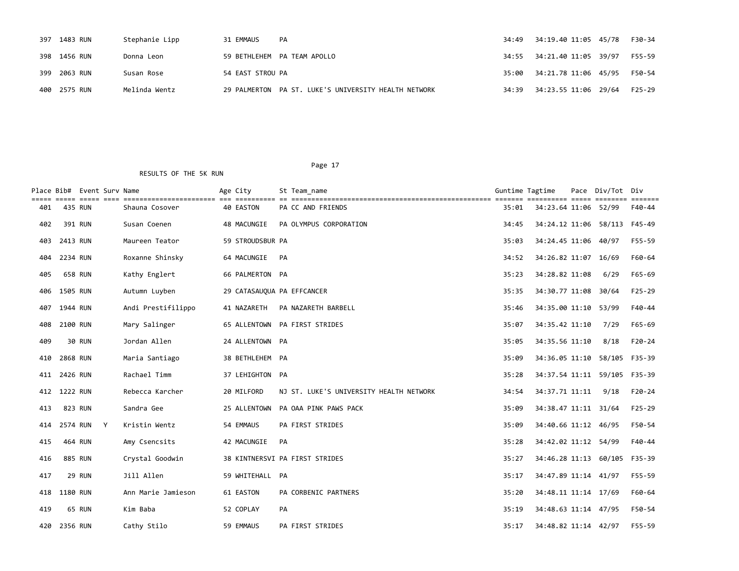| 397 1483 RUN | Stephanie Lipp | 31 EMMAUS        | PA                                                   |                            | F30-34 |
|--------------|----------------|------------------|------------------------------------------------------|----------------------------|--------|
| 398 1456 RUN | Donna Leon     |                  | 59 BETHLEHEM PA TEAM APOLLO                          | 34:55 34:21.40 11:05 39/97 | F55-59 |
| 399 2063 RUN | Susan Rose     | 54 EAST STROU PA |                                                      | 35:00 34:21.78 11:06 45/95 | F50-54 |
| 400 2575 RUN | Melinda Wentz  |                  | 29 PALMERTON PA ST. LUKE'S UNIVERSITY HEALTH NETWORK |                            | F25-29 |

|     |          | Place Bib# Event Surv Name<br>esses esses esse |                    | Age City                   | St Team name                            | Guntime Tagtime |                              | Pace Div/Tot Div |                   |
|-----|----------|------------------------------------------------|--------------------|----------------------------|-----------------------------------------|-----------------|------------------------------|------------------|-------------------|
| 401 |          | 435 RUN                                        | Shauna Cosover     | 40 EASTON                  | PA CC AND FRIENDS                       | 35:01           | 34:23.64 11:06 52/99         |                  | eessess<br>F40-44 |
| 402 |          | 391 RUN                                        | Susan Coenen       | 48 MACUNGIE                | PA OLYMPUS CORPORATION                  | 34:45           | 34:24.12 11:06 58/113 F45-49 |                  |                   |
| 403 | 2413 RUN |                                                | Maureen Teator     | 59 STROUDSBUR PA           |                                         | 35:03           | 34:24.45 11:06 40/97         |                  | F55-59            |
| 404 | 2234 RUN |                                                | Roxanne Shinsky    | 64 MACUNGIE                | PA                                      | 34:52           | 34:26.82 11:07 16/69         |                  | F60-64            |
| 405 |          | 658 RUN                                        | Kathy Englert      | 66 PALMERTON PA            |                                         | 35:23           | 34:28.82 11:08               | 6/29             | F65-69            |
| 406 | 1505 RUN |                                                | Autumn Luyben      | 29 CATASAUQUA PA EFFCANCER |                                         | 35:35           | 34:30.77 11:08 30/64         |                  | $F25-29$          |
| 407 | 1944 RUN |                                                | Andi Prestifilippo | 41 NAZARETH                | PA NAZARETH BARBELL                     | 35:46           | 34:35.00 11:10               | 53/99            | F40-44            |
| 408 | 2100 RUN |                                                | Mary Salinger      |                            | 65 ALLENTOWN PA FIRST STRIDES           | 35:07           | 34:35.42 11:10               | 7/29             | F65-69            |
| 409 |          | <b>30 RUN</b>                                  | Jordan Allen       | 24 ALLENTOWN PA            |                                         | 35:05           | 34:35.56 11:10               | 8/18             | $F20-24$          |
| 410 | 2868 RUN |                                                | Maria Santiago     | 38 BETHLEHEM PA            |                                         | 35:09           | 34:36.05 11:10 58/105 F35-39 |                  |                   |
| 411 | 2426 RUN |                                                | Rachael Timm       | 37 LEHIGHTON PA            |                                         | 35:28           | 34:37.54 11:11 59/105 F35-39 |                  |                   |
| 412 | 1222 RUN |                                                | Rebecca Karcher    | 20 MILFORD                 | NJ ST. LUKE'S UNIVERSITY HEALTH NETWORK | 34:54           | 34:37.71 11:11               | 9/18             | F20-24            |
| 413 |          | 823 RUN                                        | Sandra Gee         | 25 ALLENTOWN               | PA OAA PINK PAWS PACK                   | 35:09           | 34:38.47 11:11 31/64         |                  | $F25-29$          |
| 414 | 2574 RUN | Y                                              | Kristin Wentz      | 54 EMMAUS                  | PA FIRST STRIDES                        | 35:09           | 34:40.66 11:12 46/95         |                  | F50-54            |
| 415 |          | 464 RUN                                        | Amy Csencsits      | 42 MACUNGIE                | PA                                      | 35:28           | 34:42.02 11:12 54/99         |                  | F40-44            |
| 416 |          | 885 RUN                                        | Crystal Goodwin    |                            | 38 KINTNERSVI PA FIRST STRIDES          | 35:27           | 34:46.28 11:13 60/105 F35-39 |                  |                   |
| 417 |          | <b>29 RUN</b>                                  | Jill Allen         | 59 WHITEHALL PA            |                                         | 35:17           | 34:47.89 11:14 41/97         |                  | F55-59            |
| 418 | 1180 RUN |                                                | Ann Marie Jamieson | 61 EASTON                  | PA CORBENIC PARTNERS                    | 35:20           | 34:48.11 11:14 17/69         |                  | F60-64            |
| 419 |          | 65 RUN                                         | Kim Baba           | 52 COPLAY                  | PA                                      | 35:19           | 34:48.63 11:14 47/95         |                  | F50-54            |
| 420 | 2356 RUN |                                                | Cathy Stilo        | 59 EMMAUS                  | PA FIRST STRIDES                        | 35:17           | 34:48.82 11:14 42/97         |                  | F55-59            |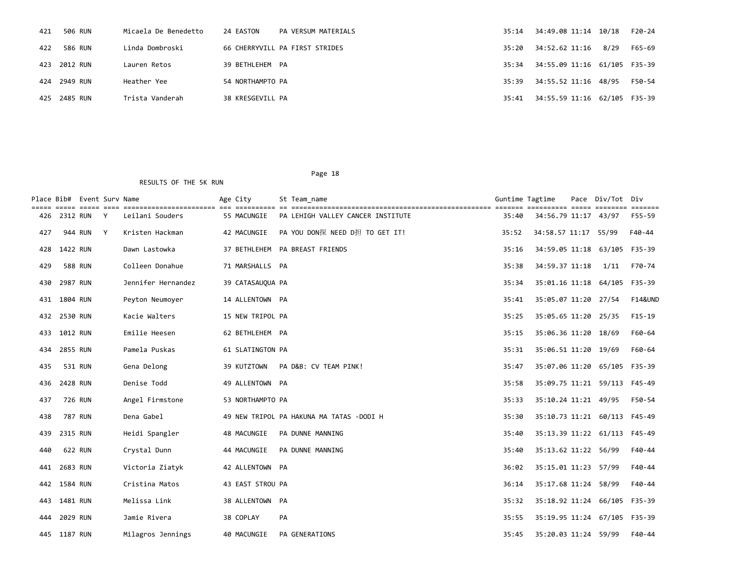| 421 | 506 RUN      | Micaela De Benedetto | 24 EASTON        | PA VERSUM MATERIALS            | 35:14 | 34:49.08 11:14 10/18                           |      | F20-24 |
|-----|--------------|----------------------|------------------|--------------------------------|-------|------------------------------------------------|------|--------|
| 422 | 586 RUN      | Linda Dombroski      |                  | 66 CHERRYVILL PA FIRST STRIDES | 35:20 | 34:52.62 11:16                                 | 8/29 | F65-69 |
|     | 423 2012 RUN | Lauren Retos         | 39 BETHLEHEM PA  |                                |       | 35:34    34:55.09    11:16    61/105    F35-39 |      |        |
|     | 424 2949 RUN | Heather Yee          | 54 NORTHAMPTO PA |                                | 35:39 | 34:55.52 11:16 48/95                           |      | F50-54 |
|     | 425 2485 RUN | Trista Vanderah      | 38 KRESGEVILL PA |                                | 35:41 | 34:55.59 11:16 62/105 F35-39                   |      |        |

|     |          | Place Bib# Event Surv Name |   |                    | Age City         | St Team name                             | Guntime Tagtime |                              | Pace Div/Tot Div |                    |
|-----|----------|----------------------------|---|--------------------|------------------|------------------------------------------|-----------------|------------------------------|------------------|--------------------|
| 426 |          | 2312 RUN Y                 |   | Leilani Souders    | 55 MACUNGIE      | PA LEHIGH VALLEY CANCER INSTITUTE        | 35:40           | 34:56.79 11:17 43/97         |                  | eessess<br>F55-59  |
| 427 |          | 944 RUN                    | Y | Kristen Hackman    | 42 MACUNGIE      | PA YOU DON探 NEED D担 TO GET IT!           | 35:52           | 34:58.57 11:17 55/99         |                  | F40-44             |
| 428 | 1422 RUN |                            |   | Dawn Lastowka      |                  | 37 BETHLEHEM PA BREAST FRIENDS           | 35:16           | 34:59.05 11:18 63/105 F35-39 |                  |                    |
| 429 |          | <b>588 RUN</b>             |   | Colleen Donahue    | 71 MARSHALLS PA  |                                          | 35:38           | 34:59.37 11:18               | 1/11             | F70-74             |
| 430 | 2987 RUN |                            |   | Jennifer Hernandez | 39 CATASAUQUA PA |                                          | 35:34           | 35:01.16 11:18 64/105 F35-39 |                  |                    |
| 431 | 1804 RUN |                            |   | Peyton Neumoyer    | 14 ALLENTOWN PA  |                                          | 35:41           | 35:05.07 11:20 27/54         |                  | <b>F14&amp;UND</b> |
| 432 | 2530 RUN |                            |   | Kacie Walters      | 15 NEW TRIPOL PA |                                          | 35:25           | 35:05.65 11:20 25/35         |                  | $F15-19$           |
| 433 | 1012 RUN |                            |   | Emilie Heesen      | 62 BETHLEHEM PA  |                                          | 35:15           | 35:06.36 11:20 18/69         |                  | F60-64             |
| 434 | 2855 RUN |                            |   | Pamela Puskas      | 61 SLATINGTON PA |                                          | 35:31           | 35:06.51 11:20 19/69         |                  | F60-64             |
| 435 |          | 531 RUN                    |   | Gena Delong        | 39 KUTZTOWN      | PA D&B: CV TEAM PINK!                    | 35:47           | 35:07.06 11:20 65/105 F35-39 |                  |                    |
| 436 | 2428 RUN |                            |   | Denise Todd        | 49 ALLENTOWN PA  |                                          | 35:58           | 35:09.75 11:21 59/113 F45-49 |                  |                    |
| 437 |          | 726 RUN                    |   | Angel Firmstone    | 53 NORTHAMPTO PA |                                          | 35:33           | 35:10.24 11:21 49/95         |                  | F50-54             |
| 438 |          | <b>787 RUN</b>             |   | Dena Gabel         |                  | 49 NEW TRIPOL PA HAKUNA MA TATAS -DODI H | 35:30           | 35:10.73 11:21 60/113 F45-49 |                  |                    |
| 439 | 2315 RUN |                            |   | Heidi Spangler     | 48 MACUNGIE      | PA DUNNE MANNING                         | 35:40           | 35:13.39 11:22 61/113 F45-49 |                  |                    |
| 440 |          | 622 RUN                    |   | Crystal Dunn       | 44 MACUNGIE      | PA DUNNE MANNING                         | 35:40           | 35:13.62 11:22 56/99         |                  | F40-44             |
| 441 | 2683 RUN |                            |   | Victoria Ziatyk    | 42 ALLENTOWN PA  |                                          | 36:02           | 35:15.01 11:23 57/99         |                  | F40-44             |
| 442 | 1584 RUN |                            |   | Cristina Matos     | 43 EAST STROU PA |                                          | 36:14           | 35:17.68 11:24 58/99         |                  | F40-44             |
| 443 | 1481 RUN |                            |   | Melissa Link       | 38 ALLENTOWN PA  |                                          | 35:32           | 35:18.92 11:24 66/105 F35-39 |                  |                    |
| 444 | 2029 RUN |                            |   | Jamie Rivera       | 38 COPLAY        | <b>PA</b>                                | 35:55           | 35:19.95 11:24 67/105 F35-39 |                  |                    |
| 445 | 1187 RUN |                            |   | Milagros Jennings  | 40 MACUNGIE      | <b>PA GENERATIONS</b>                    | 35:45           | 35:20.03 11:24 59/99         |                  | F40-44             |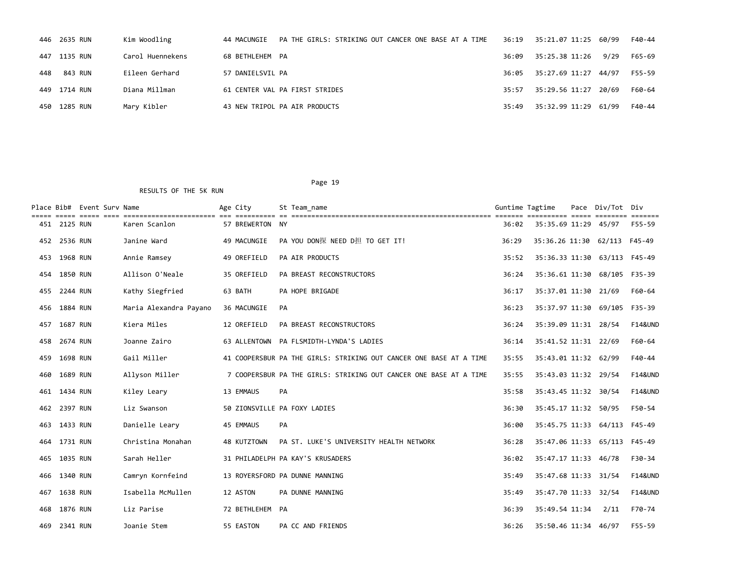|     | 446 2635 RUN | Kim Woodling     | PA THE GIRLS: STRIKING OUT CANCER ONE BASE AT A TIME<br>44 MACUNGIE | 36:19 | 35:21.07 11:25 60/99 |      | F40-44 |
|-----|--------------|------------------|---------------------------------------------------------------------|-------|----------------------|------|--------|
|     | 447 1135 RUN | Carol Huennekens | 68 BETHLEHEM PA                                                     | 36:09 | 35:25.38 11:26       | 9/29 | F65-69 |
| 448 | 843 RUN      | Eileen Gerhard   | 57 DANIELSVIL PA                                                    | 36:05 | 35:27.69 11:27 44/97 |      | F55-59 |
|     | 449 1714 RUN | Diana Millman    | 61 CENTER VAL PA FIRST STRIDES                                      | 35:57 | 35:29.56 11:27 20/69 |      | F60-64 |
|     | 450 1285 RUN | Mary Kibler      | 43 NEW TRIPOL PA AIR PRODUCTS                                       | 35:49 | 35:32.99 11:29 61/99 |      | F40-44 |

|     |              | Place Bib# Event Surv Name |                        | Age City                     |    | St Team name                                                       | Guntime Tagtime |                              | Pace Div/Tot | Div                |
|-----|--------------|----------------------------|------------------------|------------------------------|----|--------------------------------------------------------------------|-----------------|------------------------------|--------------|--------------------|
|     | 451 2125 RUN |                            | Karen Scanlon          | 57 BREWERTON NY              |    |                                                                    | 36:02           | 35:35.69 11:29 45/97         |              | F55-59             |
|     | 452 2536 RUN |                            | Janine Ward            | 49 MACUNGIE                  |    | PA YOU DON探 NEED D担 TO GET IT!                                     | 36:29           | 35:36.26 11:30 62/113 F45-49 |              |                    |
| 453 | 1968 RUN     |                            | Annie Ramsey           | 49 OREFIELD                  |    | PA AIR PRODUCTS                                                    | 35:52           | 35:36.33 11:30 63/113 F45-49 |              |                    |
|     | 454 1850 RUN |                            | Allison O'Neale        | 35 OREFIELD                  |    | PA BREAST RECONSTRUCTORS                                           | 36:24           | 35:36.61 11:30 68/105 F35-39 |              |                    |
| 455 | 2244 RUN     |                            | Kathy Siegfried        | 63 BATH                      |    | PA HOPE BRIGADE                                                    | 36:17           | 35:37.01 11:30 21/69         |              | F60-64             |
|     | 456 1884 RUN |                            | Maria Alexandra Payano | 36 MACUNGIE                  | PA |                                                                    | 36:23           | 35:37.97 11:30 69/105        |              | F35-39             |
| 457 | 1687 RUN     |                            | Kiera Miles            | 12 OREFIELD                  |    | PA BREAST RECONSTRUCTORS                                           | 36:24           | 35:39.09 11:31 28/54         |              | <b>F14&amp;UND</b> |
| 458 | 2674 RUN     |                            | Joanne Zairo           |                              |    | 63 ALLENTOWN PA FLSMIDTH-LYNDA'S LADIES                            | 36:14           | 35:41.52 11:31 22/69         |              | F60-64             |
| 459 | 1698 RUN     |                            | Gail Miller            |                              |    | 41 COOPERSBUR PA THE GIRLS: STRIKING OUT CANCER ONE BASE AT A TIME | 35:55           | 35:43.01 11:32 62/99         |              | F40-44             |
| 460 | 1689 RUN     |                            | Allyson Miller         |                              |    | 7 COOPERSBUR PA THE GIRLS: STRIKING OUT CANCER ONE BASE AT A TIME  | 35:55           | 35:43.03 11:32 29/54         |              | <b>F14&amp;UND</b> |
|     | 461 1434 RUN |                            | Kiley Leary            | 13 EMMAUS                    | PA |                                                                    | 35:58           | 35:43.45 11:32 30/54         |              | <b>F14&amp;UND</b> |
|     | 462 2397 RUN |                            | Liz Swanson            | 50 ZIONSVILLE PA FOXY LADIES |    |                                                                    | 36:30           | 35:45.17 11:32 50/95         |              | F50-54             |
|     | 463 1433 RUN |                            | Danielle Leary         | 45 EMMAUS                    | PA |                                                                    | 36:00           | 35:45.75 11:33 64/113 F45-49 |              |                    |
|     | 464 1731 RUN |                            | Christina Monahan      | 48 KUTZTOWN                  |    | PA ST. LUKE'S UNIVERSITY HEALTH NETWORK                            | 36:28           | 35:47.06 11:33 65/113 F45-49 |              |                    |
| 465 | 1035 RUN     |                            | Sarah Heller           |                              |    | 31 PHILADELPH PA KAY'S KRUSADERS                                   | 36:02           | 35:47.17 11:33 46/78         |              | F30-34             |
|     | 466 1340 RUN |                            | Camryn Kornfeind       |                              |    | 13 ROYERSFORD PA DUNNE MANNING                                     | 35:49           | 35:47.68 11:33 31/54         |              | <b>F14&amp;UND</b> |
| 467 | 1638 RUN     |                            | Isabella McMullen      | 12 ASTON                     |    | PA DUNNE MANNING                                                   | 35:49           | 35:47.70 11:33 32/54         |              | <b>F14&amp;UND</b> |
| 468 | 1876 RUN     |                            | Liz Parise             | 72 BETHLEHEM PA              |    |                                                                    | 36:39           | 35:49.54 11:34               | 2/11         | F70-74             |
| 469 | 2341 RUN     |                            | Joanie Stem            | 55 EASTON                    |    | PA CC AND FRIENDS                                                  | 36:26           | 35:50.46 11:34 46/97         |              | F55-59             |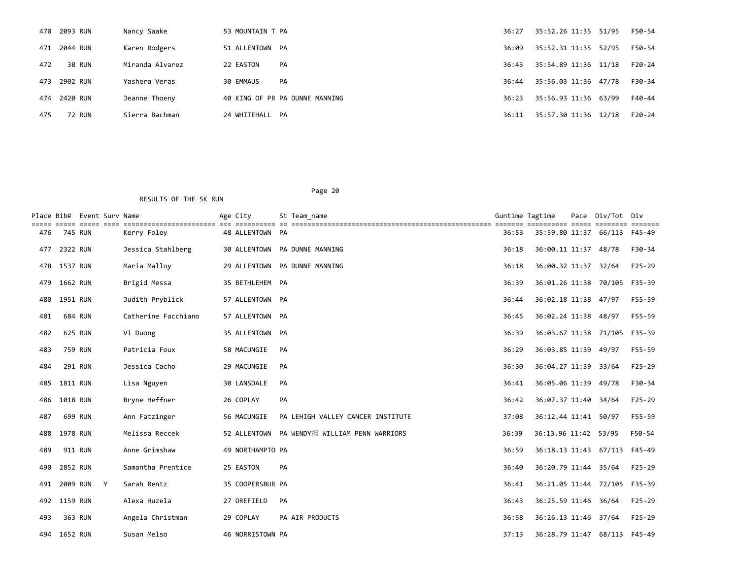|     | 470 2093 RUN | Nancy Saake     | 53 MOUNTAIN T PA               | 36:27 | 35:52.26 11:35 51/95 | F50-54 |
|-----|--------------|-----------------|--------------------------------|-------|----------------------|--------|
|     | 471 2044 RUN | Karen Rodgers   | 51 ALLENTOWN PA                | 36:09 | 35:52.31 11:35 52/95 | F50-54 |
| 472 | 38 RUN       | Miranda Alvarez | 22 EASTON<br>PA                | 36:43 | 35:54.89 11:36 11/18 | F20-24 |
| 473 | 2902 RUN     | Yashera Veras   | 30 EMMAUS<br>PA                | 36:44 | 35:56.03 11:36 47/78 | F30-34 |
|     | 474 2420 RUN | Jeanne Thoeny   | 40 KING OF PR PA DUNNE MANNING | 36:23 | 35:56.93 11:36 63/99 | F40-44 |
| 475 | 72 RUN       | Sierra Bachman  | 24 WHITEHALL PA                | 36:11 | 35:57.30 11:36 12/18 | F20-24 |

|     |          | Place Bib# Event Surv Name |                     | Age City         | St Team name                                 | Guntime Tagtime |                              | Pace Div/Tot Div |            |
|-----|----------|----------------------------|---------------------|------------------|----------------------------------------------|-----------------|------------------------------|------------------|------------|
| 476 | 745 RUN  |                            | Kerry Foley         | 48 ALLENTOWN PA  |                                              | 36:53           | 35:59.80 11:37 66/113 F45-49 |                  |            |
| 477 | 2322 RUN |                            | Jessica Stahlberg   |                  | 30 ALLENTOWN PA DUNNE MANNING                | 36:18           | 36:00.11 11:37               | 48/78            | F30-34     |
| 478 | 1537 RUN |                            | Maria Malloy        |                  | 29 ALLENTOWN PA DUNNE MANNING                | 36:18           | 36:00.32 11:37               | 32/64            | $F25 - 29$ |
| 479 | 1662 RUN |                            | Brigid Messa        | 35 BETHLEHEM PA  |                                              | 36:39           | 36:01.26 11:38 70/105 F35-39 |                  |            |
| 480 | 1951 RUN |                            | Judith Pryblick     | 57 ALLENTOWN PA  |                                              | 36:44           | 36:02.18 11:38 47/97         |                  | F55-59     |
| 481 |          | 684 RUN                    | Catherine Facchiano | 57 ALLENTOWN PA  |                                              | 36:45           | 36:02.24 11:38 48/97         |                  | F55-59     |
| 482 |          | 625 RUN                    | Vi Duong            | 35 ALLENTOWN PA  |                                              | 36:39           | 36:03.67 11:38 71/105 F35-39 |                  |            |
| 483 |          | 759 RUN                    | Patricia Foux       | 58 MACUNGIE      | PA                                           | 36:29           | 36:03.85 11:39 49/97         |                  | F55-59     |
| 484 |          | 291 RUN                    | Jessica Cacho       | 29 MACUNGIE      | PA                                           | 36:30           | 36:04.27 11:39 33/64         |                  | $F25-29$   |
| 485 | 1811 RUN |                            | Lisa Nguyen         | 30 LANSDALE      | PA                                           | 36:41           | 36:05.06 11:39 49/78         |                  | F30-34     |
| 486 | 1018 RUN |                            | Bryne Heffner       | 26 COPLAY        | PA                                           | 36:42           | 36:07.37 11:40 34/64         |                  | $F25 - 29$ |
| 487 |          | 699 RUN                    | Ann Fatzinger       | 56 MACUNGIE      | PA LEHIGH VALLEY CANCER INSTITUTE            | 37:08           | 36:12.44 11:41 50/97         |                  | F55-59     |
| 488 | 1978 RUN |                            | Melissa Reccek      |                  | 52 ALLENTOWN PA WENDY担 WILLIAM PENN WARRIORS | 36:39           | 36:13.96 11:42 53/95         |                  | F50-54     |
| 489 |          | 911 RUN                    | Anne Grimshaw       | 49 NORTHAMPTO PA |                                              | 36:59           | 36:18.13 11:43 67/113 F45-49 |                  |            |
| 490 | 2852 RUN |                            | Samantha Prentice   | 25 EASTON        | PA                                           | 36:40           | 36:20.79 11:44 35/64         |                  | F25-29     |
| 491 | 2009 RUN | Y                          | Sarah Rentz         | 35 COOPERSBUR PA |                                              | 36:41           | 36:21.05 11:44 72/105 F35-39 |                  |            |
| 492 | 1159 RUN |                            | Alexa Huzela        | 27 OREFIELD      | PA                                           | 36:43           | 36:25.59 11:46               | 36/64            | $F25-29$   |
| 493 |          | 363 RUN                    | Angela Christman    | 29 COPLAY        | <b>PA AIR PRODUCTS</b>                       | 36:58           | 36:26.13 11:46               | 37/64            | $F25-29$   |
| 494 | 1652 RUN |                            | Susan Melso         | 46 NORRISTOWN PA |                                              | 37:13           | 36:28.79 11:47 68/113 F45-49 |                  |            |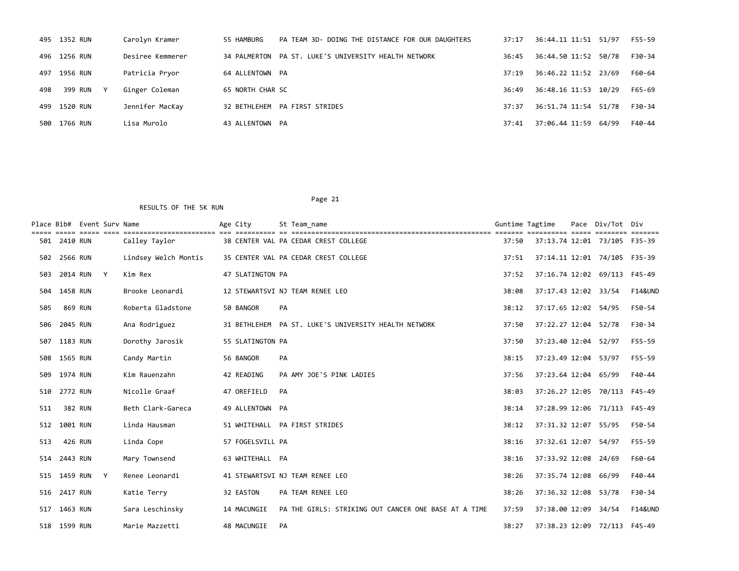|     | 495 1352 RUN            | Carolyn Kramer   | 55 HAMBURG       | PA TEAM 3D- DOING THE DISTANCE FOR OUR DAUGHTERS     | 37:17 | 36:44.11 11:51 51/97 | F55-59 |
|-----|-------------------------|------------------|------------------|------------------------------------------------------|-------|----------------------|--------|
|     | 496 1256 RUN            | Desiree Kemmerer |                  | 34 PALMERTON PA ST. LUKE'S UNIVERSITY HEALTH NETWORK | 36:45 | 36:44.50 11:52 50/78 | F30-34 |
|     | 497 1956 RUN            | Patricia Pryor   | 64 ALLENTOWN PA  |                                                      | 37:19 | 36:46.22 11:52 23/69 | F60-64 |
| 498 | 399 RUN<br>$\mathsf{v}$ | Ginger Coleman   | 65 NORTH CHAR SC |                                                      | 36:49 | 36:48.16 11:53 10/29 | F65-69 |
|     | 499 1520 RUN            | Jennifer MacKay  |                  | 32 BETHLEHEM PA FIRST STRIDES                        | 37:37 | 36:51.74 11:54 51/78 | F30-34 |
| 500 | 1766 RUN                | Lisa Murolo      | 43 ALLENTOWN PA  |                                                      | 37:41 | 37:06.44 11:59 64/99 | F40-44 |

|     |              | Place Bib# Event Surv Name |              |                      | Age City  |                  |    | St Team name                                         | Guntime Tagtime |                              | Pace | Div/Tot Div |                    |
|-----|--------------|----------------------------|--------------|----------------------|-----------|------------------|----|------------------------------------------------------|-----------------|------------------------------|------|-------------|--------------------|
|     | 501 2410 RUN |                            |              | Calley Taylor        |           |                  |    | 38 CENTER VAL PA CEDAR CREST COLLEGE                 | 37:50           | 37:13.74 12:01 73/105 F35-39 |      |             |                    |
| 502 | 2566 RUN     |                            |              | Lindsey Welch Montis |           |                  |    | 35 CENTER VAL PA CEDAR CREST COLLEGE                 | 37:51           | 37:14.11 12:01 74/105 F35-39 |      |             |                    |
| 503 |              | 2014 RUN Y                 |              | Kim Rex              |           | 47 SLATINGTON PA |    |                                                      | 37:52           | 37:16.74 12:02 69/113 F45-49 |      |             |                    |
| 504 | 1458 RUN     |                            |              | Brooke Leonardi      |           |                  |    | 12 STEWARTSVI NJ TEAM RENEE LEO                      | 38:08           | 37:17.43 12:02 33/54         |      |             | <b>F14&amp;UND</b> |
| 505 |              | 869 RUN                    |              | Roberta Gladstone    | 50 BANGOR |                  | PA |                                                      | 38:12           | 37:17.65 12:02 54/95         |      |             | F50-54             |
| 506 | 2045 RUN     |                            |              | Ana Rodriguez        |           |                  |    | 31 BETHLEHEM PA ST. LUKE'S UNIVERSITY HEALTH NETWORK | 37:50           | 37:22.27 12:04 52/78         |      |             | F30-34             |
| 507 | 1183 RUN     |                            |              | Dorothy Jarosik      |           | 55 SLATINGTON PA |    |                                                      | 37:50           | 37:23.40 12:04 52/97         |      |             | F55-59             |
|     | 508 1565 RUN |                            |              | Candy Martin         | 56 BANGOR |                  | PA |                                                      | 38:15           | 37:23.49 12:04 53/97         |      |             | F55-59             |
|     | 509 1974 RUN |                            |              | Kim Rauenzahn        |           | 42 READING       |    | PA AMY JOE'S PINK LADIES                             | 37:56           | 37:23.64 12:04 65/99         |      |             | F40-44             |
|     | 510 2772 RUN |                            |              | Nicolle Graaf        |           | 47 OREFIELD      | PA |                                                      | 38:03           | 37:26.27 12:05 70/113 F45-49 |      |             |                    |
| 511 |              | 382 RUN                    |              | Beth Clark-Gareca    |           | 49 ALLENTOWN PA  |    |                                                      | 38:14           | 37:28.99 12:06 71/113 F45-49 |      |             |                    |
| 512 | 1001 RUN     |                            |              | Linda Hausman        |           |                  |    | 51 WHITEHALL PA FIRST STRIDES                        | 38:12           | 37:31.32 12:07               |      | 55/95       | F50-54             |
| 513 |              | 426 RUN                    |              | Linda Cope           |           | 57 FOGELSVILL PA |    |                                                      | 38:16           | 37:32.61 12:07               |      | 54/97       | F55-59             |
| 514 | 2443 RUN     |                            |              | Mary Townsend        |           | 63 WHITEHALL PA  |    |                                                      | 38:16           | 37:33.92 12:08               |      | 24/69       | F60-64             |
| 515 | 1459 RUN     |                            | $\mathsf{Y}$ | Renee Leonardi       |           |                  |    | 41 STEWARTSVI NJ TEAM RENEE LEO                      | 38:26           | 37:35.74 12:08               |      | 66/99       | F40-44             |
| 516 | 2417 RUN     |                            |              | Katie Terry          | 32 EASTON |                  |    | PA TEAM RENEE LEO                                    | 38:26           | 37:36.32 12:08               |      | 53/78       | F30-34             |
| 517 | 1463 RUN     |                            |              | Sara Leschinsky      |           | 14 MACUNGIE      |    | PA THE GIRLS: STRIKING OUT CANCER ONE BASE AT A TIME | 37:59           | 37:38.00 12:09               |      | 34/54       | <b>F14&amp;UND</b> |
|     | 518 1599 RUN |                            |              | Marie Mazzetti       |           | 48 MACUNGIE      | PA |                                                      | 38:27           | 37:38.23 12:09 72/113 F45-49 |      |             |                    |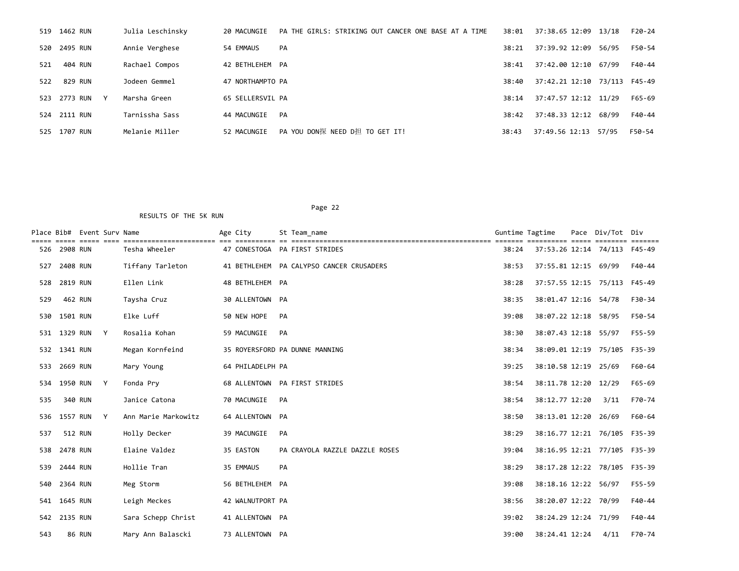|     | 519 1462 RUN                 | Julia Leschinsky | 20 MACUNGIE      | PA THE GIRLS: STRIKING OUT CANCER ONE BASE AT A TIME | 38:01 | 37:38.65 12:09 13/18         |       | F20-24 |
|-----|------------------------------|------------------|------------------|------------------------------------------------------|-------|------------------------------|-------|--------|
|     | 520 2495 RUN                 | Annie Verghese   | 54 EMMAUS        | PA                                                   | 38:21 | 37:39.92 12:09               | 56/95 | F50-54 |
| 521 | 404 RUN                      | Rachael Compos   | 42 BETHLEHEM PA  |                                                      | 38:41 | 37:42.00 12:10 67/99         |       | F40-44 |
|     | 522 829 RUN                  | Jodeen Gemmel    | 47 NORTHAMPTO PA |                                                      | 38:40 | 37:42.21 12:10 73/113 F45-49 |       |        |
|     | 523 2773 RUN<br>$\mathsf{v}$ | Marsha Green     | 65 SELLERSVIL PA |                                                      | 38:14 | 37:47.57 12:12 11/29         |       | F65-69 |
|     | 524 2111 RUN                 | Tarnissha Sass   | 44 MACUNGIE      | PA                                                   | 38:42 | 37:48.33 12:12 68/99         |       | F40-44 |
| 525 | 1707 RUN                     | Melanie Miller   | 52 MACUNGIE      | PA YOU DON探 NEED D担 TO GET IT!                       | 38:43 | 37:49.56 12:13 57/95         |       | F50-54 |

|     |              | Place Bib# Event Surv Name | =============================== | Age City |                  |    | St Team name                             | Guntime Tagtime | ==========                   | Pace | Div/Tot Div |        |
|-----|--------------|----------------------------|---------------------------------|----------|------------------|----|------------------------------------------|-----------------|------------------------------|------|-------------|--------|
| 526 | 2908 RUN     |                            | Tesha Wheeler                   |          |                  |    | 47 CONESTOGA PA FIRST STRIDES            | 38:24           | 37:53.26 12:14 74/113 F45-49 |      |             |        |
| 527 | 2408 RUN     |                            | Tiffany Tarleton                |          |                  |    | 41 BETHLEHEM PA CALYPSO CANCER CRUSADERS | 38:53           | 37:55.81 12:15 69/99         |      |             | F40-44 |
| 528 | 2819 RUN     |                            | Ellen Link                      |          | 48 BETHLEHEM PA  |    |                                          | 38:28           | 37:57.55 12:15 75/113 F45-49 |      |             |        |
| 529 |              | 462 RUN                    | Taysha Cruz                     |          | 30 ALLENTOWN PA  |    |                                          | 38:35           | 38:01.47 12:16 54/78         |      |             | F30-34 |
|     | 530 1501 RUN |                            | Elke Luff                       |          | 50 NEW HOPE      | PA |                                          | 39:08           | 38:07.22 12:18               |      | 58/95       | F50-54 |
|     |              | 531 1329 RUN Y             | Rosalia Kohan                   |          | 59 MACUNGIE      | PA |                                          | 38:30           | 38:07.43 12:18 55/97         |      |             | F55-59 |
|     | 532 1341 RUN |                            | Megan Kornfeind                 |          |                  |    | 35 ROYERSFORD PA DUNNE MANNING           | 38:34           | 38:09.01 12:19 75/105 F35-39 |      |             |        |
| 533 | 2669 RUN     |                            | Mary Young                      |          | 64 PHILADELPH PA |    |                                          | 39:25           | 38:10.58 12:19 25/69         |      |             | F60-64 |
| 534 |              | 1950 RUN Y                 | Fonda Pry                       |          |                  |    | 68 ALLENTOWN PA FIRST STRIDES            | 38:54           | 38:11.78 12:20 12/29         |      |             | F65-69 |
| 535 |              | 340 RUN                    | Janice Catona                   |          | 70 MACUNGIE      | PA |                                          | 38:54           | 38:12.77 12:20               |      | 3/11        | F70-74 |
|     |              | 536 1557 RUN Y             | Ann Marie Markowitz             |          | 64 ALLENTOWN PA  |    |                                          | 38:50           | 38:13.01 12:20 26/69         |      |             | F60-64 |
| 537 |              | 512 RUN                    | Holly Decker                    |          | 39 MACUNGIE      | PA |                                          | 38:29           | 38:16.77 12:21 76/105 F35-39 |      |             |        |
| 538 | 2478 RUN     |                            | Elaine Valdez                   |          | 35 EASTON        |    | PA CRAYOLA RAZZLE DAZZLE ROSES           | 39:04           | 38:16.95 12:21 77/105 F35-39 |      |             |        |
| 539 | 2444 RUN     |                            | Hollie Tran                     |          | 35 EMMAUS        | PA |                                          | 38:29           | 38:17.28 12:22 78/105 F35-39 |      |             |        |
| 540 | 2364 RUN     |                            | Meg Storm                       |          | 56 BETHLEHEM PA  |    |                                          | 39:08           | 38:18.16 12:22 56/97         |      |             | F55-59 |
|     | 541 1645 RUN |                            | Leigh Meckes                    |          | 42 WALNUTPORT PA |    |                                          | 38:56           | 38:20.07 12:22 70/99         |      |             | F40-44 |
|     | 542 2135 RUN |                            | Sara Schepp Christ              |          | 41 ALLENTOWN PA  |    |                                          | 39:02           | 38:24.29 12:24 71/99         |      |             | F40-44 |
| 543 |              | <b>86 RUN</b>              | Mary Ann Balascki               |          | 73 ALLENTOWN PA  |    |                                          | 39:00           | 38:24.41 12:24               |      | 4/11        | F70-74 |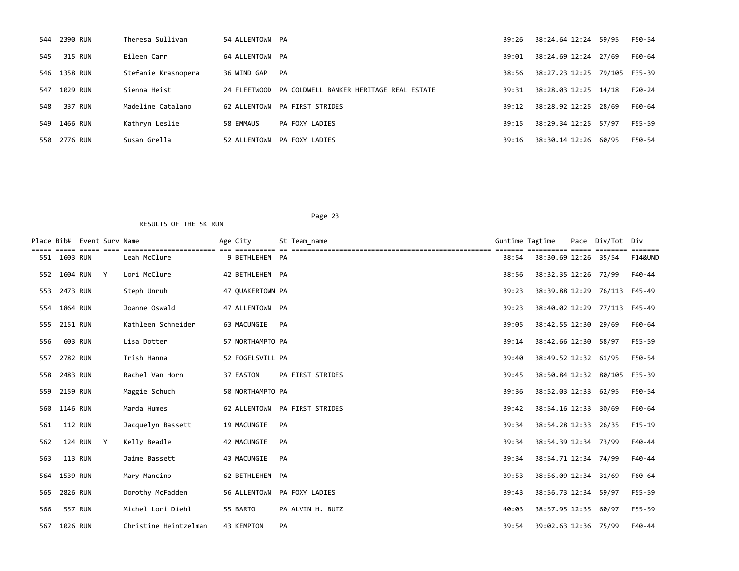|     | 544 2390 RUN | Theresa Sullivan    | 54 ALLENTOWN PA |                                         | 39:26 | 38:24.64 12:24       | 59/95         | F50-54   |
|-----|--------------|---------------------|-----------------|-----------------------------------------|-------|----------------------|---------------|----------|
| 545 | 315 RUN      | Eileen Carr         | 64 ALLENTOWN PA |                                         | 39:01 | 38:24.69 12:24 27/69 |               | F60-64   |
|     | 546 1358 RUN | Stefanie Krasnopera | 36 WIND GAP     | PA                                      | 38:56 | 38:27.23 12:25       | 79/105 F35-39 |          |
| 547 | 1029 RUN     | Sienna Heist        | 24 FLEETWOOD    | PA COLDWELL BANKER HERITAGE REAL ESTATE | 39:31 | 38:28.03 12:25 14/18 |               | $F20-24$ |
| 548 | 337 RUN      | Madeline Catalano   | 62 ALLENTOWN    | PA FIRST STRIDES                        | 39:12 | 38:28.92 12:25       | 28/69         | F60-64   |
| 549 | 1466 RUN     | Kathryn Leslie      | 58 EMMAUS       | PA FOXY LADIES                          | 39:15 | 38:29.34 12:25 57/97 |               | F55-59   |
|     | 550 2776 RUN | Susan Grella        | 52 ALLENTOWN    | PA FOXY LADIES                          | 39:16 | 38:30.14 12:26 60/95 |               | F50-54   |

|     |                | Place Bib# Event Surv Name |              |                       | Age City   |                  | St Team name                  | Guntime Tagtime | ==========                   | Pace | Div/Tot Div |                    |
|-----|----------------|----------------------------|--------------|-----------------------|------------|------------------|-------------------------------|-----------------|------------------------------|------|-------------|--------------------|
|     | 551 1603 RUN   |                            |              | Leah McClure          |            | 9 BETHLEHEM PA   |                               | 38:54           | 38:30.69 12:26 35/54         |      |             | <b>F14&amp;UND</b> |
| 552 | 1604 RUN       |                            | Y            | Lori McClure          |            | 42 BETHLEHEM PA  |                               | 38:56           | 38:32.35 12:26 72/99         |      |             | F40-44             |
| 553 | 2473 RUN       |                            |              | Steph Unruh           |            | 47 OUAKERTOWN PA |                               | 39:23           | 38:39.88 12:29 76/113 F45-49 |      |             |                    |
|     | 554 1864 RUN   |                            |              | Joanne Oswald         |            | 47 ALLENTOWN PA  |                               | 39:23           | 38:40.02 12:29 77/113 F45-49 |      |             |                    |
| 555 | 2151 RUN       |                            |              | Kathleen Schneider    |            | 63 MACUNGIE      | PA                            | 39:05           | 38:42.55 12:30 29/69         |      |             | F60-64             |
| 556 |                | 603 RUN                    |              | Lisa Dotter           |            | 57 NORTHAMPTO PA |                               | 39:14           | 38:42.66 12:30               |      | 58/97       | F55-59             |
| 557 | 2782 RUN       |                            |              | Trish Hanna           |            | 52 FOGELSVILL PA |                               | 39:40           | 38:49.52 12:32 61/95         |      |             | F50-54             |
| 558 | 2483 RUN       |                            |              | Rachel Van Horn       | 37 EASTON  |                  | PA FIRST STRIDES              | 39:45           | 38:50.84 12:32 80/105 F35-39 |      |             |                    |
| 559 | 2159 RUN       |                            |              | Maggie Schuch         |            | 50 NORTHAMPTO PA |                               | 39:36           | 38:52.03 12:33 62/95         |      |             | F50-54             |
| 560 | 1146 RUN       |                            |              | Marda Humes           |            |                  | 62 ALLENTOWN PA FIRST STRIDES | 39:42           | 38:54.16 12:33 30/69         |      |             | F60-64             |
| 561 |                | <b>112 RUN</b>             |              | Jacquelyn Bassett     |            | 19 MACUNGIE      | PA                            | 39:34           | 38:54.28 12:33               |      | 26/35       | $F15-19$           |
| 562 |                | 124 RUN                    | $\mathsf{Y}$ | Kelly Beadle          |            | 42 MACUNGIE      | PA                            | 39:34           | 38:54.39 12:34 73/99         |      |             | F40-44             |
| 563 | <b>113 RUN</b> |                            |              | Jaime Bassett         |            | 43 MACUNGIE      | PA                            | 39:34           | 38:54.71 12:34 74/99         |      |             | F40-44             |
| 564 | 1539 RUN       |                            |              | Mary Mancino          |            | 62 BETHLEHEM PA  |                               | 39:53           | 38:56.09 12:34 31/69         |      |             | F60-64             |
| 565 | 2826 RUN       |                            |              | Dorothy McFadden      |            |                  | 56 ALLENTOWN PA FOXY LADIES   | 39:43           | 38:56.73 12:34 59/97         |      |             | F55-59             |
| 566 |                | 557 RUN                    |              | Michel Lori Diehl     | 55 BARTO   |                  | PA ALVIN H. BUTZ              | 40:03           | 38:57.95 12:35 60/97         |      |             | F55-59             |
| 567 | 1026 RUN       |                            |              | Christine Heintzelman | 43 KEMPTON |                  | PA                            | 39:54           | 39:02.63 12:36 75/99         |      |             | F40-44             |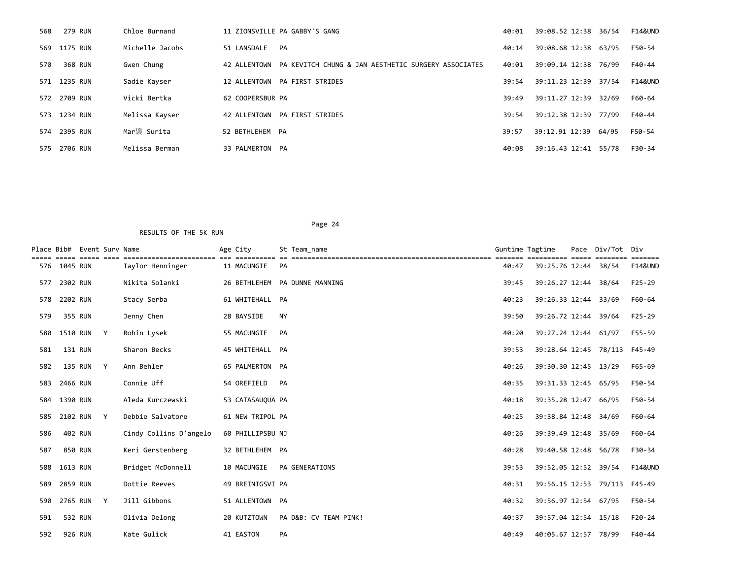| 568 | 279 RUN      | Chloe Burnand   |                  | 11 ZIONSVILLE PA GABBY'S GANG                       | 40:01 | 39:08.52 12:38 36/54 |       | F14&UND            |
|-----|--------------|-----------------|------------------|-----------------------------------------------------|-------|----------------------|-------|--------------------|
|     | 569 1175 RUN | Michelle Jacobs | 51 LANSDALE      | PA                                                  | 40:14 | 39:08.68 12:38 63/95 |       | F50-54             |
| 570 | 368 RUN      | Gwen Chung      | 42 ALLENTOWN     | PA KEVITCH CHUNG & JAN AESTHETIC SURGERY ASSOCIATES | 40:01 | 39:09.14 12:38 76/99 |       | F40-44             |
|     | 571 1235 RUN | Sadie Kayser    | 12 ALLENTOWN     | PA FIRST STRIDES                                    | 39:54 | 39:11.23 12:39 37/54 |       | <b>F14&amp;UND</b> |
|     | 572 2709 RUN | Vicki Bertka    | 62 COOPERSBUR PA |                                                     | 39:49 | 39:11.27 12:39       | 32/69 | F60-64             |
| 573 | 1234 RUN     | Melissa Kayser  |                  | 42 ALLENTOWN PA FIRST STRIDES                       | 39:54 | 39:12.38 12:39 77/99 |       | F40-44             |
|     | 574 2395 RUN | Mar褜 Surita     | 52 BETHLEHEM PA  |                                                     | 39:57 | 39:12.91 12:39       | 64/95 | F50-54             |
| 575 | 2706 RUN     | Melissa Berman  | 33 PALMERTON PA  |                                                     | 40:08 | 39:16.43 12:41 55/78 |       | F30-34             |

RESULTS OF THE 5K RUN

Place Bib# Event Surv Name  $\overline{a}$  Age City St Team\_name Guntime Tagtime Tagtime Pace Div/Tot Div ===== ===== ===== ==== ======================= === ========== == ================================================== ======= ========== ===== ======== ======= 576 1045 RUN Taylor Henninger 11 MACUNGIE PA 40:47 39:25.76 12:44 38/54 F14&UND 577 2302 RUN Nikita Solanki 26 BETHLEHEM PA DUNNE MANNING 39:45 39:26.27 12:44 38/64 F25-29 578 2202 RUN Stacy Serba 61 WHITEHALL PA 40:23 39:26.33 12:44 33/69 F60-64 579 355 RUN Jenny Chen 28 BAYSIDE NY 39:50 39:26.72 12:44 39/64 F25-29 580 1510 RUN Y Robin Lysek 55 MACUNGIE PA 40:20 39:27.24 12:44 61/97 F55-59 581 131 RUN Sharon Becks 45 WHITEHALL PA 39:53 39:28.64 12:45 78/113 F45-49 582 135 RUN Y Ann Behler 65 PALMERTON PA 40:26 39:30.30 12:45 13/29 F65-69 583 2466 RUN Connie Uff 54 OREFIELD PA 40:35 39:31.33 12:45 65/95 F50-54 584 1390 RUN Aleda Kurczewski 53 CATASAUQUA PA 40:18 40:18 40:18 39:35.28 12:47 66/95 F50-54 585 2102 RUN Y Debbie Salvatore 61 NEW TRIPOL PA 40:25 39:38.84 12:48 34/69 F60-64 586 402 RUN Cindy Collins D'angelo 60 PHILLIPSBU NJ 40:26 39:39.49 12:48 35/69 F60-64 587 850 RUN Keri Gerstenberg 32 BETHLEHEM PA 40:28 39:40.58 12:48 56/78 F30-34 588 1613 RUN Bridget McDonnell 10 MACUNGIE PA GENERATIONS 39:53 39:52.05 12:52 39/54 F14&UND 589 2859 RUN Dottie Reeves 49 BREINIGSVI PA 40:31 39:56.15 12:53 79/113 F45-49 590 2765 RUN Y Jill Gibbons 51 ALLENTOWN PA 40:32 39:56.97 12:54 67/95 F50-54 591 532 RUN Olivia Delong 20 KUTZTOWN PA D&B: CV TEAM PINK! 40:37 39:57.04 12:54 15/18 F20-24

592 926 RUN Kate Gulick 41 EASTON PA 40:49 40:05.67 12:57 78/99 F40-44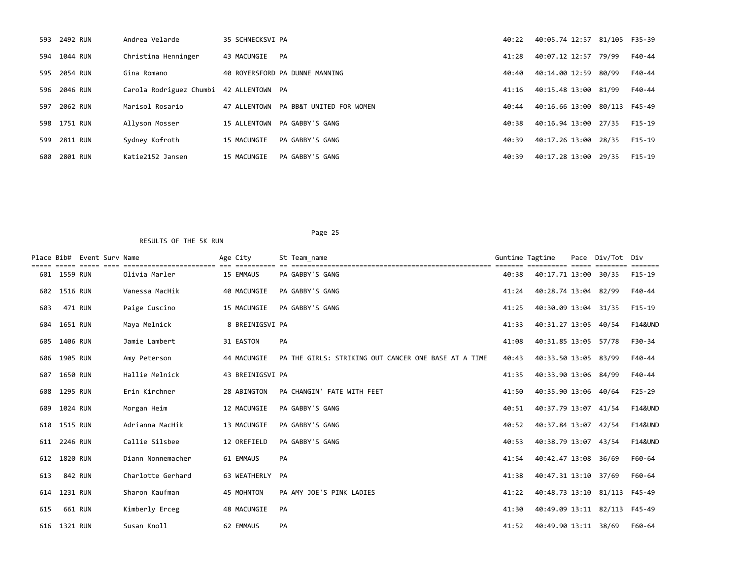|     | 593 2492 RUN | Andrea Velarde                          | 35 SCHNECKSVI PA |                                       | 40:22 | 40:05.74 12:57 81/105 F35-39 |       |          |
|-----|--------------|-----------------------------------------|------------------|---------------------------------------|-------|------------------------------|-------|----------|
|     | 594 1044 RUN | Christina Henninger                     | 43 MACUNGIE      | PA                                    | 41:28 | 40:07.12 12:57               | 79/99 | F40-44   |
|     | 595 2054 RUN | Gina Romano                             |                  | 40 ROYERSFORD PA DUNNE MANNING        | 40:40 | 40:14.00 12:59               | 80/99 | F40-44   |
|     | 596 2046 RUN | Carola Rodriguez Chumbi 42 ALLENTOWN PA |                  |                                       | 41:16 | 40:15.48 13:00 81/99         |       | F40-44   |
| 597 | 2062 RUN     | Marisol Rosario                         |                  | 47 ALLENTOWN PA BB&T UNITED FOR WOMEN | 40:44 | 40:16.66 13:00 80/113 F45-49 |       |          |
|     | 598 1751 RUN | Allyson Mosser                          |                  | 15 ALLENTOWN PA GABBY'S GANG          | 40:38 | 40:16.94 13:00 27/35         |       | $F15-19$ |
| 599 | 2811 RUN     | Sydney Kofroth                          | 15 MACUNGIE      | PA GABBY'S GANG                       | 40:39 | 40:17.26 13:00               | 28/35 | $F15-19$ |
|     | 600 2801 RUN | Katie2152 Jansen                        | 15 MACUNGIE      | PA GABBY'S GANG                       | 40:39 | 40:17.28 13:00               | 29/35 | F15-19   |

|     |              | Place Bib# Event Surv Name | ================== | Age City         | St Team name                                         | Guntime Tagtime |                              | Pace | Div/Tot | Div                |
|-----|--------------|----------------------------|--------------------|------------------|------------------------------------------------------|-----------------|------------------------------|------|---------|--------------------|
|     | 601 1559 RUN |                            | Olivia Marler      | 15 EMMAUS        | PA GABBY'S GANG                                      | 40:38           | 40:17.71 13:00               |      | 30/35   | F15-19             |
| 602 | 1516 RUN     |                            | Vanessa MacHik     | 40 MACUNGIE      | PA GABBY'S GANG                                      | 41:24           | 40:28.74 13:04               |      | 82/99   | F40-44             |
| 603 | 471 RUN      |                            | Paige Cuscino      | 15 MACUNGIE      | PA GABBY'S GANG                                      | 41:25           | 40:30.09 13:04 31/35         |      |         | $F15-19$           |
| 604 | 1651 RUN     |                            | Maya Melnick       | 8 BREINIGSVI PA  |                                                      | 41:33           | 40:31.27 13:05 40/54         |      |         | <b>F14&amp;UND</b> |
| 605 | 1406 RUN     |                            | Jamie Lambert      | 31 EASTON        | PA                                                   | 41:08           | 40:31.85 13:05               |      | 57/78   | F30-34             |
| 606 | 1905 RUN     |                            | Amy Peterson       | 44 MACUNGIE      | PA THE GIRLS: STRIKING OUT CANCER ONE BASE AT A TIME | 40:43           | 40:33.50 13:05               |      | 83/99   | F40-44             |
| 607 | 1650 RUN     |                            | Hallie Melnick     | 43 BREINIGSVI PA |                                                      | 41:35           | 40:33.90 13:06 84/99         |      |         | F40-44             |
| 608 | 1295 RUN     |                            | Erin Kirchner      | 28 ABINGTON      | PA CHANGIN' FATE WITH FEET                           | 41:50           | 40:35.90 13:06 40/64         |      |         | $F25-29$           |
| 609 | 1024 RUN     |                            | Morgan Heim        | 12 MACUNGIE      | PA GABBY'S GANG                                      | 40:51           | 40:37.79 13:07               |      | 41/54   | <b>F14&amp;UND</b> |
| 610 | 1515 RUN     |                            | Adrianna MacHik    | 13 MACUNGIE      | PA GABBY'S GANG                                      | 40:52           | 40:37.84 13:07               |      | 42/54   | <b>F14&amp;UND</b> |
| 611 | 2246 RUN     |                            | Callie Silsbee     | 12 OREFIELD      | PA GABBY'S GANG                                      | 40:53           | 40:38.79 13:07               |      | 43/54   | <b>F14&amp;UND</b> |
| 612 | 1820 RUN     |                            | Diann Nonnemacher  | 61 EMMAUS        | PA                                                   | 41:54           | 40:42.47 13:08               |      | 36/69   | F60-64             |
| 613 | 842 RUN      |                            | Charlotte Gerhard  | 63 WEATHERLY     | PA                                                   | 41:38           | 40:47.31 13:10               |      | 37/69   | F60-64             |
| 614 | 1231 RUN     |                            | Sharon Kaufman     | 45 MOHNTON       | PA AMY JOE'S PINK LADIES                             | 41:22           | 40:48.73 13:10               |      | 81/113  | F45-49             |
| 615 |              | 661 RUN                    | Kimberly Erceg     | 48 MACUNGIE      | PA                                                   | 41:30           | 40:49.09 13:11 82/113 F45-49 |      |         |                    |
|     | 616 1321 RUN |                            | Susan Knoll        | 62 EMMAUS        | PA                                                   | 41:52           | 40:49.90 13:11               |      | 38/69   | F60-64             |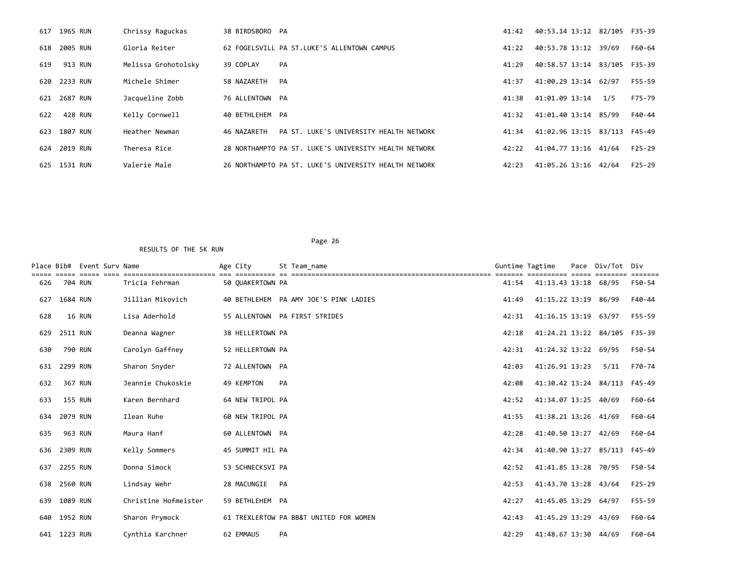|     | 617 1965 RUN | Chrissy Raguckas    | 38 BIRDSBORO PA |                                                       | 41:42 | 40:53.14 13:12 82/105        |        | F35-39   |
|-----|--------------|---------------------|-----------------|-------------------------------------------------------|-------|------------------------------|--------|----------|
| 618 | 2005 RUN     | Gloria Reiter       |                 | 62 FOGELSVILL PA ST.LUKE'S ALLENTOWN CAMPUS           | 41:22 | 40:53.78 13:12               | 39/69  | F60-64   |
| 619 | 913 RUN      | Melissa Grohotolsky | 39 COPLAY       | PA                                                    | 41:29 | 40:58.57 13:14 83/105 F35-39 |        |          |
|     | 620 2233 RUN | Michele Shimer      | 58 NAZARETH     | PA                                                    | 41:37 | 41:00.29 13:14               | 62/97  | F55-59   |
|     | 621 2687 RUN | Jacqueline Zobb     | 76 ALLENTOWN PA |                                                       | 41:38 | 41:01.09 13:14               | 1/5    | F75-79   |
| 622 | 428 RUN      | Kelly Cornwell      | 40 BETHLEHEM PA |                                                       | 41:32 | 41:01.40 13:14 85/99         |        | F40-44   |
| 623 | 1807 RUN     | Heather Newman      | 46 NAZARETH     | PA ST. LUKE'S UNIVERSITY HEALTH NETWORK               | 41:34 | 41:02.96 13:15               | 83/113 | F45-49   |
|     | 624 2019 RUN | Theresa Rice        |                 | 28 NORTHAMPTO PA ST. LUKE'S UNIVERSITY HEALTH NETWORK | 42:22 | 41:04.77 13:16               | 41/64  | $F25-29$ |
| 625 | 1531 RUN     | Valerie Male        |                 | 26 NORTHAMPTO PA ST. LUKE'S UNIVERSITY HEALTH NETWORK | 42:23 | 41:05.26 13:16               | 42/64  | $F25-29$ |

|     |                | Place Bib# Event Sury Name |                                             | Age City         |    | St Team name                           | Guntime Tagtime |                       | Pace | Div/Tot Div |          |
|-----|----------------|----------------------------|---------------------------------------------|------------------|----|----------------------------------------|-----------------|-----------------------|------|-------------|----------|
| 626 |                | 704 RUN                    | , _______________________<br>Tricia Fehrman | 50 OUAKERTOWN PA |    |                                        | 41:54           | 41:13.43 13:18 68/95  |      |             | F50-54   |
| 627 | 1684 RUN       |                            | Jillian Mikovich                            |                  |    | 40 BETHLEHEM PA AMY JOE'S PINK LADIES  | 41:49           | 41:15.22 13:19        |      | 86/99       | F40-44   |
| 628 |                | 16 RUN                     | Lisa Aderhold                               |                  |    | 55 ALLENTOWN PA FIRST STRIDES          | 42:31           | 41:16.15 13:19        |      | 63/97       | F55-59   |
| 629 | 2511 RUN       |                            | Deanna Wagner                               | 38 HELLERTOWN PA |    |                                        | 42:18           | 41:24.21 13:22 84/105 |      |             | F35-39   |
| 630 |                | 790 RUN                    | Carolyn Gaffney                             | 52 HELLERTOWN PA |    |                                        | 42:31           | 41:24.32 13:22        |      | 69/95       | F50-54   |
| 631 | 2299 RUN       |                            | Sharon Snyder                               | 72 ALLENTOWN PA  |    |                                        | 42:03           | 41:26.91 13:23        |      | 5/11        | F70-74   |
| 632 |                | 367 RUN                    | Jeannie Chukoskie                           | 49 KEMPTON       | PA |                                        | 42:08           | 41:30.42 13:24 84/113 |      |             | F45-49   |
| 633 | <b>155 RUN</b> |                            | Karen Bernhard                              | 64 NEW TRIPOL PA |    |                                        | 42:52           | 41:34.07 13:25 40/69  |      |             | F60-64   |
| 634 | 2079 RUN       |                            | Ilean Ruhe                                  | 60 NEW TRIPOL PA |    |                                        | 41:55           | 41:38.21 13:26 41/69  |      |             | F60-64   |
| 635 |                | 963 RUN                    | Maura Hanf                                  | 60 ALLENTOWN PA  |    |                                        | 42:28           | 41:40.50 13:27        |      | 42/69       | F60-64   |
| 636 | 2309 RUN       |                            | Kelly Sommers                               | 45 SUMMIT HIL PA |    |                                        | 42:34           | 41:40.90 13:27        |      | 85/113      | F45-49   |
| 637 | 2255 RUN       |                            | Donna Simock                                | 53 SCHNECKSVI PA |    |                                        | 42:52           | 41:41.85 13:28 70/95  |      |             | F50-54   |
| 638 | 2560 RUN       |                            | Lindsay Wehr                                | 28 MACUNGIE      | PA |                                        | 42:53           | 41:43.70 13:28        |      | 43/64       | $F25-29$ |
| 639 | 1089 RUN       |                            | Christine Hofmeister                        | 59 BETHLEHEM PA  |    |                                        | 42:27           | 41:45.05 13:29        |      | 64/97       | F55-59   |
| 640 | 1952 RUN       |                            | Sharon Prymock                              |                  |    | 61 TREXLERTOW PA BB&T UNITED FOR WOMEN | 42:43           | 41:45.29 13:29        |      | 43/69       | F60-64   |
| 641 | 1223 RUN       |                            | Cynthia Karchner                            | 62 EMMAUS        | PA |                                        | 42:29           | 41:48.67 13:30        |      | 44/69       | F60-64   |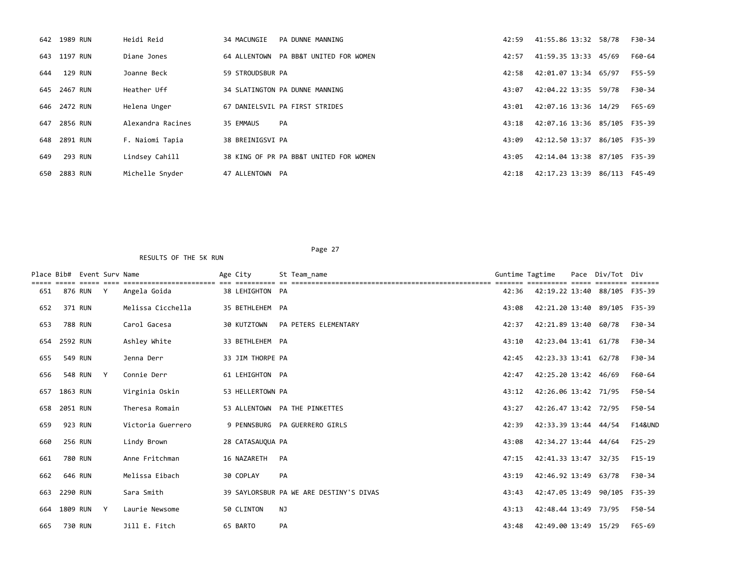|     | 642 1989 RUN | Heidi Reid        | 34 MACUNGIE<br>PA DUNNE MANNING        | 42:59 | 41:55.86 13:32 58/78         |               | F30-34 |
|-----|--------------|-------------------|----------------------------------------|-------|------------------------------|---------------|--------|
|     | 643 1197 RUN | Diane Jones       | 64 ALLENTOWN PA BB&T UNITED FOR WOMEN  | 42:57 | 41:59.35 13:33 45/69         |               | F60-64 |
| 644 | 129 RUN      | Joanne Beck       | 59 STROUDSBUR PA                       | 42:58 | 42:01.07 13:34 65/97         |               | F55-59 |
|     | 645 2467 RUN | Heather Uff       | 34 SLATINGTON PA DUNNE MANNING         | 43:07 | 42:04.22 13:35               | 59/78         | F30-34 |
|     | 646 2472 RUN | Helena Unger      | 67 DANIELSVIL PA FIRST STRIDES         | 43:01 | 42:07.16 13:36 14/29         |               | F65-69 |
|     | 647 2856 RUN | Alexandra Racines | 35 EMMAUS<br><b>PA</b>                 | 43:18 | 42:07.16 13:36 85/105 F35-39 |               |        |
|     | 648 2891 RUN | F. Naiomi Tapia   | 38 BREINIGSVI PA                       | 43:09 | 42:12.50 13:37 86/105 F35-39 |               |        |
| 649 | 293 RUN      | Lindsey Cahill    | 38 KING OF PR PA BB&T UNITED FOR WOMEN | 43:05 | 42:14.04 13:38 87/105 F35-39 |               |        |
|     | 650 2883 RUN | Michelle Snyder   | 47 ALLENTOWN PA                        | 42:18 | 42:17.23 13:39               | 86/113 F45-49 |        |

|     |          | Place Bib# Event Surv Name |   |                   | Age City    |                  | St Team name                            | Guntime Tagtime |                              | Pace Div/Tot Div |                    |
|-----|----------|----------------------------|---|-------------------|-------------|------------------|-----------------------------------------|-----------------|------------------------------|------------------|--------------------|
| 651 |          | 876 RUN                    | Y | Angela Goida      |             | 38 LEHIGHTON PA  |                                         | 42:36           | 42:19.22 13:40 88/105 F35-39 |                  |                    |
| 652 |          | 371 RUN                    |   | Melissa Cicchella |             | 35 BETHLEHEM PA  |                                         | 43:08           | 42:21.20 13:40               | 89/105 F35-39    |                    |
| 653 |          | 788 RUN                    |   | Carol Gacesa      | 30 KUTZTOWN |                  | PA PETERS ELEMENTARY                    | 42:37           | 42:21.89 13:40 60/78         |                  | F30-34             |
| 654 | 2592 RUN |                            |   | Ashley White      |             | 33 BETHLEHEM PA  |                                         | 43:10           | 42:23.04 13:41 61/78         |                  | F30-34             |
| 655 |          | 549 RUN                    |   | Jenna Derr        |             | 33 JIM THORPE PA |                                         | 42:45           | 42:23.33 13:41 62/78         |                  | F30-34             |
| 656 |          | 548 RUN                    | Y | Connie Derr       |             | 61 LEHIGHTON PA  |                                         | 42:47           | 42:25.20 13:42 46/69         |                  | F60-64             |
| 657 | 1863 RUN |                            |   | Virginia Oskin    |             | 53 HELLERTOWN PA |                                         | 43:12           | 42:26.06 13:42 71/95         |                  | F50-54             |
| 658 | 2051 RUN |                            |   | Theresa Romain    |             |                  | 53 ALLENTOWN PA THE PINKETTES           | 43:27           | 42:26.47 13:42 72/95         |                  | F50-54             |
| 659 |          | 923 RUN                    |   | Victoria Guerrero |             |                  | 9 PENNSBURG PA GUERRERO GIRLS           | 42:39           | 42:33.39 13:44 44/54         |                  | <b>F14&amp;UND</b> |
| 660 |          | <b>256 RUN</b>             |   | Lindy Brown       |             | 28 CATASAUQUA PA |                                         | 43:08           | 42:34.27 13:44 44/64         |                  | $F25-29$           |
| 661 |          | 780 RUN                    |   | Anne Fritchman    | 16 NAZARETH |                  | PA                                      | 47:15           | 42:41.33 13:47               | 32/35            | $F15-19$           |
| 662 |          | 646 RUN                    |   | Melissa Eibach    | 30 COPLAY   |                  | PA                                      | 43:19           | 42:46.92 13:49               | 63/78            | F30-34             |
| 663 | 2290 RUN |                            |   | Sara Smith        |             |                  | 39 SAYLORSBUR PA WE ARE DESTINY'S DIVAS | 43:43           | 42:47.05 13:49 90/105 F35-39 |                  |                    |
| 664 | 1809 RUN |                            | Y | Laurie Newsome    | 50 CLINTON  |                  | <b>NJ</b>                               | 43:13           | 42:48.44 13:49 73/95         |                  | F50-54             |
| 665 |          | 730 RUN                    |   | Jill E. Fitch     | 65 BARTO    |                  | PA                                      | 43:48           | 42:49.00 13:49 15/29         |                  | F65-69             |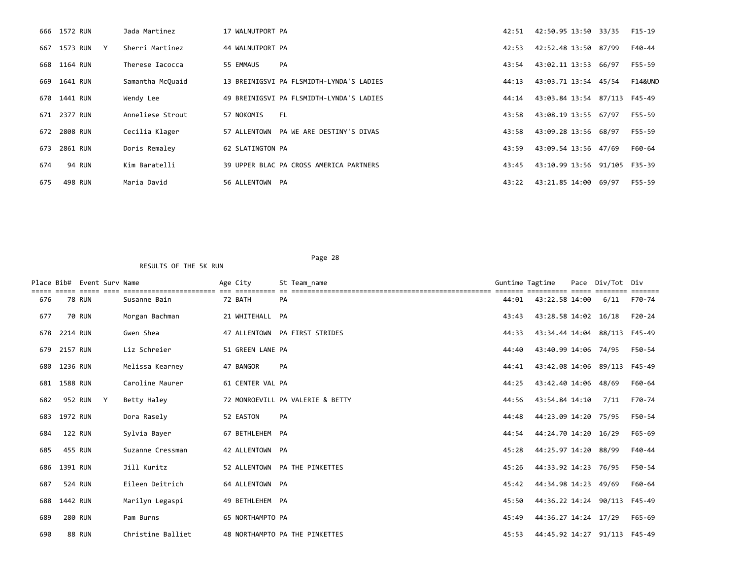|     | 666 1572 RUN                 | Jada Martinez    | 17 WALNUTPORT PA                         | 42:51 | 42:50.95 13:50 33/35         |       | F15-19             |
|-----|------------------------------|------------------|------------------------------------------|-------|------------------------------|-------|--------------------|
|     | 667 1573 RUN<br>$\mathsf{Y}$ | Sherri Martinez  | 44 WALNUTPORT PA                         | 42:53 | 42:52.48 13:50 87/99         |       | F40-44             |
|     | 668 1164 RUN                 | Therese Iacocca  | 55 EMMAUS<br>PA                          | 43:54 | 43:02.11 13:53 66/97         |       | F55-59             |
|     | 669 1641 RUN                 | Samantha McQuaid | 13 BREINIGSVI PA FLSMIDTH-LYNDA'S LADIES | 44:13 | 43:03.71 13:54 45/54         |       | <b>F14&amp;UND</b> |
|     | 670 1441 RUN                 | Wendy Lee        | 49 BREINIGSVI PA FLSMIDTH-LYNDA'S LADIES | 44:14 | 43:03.84 13:54 87/113        |       | F45-49             |
|     | 671 2377 RUN                 | Anneliese Strout | FL.<br>57 NOKOMIS                        | 43:58 | 43:08.19 13:55 67/97         |       | F55-59             |
|     | 672 2808 RUN                 | Cecilia Klager   | 57 ALLENTOWN PA WE ARE DESTINY'S DIVAS   | 43:58 | 43:09.28 13:56 68/97         |       | F55-59             |
| 673 | 2861 RUN                     | Doris Remaley    | 62 SLATINGTON PA                         | 43:59 | 43:09.54 13:56 47/69         |       | F60-64             |
| 674 | <b>94 RUN</b>                | Kim Baratelli    | 39 UPPER BLAC PA CROSS AMERICA PARTNERS  | 43:45 | 43:10.99 13:56 91/105 F35-39 |       |                    |
| 675 | 498 RUN                      | Maria David      | 56 ALLENTOWN PA                          | 43:22 | 43:21.85 14:00               | 69/97 | F55-59             |

| Place Bib# |                | Event Sury Name | -------------------- | Age City         | St Team name                     | Guntime Tagtime |                              | Pace | Div/Tot | Div    |
|------------|----------------|-----------------|----------------------|------------------|----------------------------------|-----------------|------------------------------|------|---------|--------|
| 676        |                | <b>78 RUN</b>   | Susanne Bain         | 72 BATH          | PA                               | 44:01           | 43:22.58 14:00               |      | 6/11    | F70-74 |
| 677        |                | <b>70 RUN</b>   | Morgan Bachman       | 21 WHITEHALL PA  |                                  | 43:43           | 43:28.58 14:02 16/18         |      |         | F20-24 |
| 678        | 2214 RUN       |                 | Gwen Shea            |                  | 47 ALLENTOWN PA FIRST STRIDES    | 44:33           | 43:34.44 14:04 88/113        |      |         | F45-49 |
| 679        | 2157 RUN       |                 | Liz Schreier         | 51 GREEN LANE PA |                                  | 44:40           | 43:40.99 14:06 74/95         |      |         | F50-54 |
| 680        | 1236 RUN       |                 | Melissa Kearney      | 47 BANGOR        | PA                               | 44:41           | 43:42.08 14:06 89/113        |      |         | F45-49 |
|            | 681 1588 RUN   |                 | Caroline Maurer      | 61 CENTER VAL PA |                                  | 44:25           | 43:42.40 14:06 48/69         |      |         | F60-64 |
| 682        |                | 952 RUN Y       | Betty Haley          |                  | 72 MONROEVILL PA VALERIE & BETTY | 44:56           | 43:54.84 14:10               |      | 7/11    | F70-74 |
| 683        | 1972 RUN       |                 | Dora Rasely          | 52 EASTON        | PA                               | 44:48           | 44:23.09 14:20 75/95         |      |         | F50-54 |
| 684        | <b>122 RUN</b> |                 | Sylvia Bayer         | 67 BETHLEHEM PA  |                                  | 44:54           | 44:24.70 14:20 16/29         |      |         | F65-69 |
| 685        | 455 RUN        |                 | Suzanne Cressman     | 42 ALLENTOWN PA  |                                  | 45:28           | 44:25.97 14:20 88/99         |      |         | F40-44 |
| 686        | 1391 RUN       |                 | Jill Kuritz          |                  | 52 ALLENTOWN PA THE PINKETTES    | 45:26           | 44:33.92 14:23 76/95         |      |         | F50-54 |
| 687        |                | 524 RUN         | Eileen Deitrich      | 64 ALLENTOWN PA  |                                  | 45:42           | 44:34.98 14:23 49/69         |      |         | F60-64 |
| 688        | 1442 RUN       |                 | Marilyn Legaspi      | 49 BETHLEHEM PA  |                                  | 45:50           | 44:36.22 14:24 90/113 F45-49 |      |         |        |
| 689        |                | <b>280 RUN</b>  | Pam Burns            | 65 NORTHAMPTO PA |                                  | 45:49           | 44:36.27 14:24 17/29         |      |         | F65-69 |
| 690        |                | <b>88 RUN</b>   | Christine Balliet    |                  | 48 NORTHAMPTO PA THE PINKETTES   | 45:53           | 44:45.92 14:27 91/113 F45-49 |      |         |        |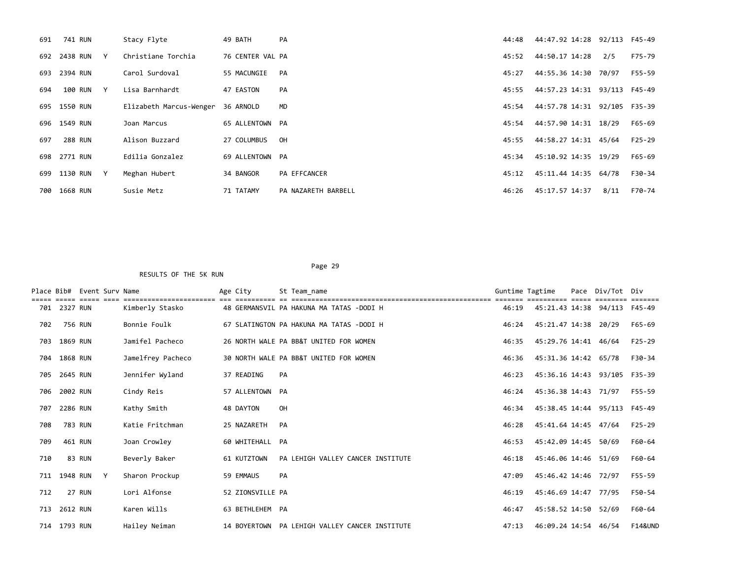| 691 | 741 RUN        |              | Stacy Flyte             | 49 BATH          | PA                  | 44:48 | 44:47.92 14:28 92/113 F45-49 |       |          |
|-----|----------------|--------------|-------------------------|------------------|---------------------|-------|------------------------------|-------|----------|
|     | 692 2438 RUN   | $\mathsf{Y}$ | Christiane Torchia      | 76 CENTER VAL PA |                     | 45:52 | 44:50.17 14:28               | 2/5   | F75-79   |
|     | 693 2394 RUN   |              | Carol Surdoval          | 55 MACUNGIE      | PA                  | 45:27 | 44:55.36 14:30               | 70/97 | F55-59   |
| 694 | 100 RUN Y      |              | Lisa Barnhardt          | 47 EASTON        | PA                  | 45:55 | 44:57.23 14:31 93/113 F45-49 |       |          |
|     | 695 1550 RUN   |              | Elizabeth Marcus-Wenger | 36 ARNOLD        | <b>MD</b>           | 45:54 | 44:57.78 14:31 92/105 F35-39 |       |          |
|     | 696 1549 RUN   |              | Joan Marcus             | 65 ALLENTOWN PA  |                     | 45:54 | 44:57.90 14:31               | 18/29 | F65-69   |
| 697 | <b>288 RUN</b> |              | Alison Buzzard          | 27 COLUMBUS      | OH                  | 45:55 | 44:58.27 14:31               | 45/64 | $F25-29$ |
|     | 698 2771 RUN   |              | Edilia Gonzalez         | 69 ALLENTOWN PA  |                     | 45:34 | 45:10.92 14:35 19/29         |       | F65-69   |
|     | 699 1130 RUN   | Y            | Meghan Hubert           | 34 BANGOR        | PA EFFCANCER        | 45:12 | 45:11.44 14:35               | 64/78 | F30-34   |
|     | 700 1668 RUN   |              | Susie Metz              | 71 TATAMY        | PA NAZARETH BARBELL | 46:26 | 45:17.57 14:37               | 8/11  | F70-74   |

Page 29 and the contract of the contract of the contract of the contract of the contract of the contract of the contract of the contract of the contract of the contract of the contract of the contract of the contract of th RESULTS OF THE 5K RUN

Place Bib# Event Surv Name  $\overline{a}$  Age City St Team\_name Guntime Tagtime Pace Div/Tot Div ===== ===== ===== ==== ======================= === ========== == ================================================== ======= ========== ===== ======== ======= Kimberly Stasko 48 GERMANSVIL PA HAKUNA MA TATAS -DODI H 702 756 RUN Bonnie Foulk 67 SLATINGTON PA HAKUNA MA TATAS -DODI H 46:24 45:21.47 14:38 20/29 F65-69 703 1869 RUN Jamifel Pacheco 26 NORTH WALE PA BB&T UNITED FOR WOMEN 46:35 45:29.76 14:41 46/64 F25-29 704 1868 RUN Jamelfrey Pacheco 30 NORTH WALE PA BB&T UNITED FOR WOMEN 46:36 45:31.36 14:42 65/78 F30-34 705 2645 RUN Jennifer Wyland 37 READING PA 46:23 45:36.16 14:43 93/105 F35-39 706 2002 RUN Cindy Reis 57 ALLENTOWN PA 46:24 45:36.38 14:43 71/97 F55-59 707 2286 RUN Kathy Smith 48 DAYTON OH 46:34 45:38.45 14:44 95/113 F45-49 708 783 RUN Katie Fritchman 25 NAZARETH PA 46:28 45:41.64 14:45 47/64 F25-29 709 461 RUN Joan Crowley 60 WHITEHALL PA 46:53 45:42.09 14:45 50/69 F60-64 710 83 RUN Beverly Baker 61 KUTZTOWN PA LEHIGH VALLEY CANCER INSTITUTE 46:18 45:46.06 14:46 51/69 F60-64 711 1948 RUN Y Sharon Prockup 59 EMMAUS PA 47:09 45:46.42 14:46 72/97 F55-59 712 27 RUN Lori Alfonse 52 ZIONSVILLE PA 46:19 45:46.69 14:47 77/95 F50-54 713 2612 RUN Karen Wills 63 BETHLEHEM PA 46:47 45:58.52 14:50 52/69 F60-64 714 1793 RUN Hailey Neiman 14 BOYERTOWN PA LEHIGH VALLEY CANCER INSTITUTE 47:13 46:09.24 14:54 46/54 F14&UND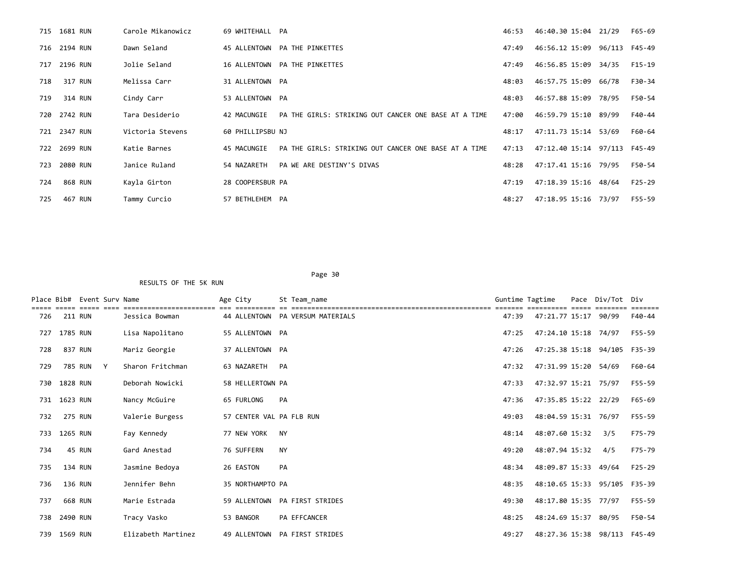|     | 715 1681 RUN | Carole Mikanowicz | 69 WHITEHALL PA  |                                                      | 46:53 | 46:40.30 15:04 21/29         |       | F65-69   |
|-----|--------------|-------------------|------------------|------------------------------------------------------|-------|------------------------------|-------|----------|
|     | 716 2194 RUN | Dawn Seland       |                  | 45 ALLENTOWN PA THE PINKETTES                        | 47:49 | 46:56.12 15:09 96/113        |       | F45-49   |
|     | 717 2196 RUN | Jolie Seland      |                  | 16 ALLENTOWN PA THE PINKETTES                        | 47:49 | 46:56.85 15:09               | 34/35 | F15-19   |
| 718 | 317 RUN      | Melissa Carr      | 31 ALLENTOWN PA  |                                                      | 48:03 | 46:57.75 15:09 66/78         |       | F30-34   |
| 719 | 314 RUN      | Cindy Carr        | 53 ALLENTOWN PA  |                                                      | 48:03 | 46:57.88 15:09               | 78/95 | F50-54   |
|     | 720 2742 RUN | Tara Desiderio    | 42 MACUNGIE      | PA THE GIRLS: STRIKING OUT CANCER ONE BASE AT A TIME | 47:00 | 46:59.79 15:10 89/99         |       | F40-44   |
|     | 721 2347 RUN | Victoria Stevens  | 60 PHILLIPSBU NJ |                                                      | 48:17 | 47:11.73 15:14               | 53/69 | F60-64   |
|     | 722 2699 RUN | Katie Barnes      | 45 MACUNGIE      | PA THE GIRLS: STRIKING OUT CANCER ONE BASE AT A TIME | 47:13 | 47:12.40 15:14 97/113 F45-49 |       |          |
| 723 | 2080 RUN     | Janice Ruland     | 54 NAZARETH      | PA WE ARE DESTINY'S DIVAS                            | 48:28 | 47:17.41 15:16 79/95         |       | F50-54   |
| 724 | 868 RUN      | Kayla Girton      | 28 COOPERSBUR PA |                                                      | 47:19 | 47:18.39 15:16 48/64         |       | $F25-29$ |
| 725 | 467 RUN      | Tammy Curcio      | 57 BETHLEHEM PA  |                                                      | 48:27 | 47:18.95 15:16 73/97         |       | F55-59   |

| Place Bib# |                | Event Sury Name |   |                    | Age City                 |           | St Team name                     | Guntime Tagtime |                              | Pace | Div/Tot | Div      |
|------------|----------------|-----------------|---|--------------------|--------------------------|-----------|----------------------------------|-----------------|------------------------------|------|---------|----------|
| 726        | <b>211 RUN</b> |                 |   | Jessica Bowman     |                          |           | 44 ALLENTOWN PA VERSUM MATERIALS | 47:39           | 47:21.77 15:17               |      | 90/99   | F40-44   |
| 727        | 1785 RUN       |                 |   | Lisa Napolitano    | 55 ALLENTOWN PA          |           |                                  | 47:25           | 47:24.10 15:18 74/97         |      |         | F55-59   |
| 728        |                | 837 RUN         |   | Mariz Georgie      | 37 ALLENTOWN PA          |           |                                  | 47:26           | 47:25.38 15:18               |      | 94/105  | F35-39   |
| 729        |                | 785 RUN         | Y | Sharon Fritchman   | 63 NAZARETH              | PA        |                                  | 47:32           | 47:31.99 15:20 54/69         |      |         | F60-64   |
| 730        | 1828 RUN       |                 |   | Deborah Nowicki    | 58 HELLERTOWN PA         |           |                                  | 47:33           | 47:32.97 15:21 75/97         |      |         | F55-59   |
| 731        | 1623 RUN       |                 |   | Nancy McGuire      | 65 FURLONG               | PA        |                                  | 47:36           | 47:35.85 15:22 22/29         |      |         | F65-69   |
| 732        | <b>275 RUN</b> |                 |   | Valerie Burgess    | 57 CENTER VAL PA FLB RUN |           |                                  | 49:03           | 48:04.59 15:31 76/97         |      |         | F55-59   |
| 733        | 1265 RUN       |                 |   | Fay Kennedy        | 77 NEW YORK              | <b>NY</b> |                                  | 48:14           | 48:07.60 15:32               |      | 3/5     | F75-79   |
| 734        |                | 45 RUN          |   | Gard Anestad       | 76 SUFFERN               | <b>NY</b> |                                  | 49:20           | 48:07.94 15:32               |      | 4/5     | F75-79   |
| 735        | 134 RUN        |                 |   | Jasmine Bedoya     | 26 EASTON                | PA        |                                  | 48:34           | 48:09.87 15:33               |      | 49/64   | $F25-29$ |
| 736        |                | 136 RUN         |   | Jennifer Behn      | 35 NORTHAMPTO PA         |           |                                  | 48:35           | 48:10.65 15:33 95/105 F35-39 |      |         |          |
| 737        |                | 668 RUN         |   | Marie Estrada      |                          |           | 59 ALLENTOWN PA FIRST STRIDES    | 49:30           | 48:17.80 15:35 77/97         |      |         | F55-59   |
| 738        | 2490 RUN       |                 |   | Tracy Vasko        | 53 BANGOR                |           | PA EFFCANCER                     | 48:25           | 48:24.69 15:37               |      | 80/95   | F50-54   |
| 739        | 1569 RUN       |                 |   | Elizabeth Martinez | 49 ALLENTOWN             |           | PA FIRST STRIDES                 | 49:27           | 48:27.36 15:38 98/113 F45-49 |      |         |          |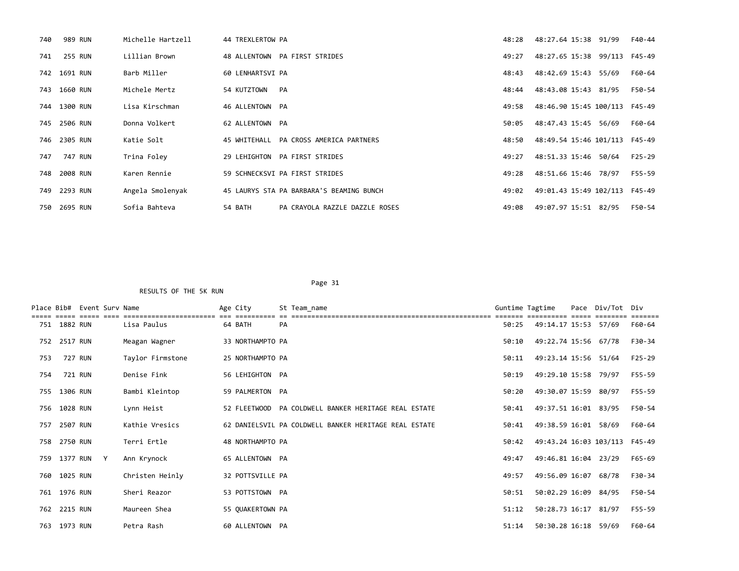| 740 | 989 RUN      | Michelle Hartzell | 44 TREXLERTOW PA |                                          | 48:28 | 48:27.64 15:38 91/99          | F40-44 |
|-----|--------------|-------------------|------------------|------------------------------------------|-------|-------------------------------|--------|
| 741 | 255 RUN      | Lillian Brown     |                  | 48 ALLENTOWN PA FIRST STRIDES            | 49:27 | 48:27.65 15:38 99/113 F45-49  |        |
|     | 742 1691 RUN | Barb Miller       | 60 LENHARTSVI PA |                                          | 48:43 | 48:42.69 15:43 55/69          | F60-64 |
|     | 743 1660 RUN | Michele Mertz     | 54 KUTZTOWN      | PA                                       | 48:44 | 48:43.08 15:43 81/95          | F50-54 |
|     | 744 1300 RUN | Lisa Kirschman    | 46 ALLENTOWN PA  |                                          | 49:58 | 48:46.90 15:45 100/113 F45-49 |        |
|     | 745 2506 RUN | Donna Volkert     | 62 ALLENTOWN PA  |                                          | 50:05 | 48:47.43 15:45 56/69          | F60-64 |
|     | 746 2305 RUN | Katie Solt        |                  | 45 WHITEHALL PA CROSS AMERICA PARTNERS   | 48:50 | 48:49.54 15:46 101/113 F45-49 |        |
| 747 | 747 RUN      | Trina Folev       |                  | 29 LEHIGHTON PA FIRST STRIDES            | 49:27 | 48:51.33 15:46 50/64          | F25-29 |
|     | 748 2008 RUN | Karen Rennie      |                  | 59 SCHNECKSVI PA FIRST STRIDES           | 49:28 | 48:51.66 15:46 78/97          | F55-59 |
|     | 749 2293 RUN | Angela Smolenyak  |                  | 45 LAURYS STA PA BARBARA'S BEAMING BUNCH | 49:02 | 49:01.43 15:49 102/113 F45-49 |        |
|     | 750 2695 RUN | Sofia Bahteva     | 54 BATH          | PA CRAYOLA RAZZLE DAZZLE ROSES           | 49:08 | 49:07.97 15:51 82/95          | F50-54 |

| Place Bib# |              | Event Sury Name |                                    | Age City         | St Team_name                                          |       | Guntime Tagtime        | Pace Div/Tot | Div    |
|------------|--------------|-----------------|------------------------------------|------------------|-------------------------------------------------------|-------|------------------------|--------------|--------|
|            | 751 1882 RUN |                 | ===================<br>Lisa Paulus | 64 BATH          | PA                                                    | 50:25 | 49:14.17 15:53 57/69   |              | F60-64 |
| 752        | 2517 RUN     |                 | Meagan Wagner                      | 33 NORTHAMPTO PA |                                                       | 50:10 | 49:22.74 15:56 67/78   |              | F30-34 |
| 753        |              | 727 RUN         | Taylor Firmstone                   | 25 NORTHAMPTO PA |                                                       | 50:11 | 49:23.14 15:56 51/64   |              | F25-29 |
| 754        |              | 721 RUN         | Denise Fink                        | 56 LEHIGHTON PA  |                                                       | 50:19 | 49:29.10 15:58 79/97   |              | F55-59 |
|            | 755 1306 RUN |                 | Bambi Kleintop                     | 59 PALMERTON PA  |                                                       | 50:20 | 49:30.07 15:59 80/97   |              | F55-59 |
| 756        | 1028 RUN     |                 | Lynn Heist                         | 52 FLEETWOOD     | PA COLDWELL BANKER HERITAGE REAL ESTATE               | 50:41 | 49:37.51 16:01 83/95   |              | F50-54 |
| 757        | 2507 RUN     |                 | Kathie Vresics                     |                  | 62 DANIELSVIL PA COLDWELL BANKER HERITAGE REAL ESTATE | 50:41 | 49:38.59 16:01 58/69   |              | F60-64 |
|            | 758 2750 RUN |                 | Terri Ertle                        | 48 NORTHAMPTO PA |                                                       | 50:42 | 49:43.24 16:03 103/113 |              | F45-49 |
|            |              | 759 1377 RUN Y  | Ann Krynock                        | 65 ALLENTOWN PA  |                                                       | 49:47 | 49:46.81 16:04 23/29   |              | F65-69 |
| 760        | 1025 RUN     |                 | Christen Heinly                    | 32 POTTSVILLE PA |                                                       | 49:57 | 49:56.09 16:07         | 68/78        | F30-34 |
|            | 761 1976 RUN |                 | Sheri Reazor                       | 53 POTTSTOWN PA  |                                                       | 50:51 | 50:02.29 16:09         | 84/95        | F50-54 |
| 762        | 2215 RUN     |                 | Maureen Shea                       | 55 OUAKERTOWN PA |                                                       | 51:12 | 50:28.73 16:17         | 81/97        | F55-59 |
|            | 763 1973 RUN |                 | Petra Rash                         | 60 ALLENTOWN PA  |                                                       | 51:14 | 50:30.28 16:18 59/69   |              | F60-64 |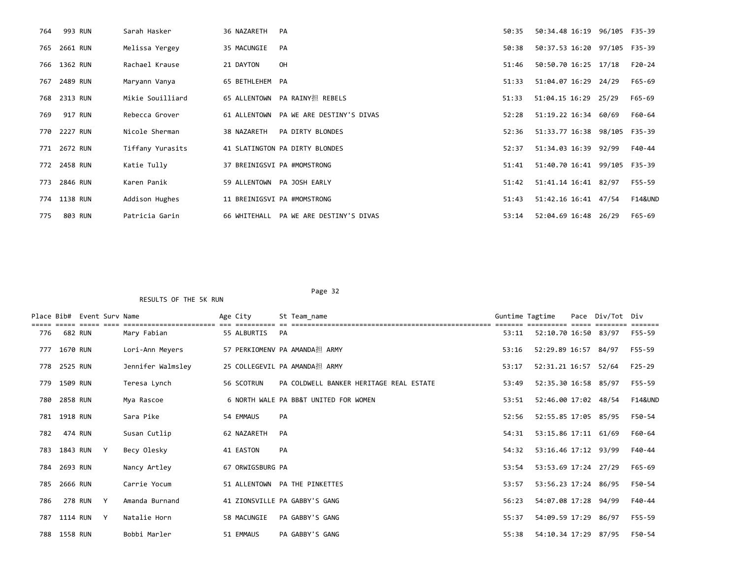| 764 | 993 RUN      | Sarah Hasker     | 36 NAZARETH     | PA                                     | 50:35 | 50:34.48 16:19 96/105 F35-39 |         |
|-----|--------------|------------------|-----------------|----------------------------------------|-------|------------------------------|---------|
|     | 765 2661 RUN | Melissa Yergey   | 35 MACUNGIE     | PA                                     | 50:38 | 50:37.53 16:20 97/105 F35-39 |         |
|     | 766 1362 RUN | Rachael Krause   | 21 DAYTON       | OH                                     | 51:46 | 50:50.70 16:25 17/18         | F20-24  |
|     | 767 2489 RUN | Maryann Vanya    | 65 BETHLEHEM PA |                                        | 51:33 | 51:04.07 16:29 24/29         | F65-69  |
|     | 768 2313 RUN | Mikie Souilliard |                 | 65 ALLENTOWN PA RAINY担 REBELS          | 51:33 | 51:04.15 16:29 25/29         | F65-69  |
| 769 | 917 RUN      | Rebecca Grover   |                 | 61 ALLENTOWN PA WE ARE DESTINY'S DIVAS | 52:28 | 51:19.22 16:34 60/69         | F60-64  |
|     | 770 2227 RUN | Nicole Sherman   | 38 NAZARETH     | PA DIRTY BLONDES                       | 52:36 | 51:33.77 16:38 98/105        | F35-39  |
|     | 771 2672 RUN | Tiffany Yurasits |                 | 41 SLATINGTON PA DIRTY BLONDES         | 52:37 | 51:34.03 16:39 92/99         | F40-44  |
|     | 772 2458 RUN | Katie Tully      |                 | 37 BREINIGSVI PA #MOMSTRONG            | 51:41 | 51:40.70 16:41 99/105 F35-39 |         |
|     | 773 2846 RUN | Karen Panik      |                 | 59 ALLENTOWN PA JOSH EARLY             | 51:42 | 51:41.14 16:41 82/97         | F55-59  |
|     | 774 1138 RUN | Addison Hughes   |                 | 11 BREINIGSVI PA #MOMSTRONG            | 51:43 | 51:42.16 16:41 47/54         | F14&UND |
| 775 | 803 RUN      | Patricia Garin   |                 | 66 WHITEHALL PA WE ARE DESTINY'S DIVAS | 53:14 | 52:04.69 16:48 26/29         | F65-69  |

|     |              | Place Bib# Event Surv Name |   |                   | Age City         |    | St Team name                            | Guntime Tagtime |                      | Pace Div/Tot Div |                    |
|-----|--------------|----------------------------|---|-------------------|------------------|----|-----------------------------------------|-----------------|----------------------|------------------|--------------------|
| 776 | 682 RUN      |                            |   | Mary Fabian       | 55 ALBURTIS      | PA |                                         | 53:11           | 52:10.70 16:50 83/97 |                  | F55-59             |
|     | 777 1670 RUN |                            |   | Lori-Ann Meyers   |                  |    | 57 PERKIOMENV PA AMANDA担 ARMY           | 53:16           | 52:29.89 16:57 84/97 |                  | F55-59             |
|     | 778 2525 RUN |                            |   | Jennifer Walmsley |                  |    | 25 COLLEGEVIL PA AMANDA担 ARMY           | 53:17           | 52:31.21 16:57 52/64 |                  | $F25 - 29$         |
|     | 779 1509 RUN |                            |   | Teresa Lynch      | 56 SCOTRUN       |    | PA COLDWELL BANKER HERITAGE REAL ESTATE | 53:49           | 52:35.30 16:58 85/97 |                  | F55-59             |
| 780 | 2858 RUN     |                            |   | Mya Rascoe        |                  |    | 6 NORTH WALE PA BB&T UNITED FOR WOMEN   | 53:51           | 52:46.00 17:02 48/54 |                  | <b>F14&amp;UND</b> |
|     | 781 1918 RUN |                            |   | Sara Pike         | 54 EMMAUS        | PA |                                         | 52:56           | 52:55.85 17:05 85/95 |                  | F50-54             |
| 782 | 474 RUN      |                            |   | Susan Cutlip      | 62 NAZARETH      | PA |                                         | 54:31           | 53:15.86 17:11 61/69 |                  | F60-64             |
|     | 783 1843 RUN |                            | Y | Becy Olesky       | 41 EASTON        | PA |                                         | 54:32           | 53:16.46 17:12 93/99 |                  | F40-44             |
|     | 784 2693 RUN |                            |   | Nancy Artley      | 67 ORWIGSBURG PA |    |                                         | 53:54           | 53:53.69 17:24 27/29 |                  | F65-69             |
|     | 785 2666 RUN |                            |   | Carrie Yocum      |                  |    | 51 ALLENTOWN PA THE PINKETTES           | 53:57           | 53:56.23 17:24 86/95 |                  | F50-54             |
| 786 |              | <b>278 RUN</b>             | Y | Amanda Burnand    |                  |    | 41 ZIONSVILLE PA GABBY'S GANG           | 56:23           | 54:07.08 17:28 94/99 |                  | F40-44             |
|     | 787 1114 RUN |                            | Y | Natalie Horn      | 58 MACUNGIE      |    | PA GABBY'S GANG                         | 55:37           | 54:09.59 17:29 86/97 |                  | F55-59             |
|     | 788 1558 RUN |                            |   | Bobbi Marler      | 51 EMMAUS        |    | PA GABBY'S GANG                         | 55:38           | 54:10.34 17:29 87/95 |                  | F50-54             |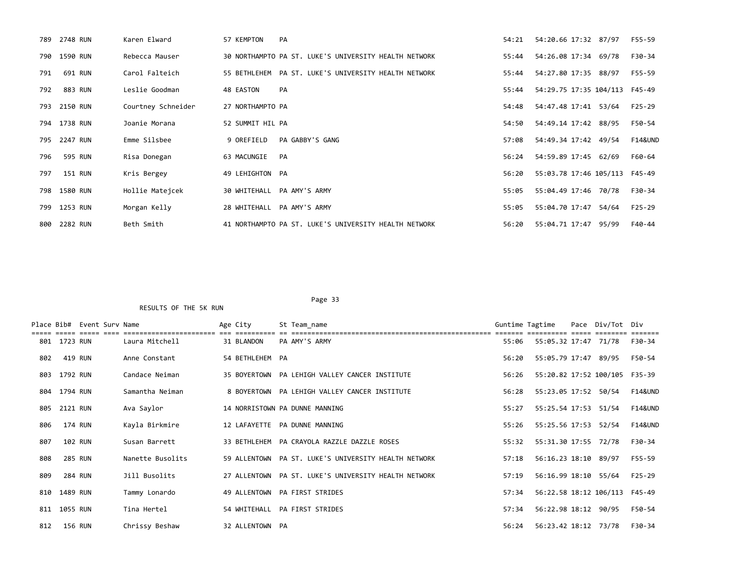| 789 | 2748 RUN     | Karen Elward       | 57 KEMPTON<br>PA                                      | 54:21 | 54:20.66 17:32 87/97          | F55-59             |
|-----|--------------|--------------------|-------------------------------------------------------|-------|-------------------------------|--------------------|
|     | 790 1590 RUN | Rebecca Mauser     | 30 NORTHAMPTO PA ST. LUKE'S UNIVERSITY HEALTH NETWORK | 55:44 | 54:26.08 17:34 69/78          | F30-34             |
| 791 | 691 RUN      | Carol Falteich     | 55 BETHLEHEM PA ST. LUKE'S UNIVERSITY HEALTH NETWORK  | 55:44 | 54:27.80 17:35 88/97          | F55-59             |
| 792 | 883 RUN      | Leslie Goodman     | PA<br>48 EASTON                                       | 55:44 | 54:29.75 17:35 104/113 F45-49 |                    |
|     | 793 2150 RUN | Courtney Schneider | 27 NORTHAMPTO PA                                      | 54:48 | 54:47.48 17:41 53/64          | F25-29             |
|     | 794 1738 RUN | Joanie Morana      | 52 SUMMIT HIL PA                                      | 54:50 | 54:49.14 17:42 88/95          | F50-54             |
|     | 795 2247 RUN | Emme Silsbee       | 9 OREFIELD<br>PA GABBY'S GANG                         | 57:08 | 54:49.34 17:42 49/54          | <b>F14&amp;UND</b> |
| 796 | 595 RUN      | Risa Donegan       | 63 MACUNGIE<br>PA                                     | 56:24 | 54:59.89 17:45 62/69          | F60-64             |
| 797 | 151 RUN      | Kris Bergey        | 49 LEHIGHTON PA                                       | 56:20 | 55:03.78 17:46 105/113 F45-49 |                    |
|     | 798 1580 RUN | Hollie Matejcek    | 30 WHITEHALL PA AMY'S ARMY                            | 55:05 | 55:04.49 17:46 70/78          | F30-34             |
|     | 799 1253 RUN | Morgan Kelly       | 28 WHITEHALL PA AMY'S ARMY                            | 55:05 | 55:04.70 17:47<br>54/64       | $F25-29$           |
|     | 800 2282 RUN | Beth Smith         | 41 NORTHAMPTO PA ST. LUKE'S UNIVERSITY HEALTH NETWORK | 56:20 | 55:04.71 17:47 95/99          | F40-44             |

|     |              | Place Bib# Event Surv Name |                  | Age City        | St Team name                                         | Guntime Tagtime |                               | Pace Div/Tot Div |                    |
|-----|--------------|----------------------------|------------------|-----------------|------------------------------------------------------|-----------------|-------------------------------|------------------|--------------------|
|     | 801 1723 RUN |                            | Laura Mitchell   | 31 BLANDON      | PA AMY'S ARMY                                        | 55:06           | 55:05.32 17:47 71/78          |                  | F30-34             |
| 802 | 419 RUN      |                            | Anne Constant    | 54 BETHLEHEM PA |                                                      | 56:20           | 55:05.79 17:47 89/95          |                  | F50-54             |
| 803 | 1792 RUN     |                            | Candace Neiman   |                 | 35 BOYERTOWN PA LEHIGH VALLEY CANCER INSTITUTE       | 56:26           | 55:20.82 17:52 100/105 F35-39 |                  |                    |
|     | 804 1794 RUN |                            | Samantha Neiman  |                 | 8 BOYERTOWN PA LEHIGH VALLEY CANCER INSTITUTE        | 56:28           | 55:23.05 17:52 50/54          |                  | <b>F14&amp;UND</b> |
| 805 | 2121 RUN     |                            | Ava Saylor       |                 | 14 NORRISTOWN PA DUNNE MANNING                       | 55:27           | 55:25.54 17:53 51/54          |                  | <b>F14&amp;UND</b> |
| 806 | 174 RUN      |                            | Kayla Birkmire   |                 | 12 LAFAYETTE PA DUNNE MANNING                        | 55:26           | 55:25.56 17:53 52/54          |                  | <b>F14&amp;UND</b> |
| 807 | 102 RUN      |                            | Susan Barrett    |                 | 33 BETHLEHEM PA CRAYOLA RAZZLE DAZZLE ROSES          | 55:32           | 55:31.30 17:55 72/78          |                  | F30-34             |
| 808 | 285 RUN      |                            | Nanette Busolits |                 | 59 ALLENTOWN PA ST. LUKE'S UNIVERSITY HEALTH NETWORK | 57:18           | 56:16.23 18:10 89/97          |                  | F55-59             |
| 809 | 284 RUN      |                            | Jill Busolits    |                 | 27 ALLENTOWN PA ST. LUKE'S UNIVERSITY HEALTH NETWORK | 57:19           | 56:16.99 18:10 55/64          |                  | $F25-29$           |
| 810 | 1489 RUN     |                            | Tammy Lonardo    |                 | 49 ALLENTOWN PA FIRST STRIDES                        | 57:34           | 56:22.58 18:12 106/113        |                  | F45-49             |
|     | 811 1055 RUN |                            | Tina Hertel      | 54 WHITEHALL    | <b>PA FIRST STRIDES</b>                              | 57:34           | 56:22.98 18:12 90/95          |                  | F50-54             |
| 812 | 156 RUN      |                            | Chrissy Beshaw   | 32 ALLENTOWN PA |                                                      | 56:24           | 56:23.42 18:12 73/78          |                  | F30-34             |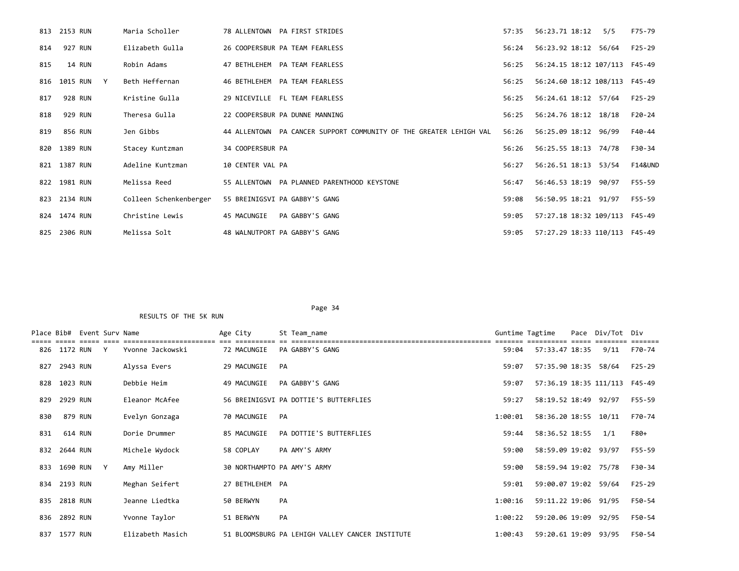|     | 813 2153 RUN   | Maria Scholler         | 78 ALLENTOWN PA FIRST STRIDES                                      | 57:35 | 56:23.71 18:12<br>5/5         | F75-79  |
|-----|----------------|------------------------|--------------------------------------------------------------------|-------|-------------------------------|---------|
|     | 814 927 RUN    | Elizabeth Gulla        | 26 COOPERSBUR PA TEAM FEARLESS                                     | 56:24 | 56:23.92 18:12 56/64          | F25-29  |
| 815 | 14 RUN         | Robin Adams            | 47 BETHLEHEM PA TEAM FEARLESS                                      | 56:25 | 56:24.15 18:12 107/113 F45-49 |         |
|     | 816 1015 RUN Y | Beth Heffernan         | 46 BETHLEHEM PA TEAM FEARLESS                                      | 56:25 | 56:24.60 18:12 108/113 F45-49 |         |
| 817 | 928 RUN        | Kristine Gulla         | 29 NICEVILLE FL TEAM FEARLESS                                      | 56:25 | 56:24.61 18:12 57/64 F25-29   |         |
| 818 | 929 RUN        | Theresa Gulla          | 22 COOPERSBUR PA DUNNE MANNING                                     | 56:25 | 56:24.76 18:12 18/18          | F20-24  |
| 819 | 856 RUN        | Jen Gibbs              | 44 ALLENTOWN PA CANCER SUPPORT COMMUNITY OF THE GREATER LEHIGH VAL | 56:26 | 56:25.09 18:12 96/99          | F40-44  |
|     | 820 1389 RUN   | Stacey Kuntzman        | 34 COOPERSBUR PA                                                   | 56:26 | 56:25.55 18:13 74/78          | F30-34  |
|     | 821 1387 RUN   | Adeline Kuntzman       | 10 CENTER VAL PA                                                   | 56:27 | 56:26.51 18:13 53/54          | F14&UND |
|     | 822 1981 RUN   | Melissa Reed           | 55 ALLENTOWN PA PLANNED PARENTHOOD KEYSTONE                        | 56:47 | 56:46.53 18:19 90/97          | F55-59  |
|     | 823 2134 RUN   | Colleen Schenkenberger | 55 BREINIGSVI PA GABBY'S GANG                                      | 59:08 | 56:50.95 18:21 91/97          | F55-59  |
|     | 824 1474 RUN   | Christine Lewis        | 45 MACUNGIE<br>PA GABBY'S GANG                                     | 59:05 | 57:27.18 18:32 109/113 F45-49 |         |
|     | 825 2306 RUN   | Melissa Solt           | 48 WALNUTPORT PA GABBY'S GANG                                      | 59:05 | 57:27.29 18:33 110/113 F45-49 |         |

| Place Bib# |              | Event Surv Name |              |                  | Age City        |    | St Team name                                    | Guntime Tagtime |                      | Pace Div/Tot Div              |          |
|------------|--------------|-----------------|--------------|------------------|-----------------|----|-------------------------------------------------|-----------------|----------------------|-------------------------------|----------|
|            | 826 1172 RUN |                 | Y            | Yvonne Jackowski | 72 MACUNGIE     |    | PA GABBY'S GANG                                 | 59:04           | 57:33.47 18:35       | 9/11                          | F70-74   |
| 827        | 2943 RUN     |                 |              | Alyssa Evers     | 29 MACUNGIE     | PA |                                                 | 59:07           | 57:35.90 18:35 58/64 |                               | $F25-29$ |
| 828        | 1023 RUN     |                 |              | Debbie Heim      | 49 MACUNGIE     |    | PA GABBY'S GANG                                 | 59:07           |                      | 57:36.19 18:35 111/113 F45-49 |          |
| 829        | 2929 RUN     |                 |              | Eleanor McAfee   |                 |    | 56 BREINIGSVI PA DOTTIE'S BUTTERFLIES           | 59:27           | 58:19.52 18:49 92/97 |                               | F55-59   |
| 830        | 879 RUN      |                 |              | Evelyn Gonzaga   | 70 MACUNGIE     | PA |                                                 | 1:00:01         | 58:36.20 18:55 10/11 |                               | F70-74   |
| 831        |              | 614 RUN         |              | Dorie Drummer    | 85 MACUNGIE     |    | PA DOTTIE'S BUTTERFLIES                         | 59:44           | 58:36.52 18:55       | 1/1                           | F80+     |
| 832        | 2644 RUN     |                 |              | Michele Wydock   | 58 COPLAY       |    | PA AMY'S ARMY                                   | 59:00           | 58:59.09 19:02 93/97 |                               | F55-59   |
| 833        | 1690 RUN     |                 | $\mathsf{Y}$ | Amy Miller       |                 |    | 30 NORTHAMPTO PA AMY'S ARMY                     | 59:00           | 58:59.94 19:02 75/78 |                               | F30-34   |
|            | 834 2193 RUN |                 |              | Meghan Seifert   | 27 BETHLEHEM PA |    |                                                 | 59:01           | 59:00.07 19:02 59/64 |                               | $F25-29$ |
| 835        | 2818 RUN     |                 |              | Jeanne Liedtka   | 50 BERWYN       | PA |                                                 | 1:00:16         | 59:11.22 19:06 91/95 |                               | F50-54   |
| 836        | 2892 RUN     |                 |              | Yvonne Taylor    | 51 BERWYN       | PA |                                                 | 1:00:22         | 59:20.06 19:09       | 92/95                         | F50-54   |
| 837        | 1577 RUN     |                 |              | Elizabeth Masich |                 |    | 51 BLOOMSBURG PA LEHIGH VALLEY CANCER INSTITUTE | 1:00:43         | 59:20.61 19:09 93/95 |                               | F50-54   |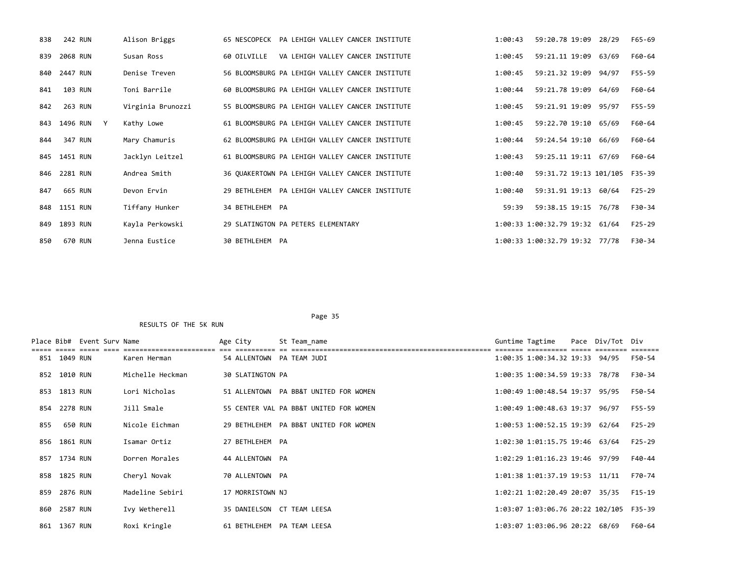| 838 | 242 RUN        | Alison Briggs     | 65 NESCOPECK PA LEHIGH VALLEY CANCER INSTITUTE   | 1:00:43 | 59:20.78 19:09                 | 28/29 | F65-69   |
|-----|----------------|-------------------|--------------------------------------------------|---------|--------------------------------|-------|----------|
| 839 | 2068 RUN       | Susan Ross        | VA LEHIGH VALLEY CANCER INSTITUTE<br>60 OILVILLE | 1:00:45 | 59:21.11 19:09 63/69           |       | F60-64   |
| 840 | 2447 RUN       | Denise Treven     | 56 BLOOMSBURG PA LEHIGH VALLEY CANCER INSTITUTE  | 1:00:45 | 59:21.32 19:09 94/97           |       | F55-59   |
| 841 | 103 RUN        | Toni Barrile      | 60 BLOOMSBURG PA LEHIGH VALLEY CANCER INSTITUTE  | 1:00:44 | 59:21.78 19:09 64/69           |       | F60-64   |
| 842 | 263 RUN        | Virginia Brunozzi | 55 BLOOMSBURG PA LEHIGH VALLEY CANCER INSTITUTE  | 1:00:45 | 59:21.91 19:09 95/97           |       | F55-59   |
|     | 843 1496 RUN Y | Kathy Lowe        | 61 BLOOMSBURG PA LEHIGH VALLEY CANCER INSTITUTE  | 1:00:45 | 59:22.70 19:10 65/69           |       | F60-64   |
| 844 | 347 RUN        | Mary Chamuris     | 62 BLOOMSBURG PA LEHIGH VALLEY CANCER INSTITUTE  | 1:00:44 | 59:24.54 19:10                 | 66/69 | F60-64   |
|     | 845 1451 RUN   | Jacklyn Leitzel   | 61 BLOOMSBURG PA LEHIGH VALLEY CANCER INSTITUTE  | 1:00:43 | 59:25.11 19:11 67/69           |       | F60-64   |
|     | 846 2281 RUN   | Andrea Smith      | 36 OUAKERTOWN PA LEHIGH VALLEY CANCER INSTITUTE  | 1:00:40 | 59:31.72 19:13 101/105 F35-39  |       |          |
| 847 | 665 RUN        | Devon Ervin       | 29 BETHLEHEM PA LEHIGH VALLEY CANCER INSTITUTE   | 1:00:40 | 59:31.91 19:13                 | 60/64 | $F25-29$ |
|     | 848 1151 RUN   | Tiffany Hunker    | 34 BETHLEHEM PA                                  | 59:39   | 59:38.15 19:15 76/78           |       | F30-34   |
|     | 849 1893 RUN   | Kayla Perkowski   | 29 SLATINGTON PA PETERS ELEMENTARY               |         | 1:00:33 1:00:32.79 19:32 61/64 |       | $F25-29$ |
| 850 | 670 RUN        | Jenna Eustice     | 30 BETHLEHEM PA                                  |         | 1:00:33 1:00:32.79 19:32 77/78 |       | F30-34   |

|     |              | Place Bib# Event Surv Name |                  | Age City                   | St Team_name                           | Guntime Tagtime                         | Pace Div/Tot Div |          |
|-----|--------------|----------------------------|------------------|----------------------------|----------------------------------------|-----------------------------------------|------------------|----------|
|     | 851 1049 RUN |                            | Karen Herman     | 54 ALLENTOWN PA TEAM JUDI  |                                        | 1:00:35 1:00:34.32 19:33 94/95          |                  | F50-54   |
|     | 852 1010 RUN |                            | Michelle Heckman | <b>30 SLATINGTON PA</b>    |                                        | 1:00:35 1:00:34.59 19:33 78/78          |                  | F30-34   |
|     | 853 1813 RUN |                            | Lori Nicholas    |                            | 51 ALLENTOWN PA BB&T UNITED FOR WOMEN  | 1:00:49 1:00:48.54 19:37 95/95          |                  | F50-54   |
|     | 854 2278 RUN |                            | Jill Smale       |                            | 55 CENTER VAL PA BB&T UNITED FOR WOMEN | 1:00:49 1:00:48.63 19:37 96/97          |                  | F55-59   |
| 855 | 650 RUN      |                            | Nicole Eichman   |                            | 29 BETHLEHEM PA BB&T UNITED FOR WOMEN  | 1:00:53 1:00:52.15 19:39 62/64          |                  | $F25-29$ |
|     | 856 1861 RUN |                            | Isamar Ortiz     | 27 BETHLEHEM PA            |                                        | 1:02:30 1:01:15.75 19:46 63/64          |                  | $F25-29$ |
|     | 857 1734 RUN |                            | Dorren Morales   | 44 ALLENTOWN PA            |                                        | 1:02:29 1:01:16.23 19:46 97/99          |                  | F40-44   |
|     | 858 1825 RUN |                            | Cheryl Novak     | 70 ALLENTOWN PA            |                                        | 1:01:38 1:01:37.19 19:53 11/11          |                  | F70-74   |
| 859 | 2876 RUN     |                            | Madeline Sebiri  | 17 MORRISTOWN NJ           |                                        | 1:02:21 1:02:20.49 20:07 35/35          |                  | F15-19   |
|     | 860 2587 RUN |                            | Ivy Wetherell    | 35 DANIELSON CT TEAM LEESA |                                        | 1:03:07 1:03:06.76 20:22 102/105 F35-39 |                  |          |
|     | 861 1367 RUN |                            | Roxi Kringle     | 61 BETHLEHEM PA TEAM LEESA |                                        | 1:03:07 1:03:06.96 20:22 68/69          |                  | F60-64   |